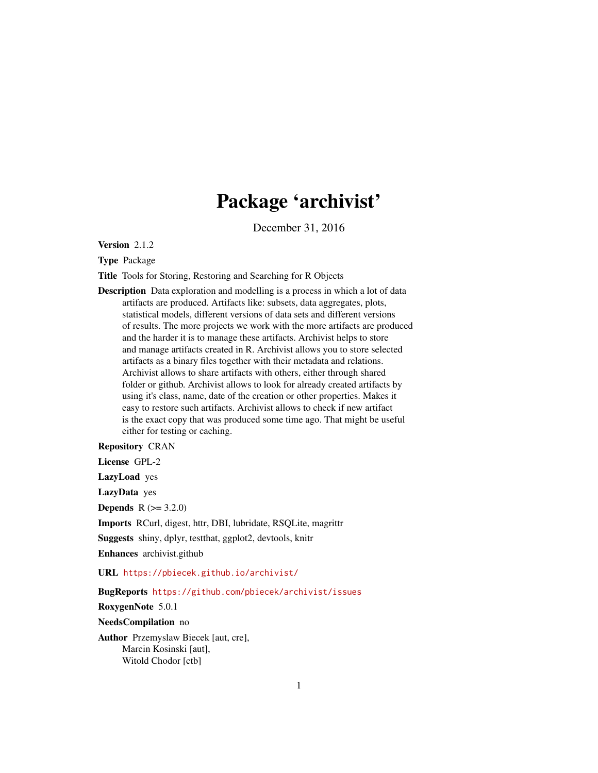# Package 'archivist'

December 31, 2016

<span id="page-0-0"></span>Version 2.1.2

Type Package

Title Tools for Storing, Restoring and Searching for R Objects

Description Data exploration and modelling is a process in which a lot of data artifacts are produced. Artifacts like: subsets, data aggregates, plots, statistical models, different versions of data sets and different versions of results. The more projects we work with the more artifacts are produced and the harder it is to manage these artifacts. Archivist helps to store and manage artifacts created in R. Archivist allows you to store selected artifacts as a binary files together with their metadata and relations. Archivist allows to share artifacts with others, either through shared folder or github. Archivist allows to look for already created artifacts by using it's class, name, date of the creation or other properties. Makes it easy to restore such artifacts. Archivist allows to check if new artifact is the exact copy that was produced some time ago. That might be useful either for testing or caching.

# Repository CRAN

License GPL-2

LazyLoad yes

LazyData yes

**Depends**  $R (= 3.2.0)$ 

Imports RCurl, digest, httr, DBI, lubridate, RSQLite, magrittr

Suggests shiny, dplyr, testthat, ggplot2, devtools, knitr

Enhances archivist.github

URL <https://pbiecek.github.io/archivist/>

BugReports <https://github.com/pbiecek/archivist/issues>

RoxygenNote 5.0.1

NeedsCompilation no

Author Przemyslaw Biecek [aut, cre], Marcin Kosinski [aut], Witold Chodor [ctb]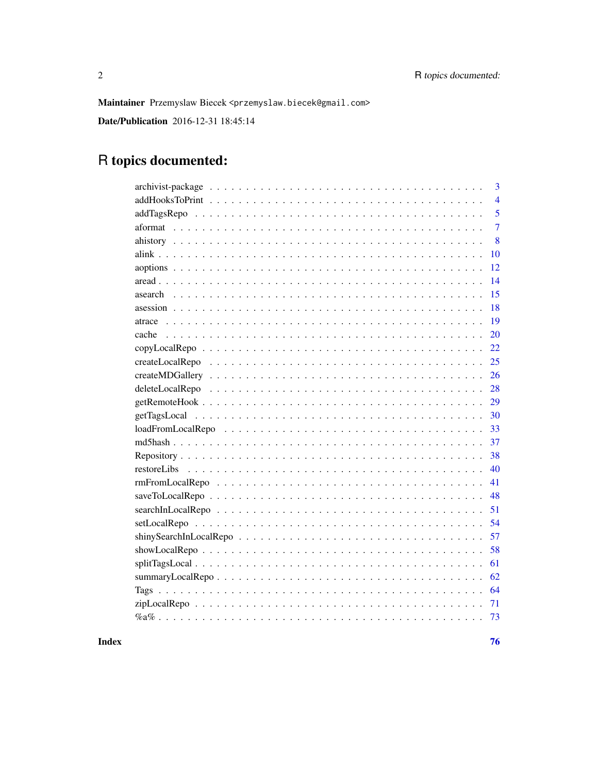Maintainer Przemyslaw Biecek <przemyslaw.biecek@gmail.com>

**Date/Publication** 2016-12-31 18:45:14

# R topics documented:

# **Index**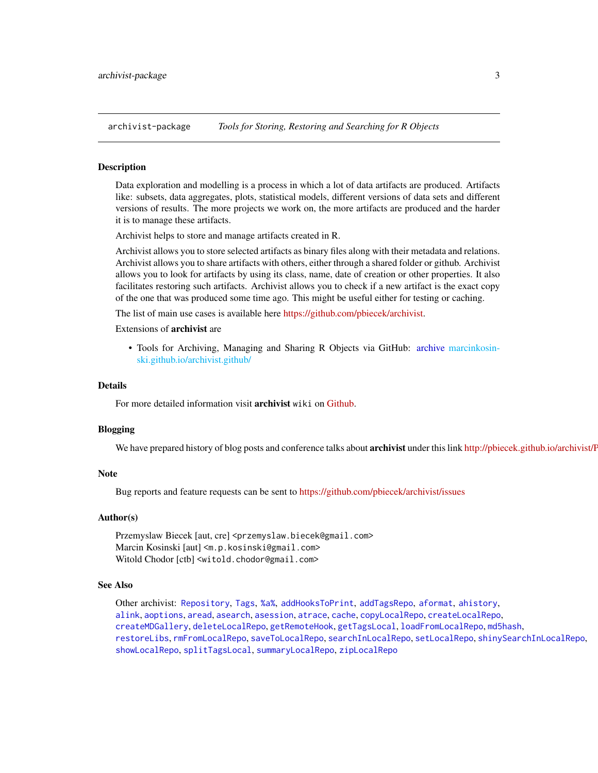<span id="page-2-1"></span><span id="page-2-0"></span>archivist-package *Tools for Storing, Restoring and Searching for R Objects*

# Description

Data exploration and modelling is a process in which a lot of data artifacts are produced. Artifacts like: subsets, data aggregates, plots, statistical models, different versions of data sets and different versions of results. The more projects we work on, the more artifacts are produced and the harder it is to manage these artifacts.

Archivist helps to store and manage artifacts created in R.

Archivist allows you to store selected artifacts as binary files along with their metadata and relations. Archivist allows you to share artifacts with others, either through a shared folder or github. Archivist allows you to look for artifacts by using its class, name, date of creation or other properties. It also facilitates restoring such artifacts. Archivist allows you to check if a new artifact is the exact copy of the one that was produced some time ago. This might be useful either for testing or caching.

The list of main use cases is available here [https://github.com/pbiecek/archivist.](https://github.com/pbiecek/archivist)

# Extensions of archivist are

• Tools for Archiving, Managing and Sharing R Objects via GitHub: [archive](#page-0-0) [marcinkosin](#page-0-0)[ski.github.io/archivist.github/](#page-0-0)

## Details

For more detailed information visit archivist wiki on [Github.](https://github.com/pbiecek/archivist/wiki)

#### Blogging

We have prepared history of blog posts and conference talks about archivist under this link http://pbiecek.github.io/archivist/F

#### **Note**

Bug reports and feature requests can be sent to <https://github.com/pbiecek/archivist/issues>

#### Author(s)

Przemyslaw Biecek [aut, cre] <przemyslaw.biecek@gmail.com> Marcin Kosinski [aut] <m.p.kosinski@gmail.com> Witold Chodor [ctb] <witold.chodor@gmail.com>

# See Also

Other archivist: [Repository](#page-37-1), [Tags](#page-63-1), [%a%](#page-72-1), [addHooksToPrint](#page-3-1), [addTagsRepo](#page-4-1), [aformat](#page-6-1), [ahistory](#page-7-1), [alink](#page-9-1), [aoptions](#page-11-1), [aread](#page-13-1), [asearch](#page-14-1), [asession](#page-17-1), [atrace](#page-18-1), [cache](#page-19-1), [copyLocalRepo](#page-21-1), [createLocalRepo](#page-24-1), [createMDGallery](#page-25-1), [deleteLocalRepo](#page-27-1), [getRemoteHook](#page-28-1), [getTagsLocal](#page-29-1), [loadFromLocalRepo](#page-32-1), [md5hash](#page-36-1), [restoreLibs](#page-39-1), [rmFromLocalRepo](#page-40-1), [saveToLocalRepo](#page-47-1), [searchInLocalRepo](#page-50-1), [setLocalRepo](#page-53-1), [shinySearchInLocalRepo](#page-56-1), [showLocalRepo](#page-57-1), [splitTagsLocal](#page-60-1), [summaryLocalRepo](#page-61-1), [zipLocalRepo](#page-70-1)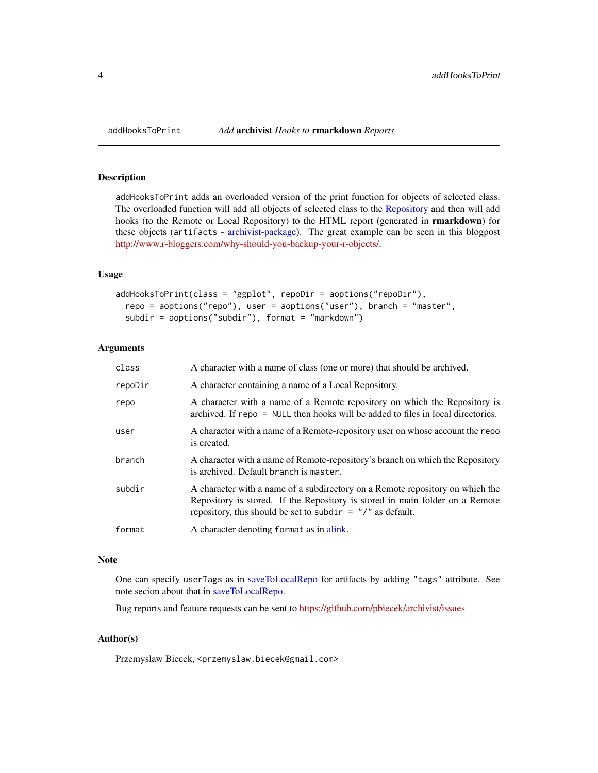# Description

addHooksToPrint adds an overloaded version of the print function for objects of selected class. The overloaded function will add all objects of selected class to the [Repository](#page-37-1) and then will add hooks (to the Remote or Local Repository) to the HTML report (generated in **rmarkdown**) for these objects (artifacts - [archivist-package\)](#page-2-1). The great example can be seen in this blogpost [http://www.r-bloggers.com/why-should-you-backup-your-r-objects/.](http://www.r-bloggers.com/why-should-you-backup-your-r-objects/)

# Usage

```
addHooksToPrint(class = "ggplot", repoDir = aoptions("repoDir"),
  repo = aoptions("repo"), user = aoptions("user"), branch = "master",
  subdir = aoptions("subdir"), format = "markdown")
```
# Arguments

| class   | A character with a name of class (one or more) that should be archived.                                                                                                                                                       |
|---------|-------------------------------------------------------------------------------------------------------------------------------------------------------------------------------------------------------------------------------|
| repoDir | A character containing a name of a Local Repository.                                                                                                                                                                          |
| repo    | A character with a name of a Remote repository on which the Repository is<br>archived. If repo = NULL then hooks will be added to files in local directories.                                                                 |
| user    | A character with a name of a Remote-repository user on whose account the repo<br>is created.                                                                                                                                  |
| branch  | A character with a name of Remote-repository's branch on which the Repository<br>is archived. Default branch is master.                                                                                                       |
| subdir  | A character with a name of a subdirectory on a Remote repository on which the<br>Repository is stored. If the Repository is stored in main folder on a Remote<br>repository, this should be set to subdir $=$ "/" as default. |
| format  | A character denoting format as in alink.                                                                                                                                                                                      |

# Note

One can specify userTags as in [saveToLocalRepo](#page-47-1) for artifacts by adding "tags" attribute. See note secion about that in [saveToLocalRepo.](#page-47-1)

Bug reports and feature requests can be sent to <https://github.com/pbiecek/archivist/issues>

# Author(s)

Przemyslaw Biecek, <przemyslaw.biecek@gmail.com>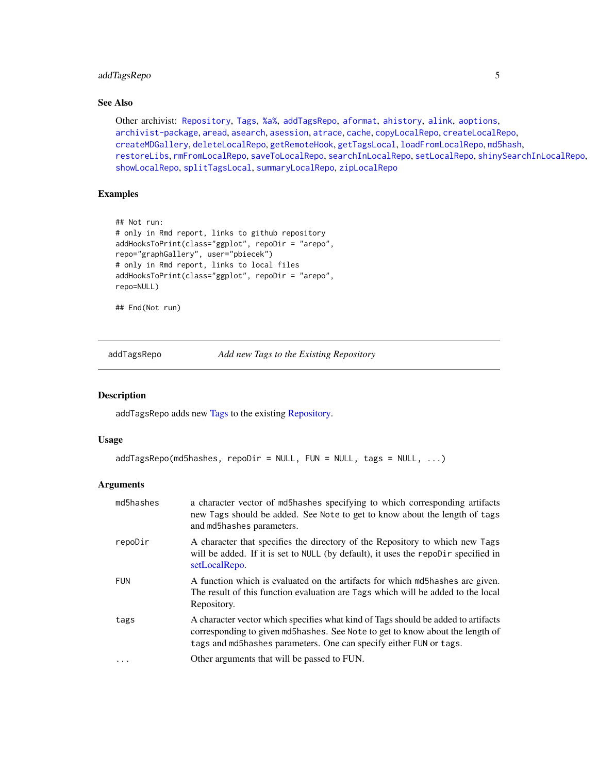# <span id="page-4-0"></span>addTagsRepo 5

# See Also

Other archivist: [Repository](#page-37-1), [Tags](#page-63-1), [%a%](#page-72-1), [addTagsRepo](#page-4-1), [aformat](#page-6-1), [ahistory](#page-7-1), [alink](#page-9-1), [aoptions](#page-11-1), [archivist-package](#page-2-1), [aread](#page-13-1), [asearch](#page-14-1), [asession](#page-17-1), [atrace](#page-18-1), [cache](#page-19-1), [copyLocalRepo](#page-21-1), [createLocalRepo](#page-24-1), [createMDGallery](#page-25-1), [deleteLocalRepo](#page-27-1), [getRemoteHook](#page-28-1), [getTagsLocal](#page-29-1), [loadFromLocalRepo](#page-32-1), [md5hash](#page-36-1), [restoreLibs](#page-39-1), [rmFromLocalRepo](#page-40-1), [saveToLocalRepo](#page-47-1), [searchInLocalRepo](#page-50-1), [setLocalRepo](#page-53-1), [shinySearchInLocalRepo](#page-56-1), [showLocalRepo](#page-57-1), [splitTagsLocal](#page-60-1), [summaryLocalRepo](#page-61-1), [zipLocalRepo](#page-70-1)

# Examples

```
## Not run:
# only in Rmd report, links to github repository
addHooksToPrint(class="ggplot", repoDir = "arepo",
repo="graphGallery", user="pbiecek")
# only in Rmd report, links to local files
addHooksToPrint(class="ggplot", repoDir = "arepo",
repo=NULL)
```
## End(Not run)

<span id="page-4-1"></span>addTagsRepo *Add new Tags to the Existing Repository*

#### Description

addTagsRepo adds new [Tags](#page-63-1) to the existing [Repository.](#page-37-1)

# Usage

```
addTagsRepo(md5hashes, repoDir = NULL, FUN = NULL, tags = NULL, ...)
```
## Arguments

| md5hashes  | a character vector of md5hashes specifying to which corresponding artifacts<br>new Tags should be added. See Note to get to know about the length of tags<br>and md5hashes parameters.                                                   |
|------------|------------------------------------------------------------------------------------------------------------------------------------------------------------------------------------------------------------------------------------------|
| repoDir    | A character that specifies the directory of the Repository to which new Tags<br>will be added. If it is set to NULL (by default), it uses the repodir specified in<br>setLocalRepo.                                                      |
| <b>FUN</b> | A function which is evaluated on the artifacts for which md5hashes are given.<br>The result of this function evaluation are Tags which will be added to the local<br>Repository.                                                         |
| tags       | A character vector which specifies what kind of Tags should be added to artifacts<br>corresponding to given md5hashes. See Note to get to know about the length of<br>tags and md5hashes parameters. One can specify either FUN or tags. |
|            | Other arguments that will be passed to FUN.                                                                                                                                                                                              |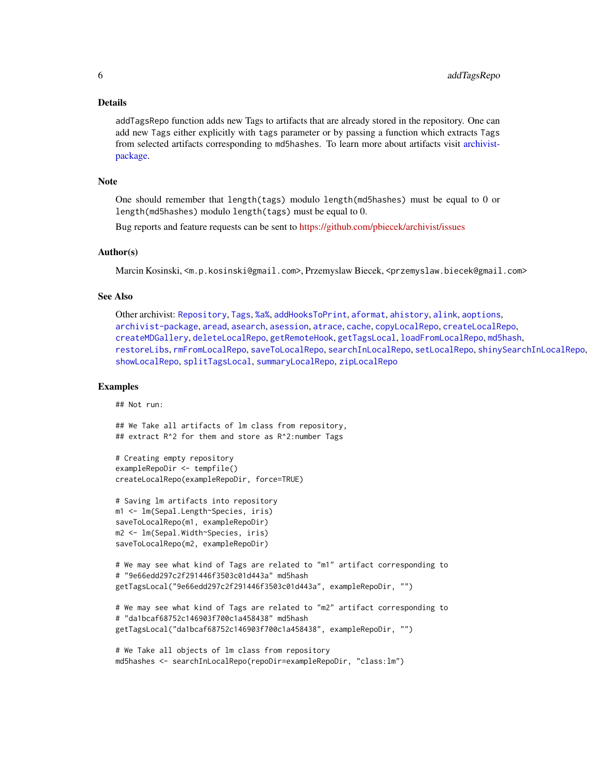#### Details

addTagsRepo function adds new Tags to artifacts that are already stored in the repository. One can add new Tags either explicitly with tags parameter or by passing a function which extracts Tags from selected artifacts corresponding to md5hashes. To learn more about artifacts visit [archivist](#page-2-1)[package.](#page-2-1)

#### Note

One should remember that length(tags) modulo length(md5hashes) must be equal to 0 or length(md5hashes) modulo length(tags) must be equal to 0.

Bug reports and feature requests can be sent to <https://github.com/pbiecek/archivist/issues>

# Author(s)

Marcin Kosinski, <m.p.kosinski@gmail.com>, Przemyslaw Biecek, <przemyslaw.biecek@gmail.com>

# See Also

Other archivist: [Repository](#page-37-1), [Tags](#page-63-1), [%a%](#page-72-1), [addHooksToPrint](#page-3-1), [aformat](#page-6-1), [ahistory](#page-7-1), [alink](#page-9-1), [aoptions](#page-11-1), [archivist-package](#page-2-1), [aread](#page-13-1), [asearch](#page-14-1), [asession](#page-17-1), [atrace](#page-18-1), [cache](#page-19-1), [copyLocalRepo](#page-21-1), [createLocalRepo](#page-24-1), [createMDGallery](#page-25-1), [deleteLocalRepo](#page-27-1), [getRemoteHook](#page-28-1), [getTagsLocal](#page-29-1), [loadFromLocalRepo](#page-32-1), [md5hash](#page-36-1), [restoreLibs](#page-39-1), [rmFromLocalRepo](#page-40-1), [saveToLocalRepo](#page-47-1), [searchInLocalRepo](#page-50-1), [setLocalRepo](#page-53-1), [shinySearchInLocalRepo](#page-56-1), [showLocalRepo](#page-57-1), [splitTagsLocal](#page-60-1), [summaryLocalRepo](#page-61-1), [zipLocalRepo](#page-70-1)

## Examples

## Not run:

## We Take all artifacts of lm class from repository, ## extract R^2 for them and store as R^2:number Tags

```
# Creating empty repository
exampleRepoDir <- tempfile()
createLocalRepo(exampleRepoDir, force=TRUE)
```

```
# Saving lm artifacts into repository
m1 <- lm(Sepal.Length~Species, iris)
saveToLocalRepo(m1, exampleRepoDir)
m2 <- lm(Sepal.Width~Species, iris)
saveToLocalRepo(m2, exampleRepoDir)
```

```
# We may see what kind of Tags are related to "m1" artifact corresponding to
# "9e66edd297c2f291446f3503c01d443a" md5hash
getTagsLocal("9e66edd297c2f291446f3503c01d443a", exampleRepoDir, "")
```

```
# We may see what kind of Tags are related to "m2" artifact corresponding to
# "da1bcaf68752c146903f700c1a458438" md5hash
getTagsLocal("da1bcaf68752c146903f700c1a458438", exampleRepoDir, "")
```

```
# We Take all objects of lm class from repository
md5hashes <- searchInLocalRepo(repoDir=exampleRepoDir, "class:lm")
```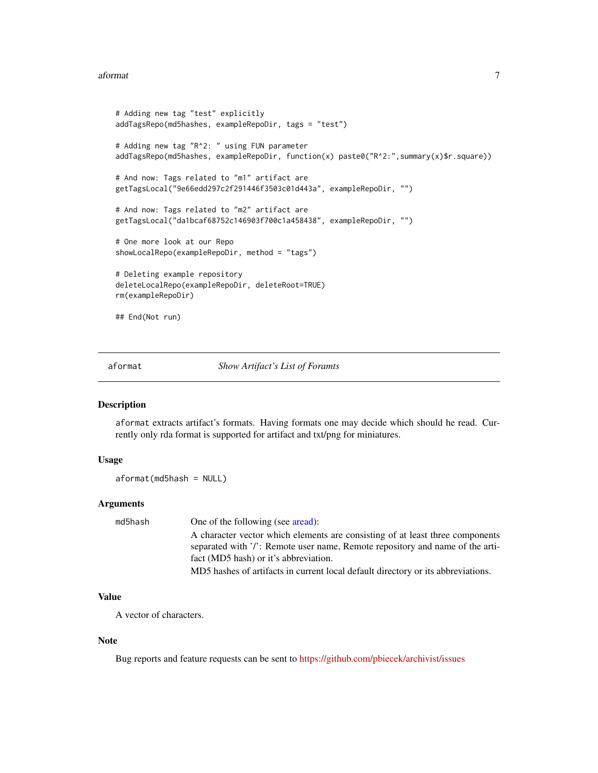#### <span id="page-6-0"></span>aformat  $\overline{7}$

```
# Adding new tag "test" explicitly
addTagsRepo(md5hashes, exampleRepoDir, tags = "test")
# Adding new tag "R^2: " using FUN parameter
addTagsRepo(md5hashes, exampleRepoDir, function(x) paste0("R^2:",summary(x)$r.square))
# And now: Tags related to "m1" artifact are
getTagsLocal("9e66edd297c2f291446f3503c01d443a", exampleRepoDir, "")
# And now: Tags related to "m2" artifact are
getTagsLocal("da1bcaf68752c146903f700c1a458438", exampleRepoDir, "")
# One more look at our Repo
showLocalRepo(exampleRepoDir, method = "tags")
# Deleting example repository
deleteLocalRepo(exampleRepoDir, deleteRoot=TRUE)
rm(exampleRepoDir)
## End(Not run)
```
<span id="page-6-1"></span>

#### aformat *Show Artifact's List of Foramts*

#### Description

aformat extracts artifact's formats. Having formats one may decide which should he read. Currently only rda format is supported for artifact and txt/png for miniatures.

# Usage

aformat(md5hash = NULL)

# **Arguments**

| One of the following (see aread):                                                |
|----------------------------------------------------------------------------------|
| A character vector which elements are consisting of at least three components    |
| separated with '/': Remote user name, Remote repository and name of the arti-    |
| fact (MD5 hash) or it's abbreviation.                                            |
| MD5 hashes of artifacts in current local default directory or its abbreviations. |
|                                                                                  |

# Value

A vector of characters.

#### Note

Bug reports and feature requests can be sent to <https://github.com/pbiecek/archivist/issues>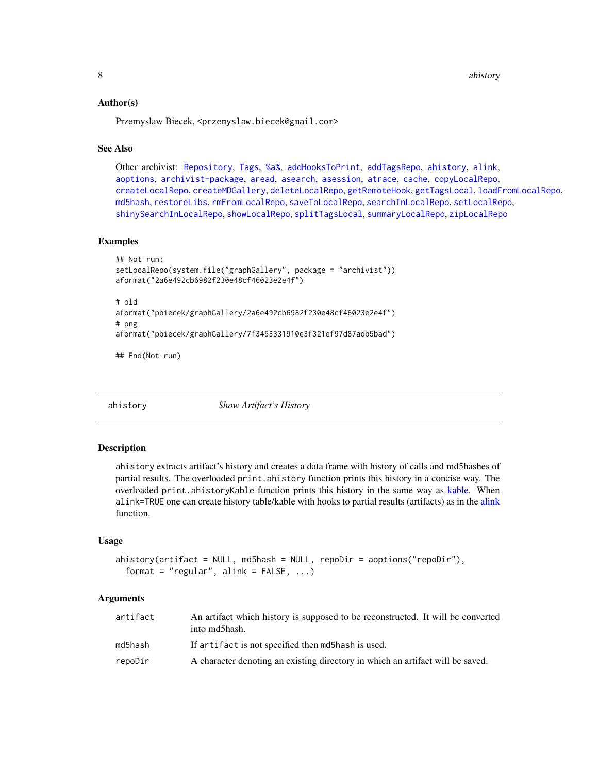<span id="page-7-0"></span>8 ahistory and the contract of the contract of the contract of the contract of the contract of the contract of the contract of the contract of the contract of the contract of the contract of the contract of the contract of

## Author(s)

Przemyslaw Biecek, <przemyslaw.biecek@gmail.com>

# See Also

Other archivist: [Repository](#page-37-1), [Tags](#page-63-1), [%a%](#page-72-1), [addHooksToPrint](#page-3-1), [addTagsRepo](#page-4-1), [ahistory](#page-7-1), [alink](#page-9-1), [aoptions](#page-11-1), [archivist-package](#page-2-1), [aread](#page-13-1), [asearch](#page-14-1), [asession](#page-17-1), [atrace](#page-18-1), [cache](#page-19-1), [copyLocalRepo](#page-21-1), [createLocalRepo](#page-24-1), [createMDGallery](#page-25-1), [deleteLocalRepo](#page-27-1), [getRemoteHook](#page-28-1), [getTagsLocal](#page-29-1), [loadFromLocalRepo](#page-32-1), [md5hash](#page-36-1), [restoreLibs](#page-39-1), [rmFromLocalRepo](#page-40-1), [saveToLocalRepo](#page-47-1), [searchInLocalRepo](#page-50-1), [setLocalRepo](#page-53-1), [shinySearchInLocalRepo](#page-56-1), [showLocalRepo](#page-57-1), [splitTagsLocal](#page-60-1), [summaryLocalRepo](#page-61-1), [zipLocalRepo](#page-70-1)

# Examples

```
## Not run:
setLocalRepo(system.file("graphGallery", package = "archivist"))
aformat("2a6e492cb6982f230e48cf46023e2e4f")
# old
aformat("pbiecek/graphGallery/2a6e492cb6982f230e48cf46023e2e4f")
# png
aformat("pbiecek/graphGallery/7f3453331910e3f321ef97d87adb5bad")
```
## End(Not run)

<span id="page-7-1"></span>ahistory *Show Artifact's History*

#### **Description**

ahistory extracts artifact's history and creates a data frame with history of calls and md5hashes of partial results. The overloaded print.ahistory function prints this history in a concise way. The overloaded print.ahistoryKable function prints this history in the same way as [kable.](#page-0-0) When alink=TRUE one can create history table/kable with hooks to partial results (artifacts) as in the [alink](#page-9-1) function.

#### Usage

```
ahistory(artifact = NULL, md5hash = NULL, repoDir = aoptions("repoDir"),
  format = "regular", alink = FALSE, ...)
```
# Arguments

| artifact | An artifact which history is supposed to be reconstructed. It will be converted<br>into md5hash. |
|----------|--------------------------------------------------------------------------------------------------|
| md5hash  | If artifact is not specified then md5hash is used.                                               |
| repoDir  | A character denoting an existing directory in which an artifact will be saved.                   |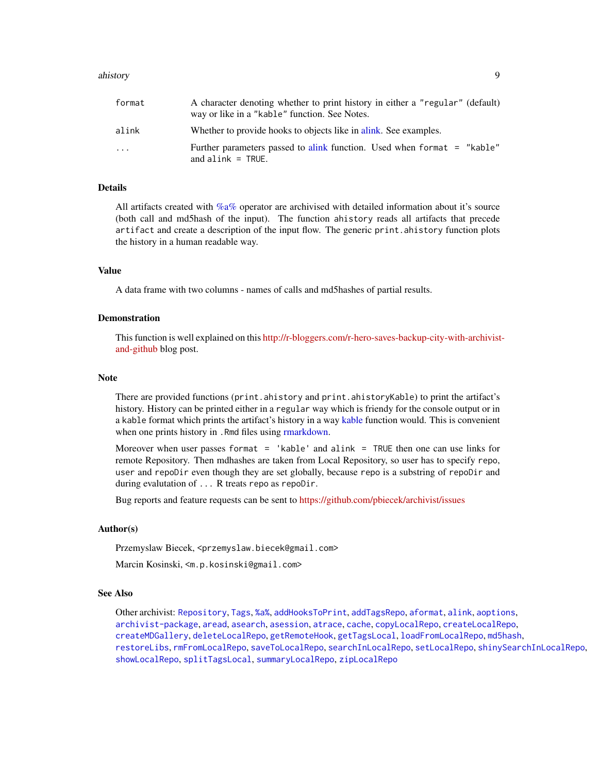#### ahistory 90 and 200 and 200 and 200 and 200 and 200 and 200 and 200 and 200 and 200 and 200 and 200 and 200 and 200 and 200 and 200 and 200 and 200 and 200 and 200 and 200 and 200 and 200 and 200 and 200 and 200 and 200 an

| format | A character denoting whether to print history in either a "regular" (default)<br>way or like in a "kable" function. See Notes. |
|--------|--------------------------------------------------------------------------------------------------------------------------------|
| alink  | Whether to provide hooks to objects like in a link. See examples.                                                              |
| .      | Further parameters passed to alink function. Used when format = "kable"<br>and $\alpha$ link = TRUE.                           |

# Details

All artifacts created with [%a%](#page-72-1) operator are archivised with detailed information about it's source (both call and md5hash of the input). The function ahistory reads all artifacts that precede artifact and create a description of the input flow. The generic print.ahistory function plots the history in a human readable way.

#### Value

A data frame with two columns - names of calls and md5hashes of partial results.

# Demonstration

This function is well explained on this [http://r-bloggers.com/r-hero-saves-backup-city-with-archivist](http://r-bloggers.com/r-hero-saves-backup-city-with-archivist-and-github)[and-github](http://r-bloggers.com/r-hero-saves-backup-city-with-archivist-and-github) blog post.

#### Note

There are provided functions (print.ahistory and print.ahistoryKable) to print the artifact's history. History can be printed either in a regular way which is friendy for the console output or in a kable format which prints the artifact's history in a way [kable](#page-0-0) function would. This is convenient when one prints history in . Rmd files using [rmarkdown.](#page-0-0)

Moreover when user passes format = 'kable' and alink = TRUE then one can use links for remote Repository. Then mdhashes are taken from Local Repository, so user has to specify repo, user and repoDir even though they are set globally, because repo is a substring of repoDir and during evalutation of ... R treats repo as repoDir.

Bug reports and feature requests can be sent to <https://github.com/pbiecek/archivist/issues>

## Author(s)

Przemyslaw Biecek, <przemyslaw.biecek@gmail.com>

Marcin Kosinski, <m.p.kosinski@gmail.com>

## See Also

Other archivist: [Repository](#page-37-1), [Tags](#page-63-1), [%a%](#page-72-1), [addHooksToPrint](#page-3-1), [addTagsRepo](#page-4-1), [aformat](#page-6-1), [alink](#page-9-1), [aoptions](#page-11-1), [archivist-package](#page-2-1), [aread](#page-13-1), [asearch](#page-14-1), [asession](#page-17-1), [atrace](#page-18-1), [cache](#page-19-1), [copyLocalRepo](#page-21-1), [createLocalRepo](#page-24-1), [createMDGallery](#page-25-1), [deleteLocalRepo](#page-27-1), [getRemoteHook](#page-28-1), [getTagsLocal](#page-29-1), [loadFromLocalRepo](#page-32-1), [md5hash](#page-36-1), [restoreLibs](#page-39-1), [rmFromLocalRepo](#page-40-1), [saveToLocalRepo](#page-47-1), [searchInLocalRepo](#page-50-1), [setLocalRepo](#page-53-1), [shinySearchInLocalRepo](#page-56-1), [showLocalRepo](#page-57-1), [splitTagsLocal](#page-60-1), [summaryLocalRepo](#page-61-1), [zipLocalRepo](#page-70-1)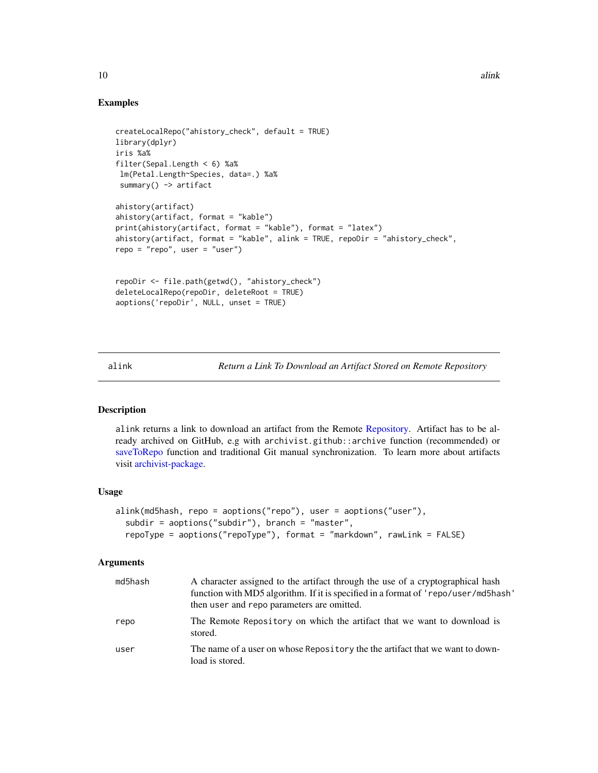# Examples

```
createLocalRepo("ahistory_check", default = TRUE)
library(dplyr)
iris %a%
filter(Sepal.Length < 6) %a%
lm(Petal.Length~Species, data=.) %a%
 summary() -> artifact
ahistory(artifact)
ahistory(artifact, format = "kable")
print(ahistory(artifact, format = "kable"), format = "latex")
ahistory(artifact, format = "kable", alink = TRUE, repoDir = "ahistory_check",
repo = "repo", user = "user")
repoDir <- file.path(getwd(), "ahistory_check")
deleteLocalRepo(repoDir, deleteRoot = TRUE)
aoptions('repoDir', NULL, unset = TRUE)
```
<span id="page-9-1"></span>alink *Return a Link To Download an Artifact Stored on Remote Repository*

# Description

alink returns a link to download an artifact from the Remote [Repository.](#page-37-1) Artifact has to be already archived on GitHub, e.g with archivist.github::archive function (recommended) or [saveToRepo](#page-47-2) function and traditional Git manual synchronization. To learn more about artifacts visit [archivist-package.](#page-2-1)

#### Usage

```
alink(md5hash, repo = aoptions("repo"), user = aoptions("user"),
  subdir = aoptions("subdir"), branch = "master",
  repoType = aoptions("repoType"), format = "markdown", rawLink = FALSE)
```
# Arguments

| md5hash | A character assigned to the artifact through the use of a cryptographical hash<br>function with MD5 algorithm. If it is specified in a format of 'repo/user/md5hash'<br>then user and repo parameters are omitted. |
|---------|--------------------------------------------------------------------------------------------------------------------------------------------------------------------------------------------------------------------|
| repo    | The Remote Repository on which the artifact that we want to download is<br>stored.                                                                                                                                 |
| user    | The name of a user on whose Repository the the artifact that we want to down-<br>load is stored.                                                                                                                   |

<span id="page-9-0"></span>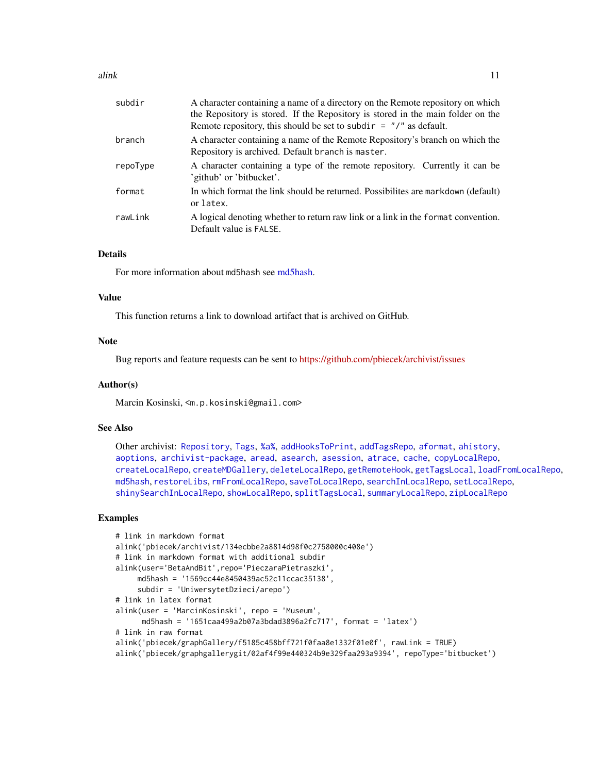| subdir   | A character containing a name of a directory on the Remote repository on which<br>the Repository is stored. If the Repository is stored in the main folder on the |
|----------|-------------------------------------------------------------------------------------------------------------------------------------------------------------------|
|          | Remote repository, this should be set to subdir $=$ "/" as default.                                                                                               |
| branch   | A character containing a name of the Remote Repository's branch on which the<br>Repository is archived. Default branch is master.                                 |
| repoType | A character containing a type of the remote repository. Currently it can be<br>'github' or 'bitbucket'.                                                           |
| format   | In which format the link should be returned. Possibilites are markdown (default)<br>or latex.                                                                     |
| rawLink  | A logical denoting whether to return raw link or a link in the format convention.<br>Default value is FALSE.                                                      |

# Details

For more information about md5hash see [md5hash.](#page-36-1)

# Value

This function returns a link to download artifact that is archived on GitHub.

## **Note**

Bug reports and feature requests can be sent to <https://github.com/pbiecek/archivist/issues>

## Author(s)

Marcin Kosinski, <m.p.kosinski@gmail.com>

#### See Also

Other archivist: [Repository](#page-37-1), [Tags](#page-63-1), [%a%](#page-72-1), [addHooksToPrint](#page-3-1), [addTagsRepo](#page-4-1), [aformat](#page-6-1), [ahistory](#page-7-1), [aoptions](#page-11-1), [archivist-package](#page-2-1), [aread](#page-13-1), [asearch](#page-14-1), [asession](#page-17-1), [atrace](#page-18-1), [cache](#page-19-1), [copyLocalRepo](#page-21-1), [createLocalRepo](#page-24-1), [createMDGallery](#page-25-1), [deleteLocalRepo](#page-27-1), [getRemoteHook](#page-28-1), [getTagsLocal](#page-29-1), [loadFromLocalRepo](#page-32-1), [md5hash](#page-36-1), [restoreLibs](#page-39-1), [rmFromLocalRepo](#page-40-1), [saveToLocalRepo](#page-47-1), [searchInLocalRepo](#page-50-1), [setLocalRepo](#page-53-1), [shinySearchInLocalRepo](#page-56-1), [showLocalRepo](#page-57-1), [splitTagsLocal](#page-60-1), [summaryLocalRepo](#page-61-1), [zipLocalRepo](#page-70-1)

## Examples

```
# link in markdown format
alink('pbiecek/archivist/134ecbbe2a8814d98f0c2758000c408e')
# link in markdown format with additional subdir
alink(user='BetaAndBit',repo='PieczaraPietraszki',
    md5hash = '1569cc44e8450439ac52c11ccac35138',
     subdir = 'UniwersytetDzieci/arepo')
# link in latex format
alink(user = 'MarcinKosinski', repo = 'Museum',
     md5hash = '1651caa499a2b07a3bdad3896a2fc717', format = 'latex')
# link in raw format
alink('pbiecek/graphGallery/f5185c458bff721f0faa8e1332f01e0f', rawLink = TRUE)
alink('pbiecek/graphgallerygit/02af4f99e440324b9e329faa293a9394', repoType='bitbucket')
```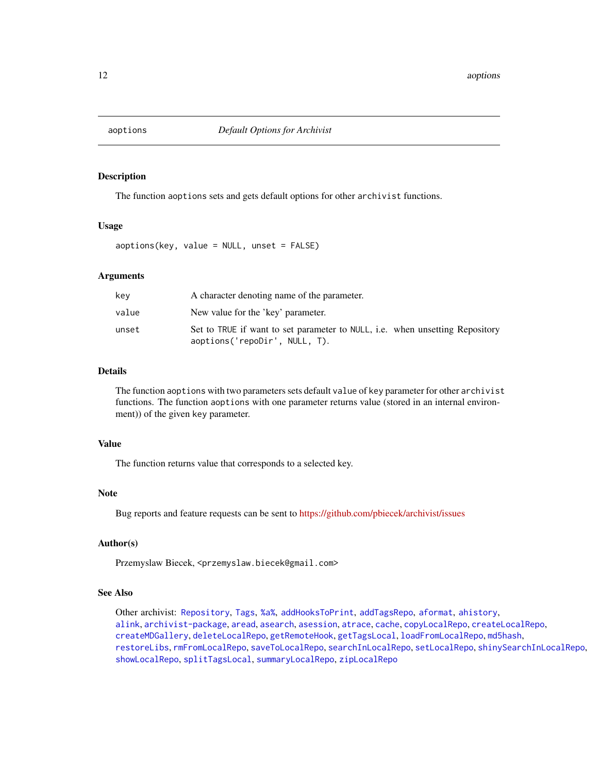<span id="page-11-1"></span><span id="page-11-0"></span>

# Description

The function aoptions sets and gets default options for other archivist functions.

#### Usage

aoptions(key, value = NULL, unset = FALSE)

#### Arguments

| kev   | A character denoting name of the parameter.                                                                   |
|-------|---------------------------------------------------------------------------------------------------------------|
| value | New value for the 'key' parameter.                                                                            |
| unset | Set to TRUE if want to set parameter to NULL, i.e. when unsetting Repository<br>aoptions('repoDir', NULL, T). |

# Details

The function aoptions with two parameters sets default value of key parameter for other archivist functions. The function aoptions with one parameter returns value (stored in an internal environment)) of the given key parameter.

# Value

The function returns value that corresponds to a selected key.

# Note

Bug reports and feature requests can be sent to <https://github.com/pbiecek/archivist/issues>

# Author(s)

Przemyslaw Biecek, <przemyslaw.biecek@gmail.com>

#### See Also

Other archivist: [Repository](#page-37-1), [Tags](#page-63-1), [%a%](#page-72-1), [addHooksToPrint](#page-3-1), [addTagsRepo](#page-4-1), [aformat](#page-6-1), [ahistory](#page-7-1), [alink](#page-9-1), [archivist-package](#page-2-1), [aread](#page-13-1), [asearch](#page-14-1), [asession](#page-17-1), [atrace](#page-18-1), [cache](#page-19-1), [copyLocalRepo](#page-21-1), [createLocalRepo](#page-24-1), [createMDGallery](#page-25-1), [deleteLocalRepo](#page-27-1), [getRemoteHook](#page-28-1), [getTagsLocal](#page-29-1), [loadFromLocalRepo](#page-32-1), [md5hash](#page-36-1), [restoreLibs](#page-39-1), [rmFromLocalRepo](#page-40-1), [saveToLocalRepo](#page-47-1), [searchInLocalRepo](#page-50-1), [setLocalRepo](#page-53-1), [shinySearchInLocalRepo](#page-56-1), [showLocalRepo](#page-57-1), [splitTagsLocal](#page-60-1), [summaryLocalRepo](#page-61-1), [zipLocalRepo](#page-70-1)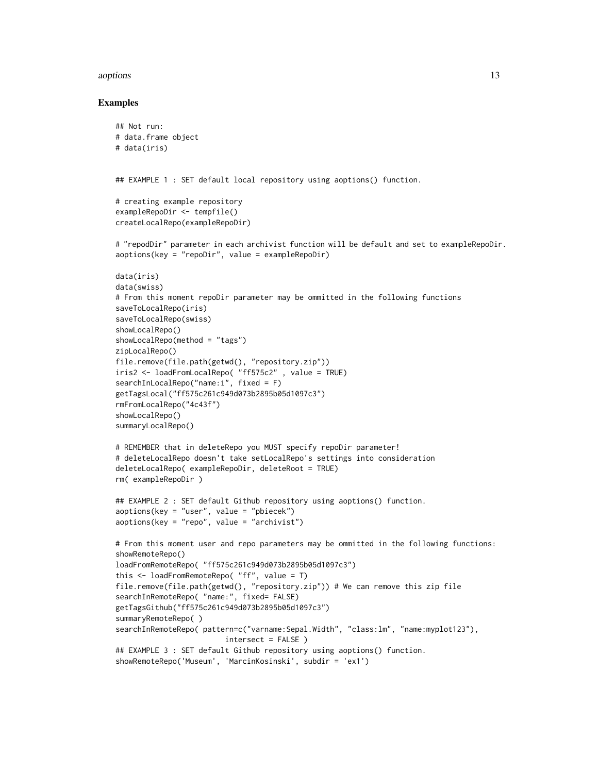#### aoptions and the contract of the contract of the contract of the contract of the contract of the contract of the contract of the contract of the contract of the contract of the contract of the contract of the contract of t

#### Examples

```
## Not run:
# data.frame object
# data(iris)
## EXAMPLE 1 : SET default local repository using aoptions() function.
# creating example repository
exampleRepoDir <- tempfile()
createLocalRepo(exampleRepoDir)
# "repodDir" parameter in each archivist function will be default and set to exampleRepoDir.
aoptions(key = "repoDir", value = exampleRepoDir)
data(iris)
data(swiss)
# From this moment repoDir parameter may be ommitted in the following functions
saveToLocalRepo(iris)
saveToLocalRepo(swiss)
showLocalRepo()
showLocalRepo(method = "tags")
zipLocalRepo()
file.remove(file.path(getwd(), "repository.zip"))
iris2 <- loadFromLocalRepo( "ff575c2" , value = TRUE)
searchInLocalRepo("name:i", fixed = F)
getTagsLocal("ff575c261c949d073b2895b05d1097c3")
rmFromLocalRepo("4c43f")
showLocalRepo()
summaryLocalRepo()
# REMEMBER that in deleteRepo you MUST specify repoDir parameter!
# deleteLocalRepo doesn't take setLocalRepo's settings into consideration
deleteLocalRepo( exampleRepoDir, deleteRoot = TRUE)
rm( exampleRepoDir )
## EXAMPLE 2 : SET default Github repository using aoptions() function.
aoptions(key = "user", value = "pbiecek")
aoptions(key = "repo", value = "archivist")
# From this moment user and repo parameters may be ommitted in the following functions:
showRemoteRepo()
loadFromRemoteRepo( "ff575c261c949d073b2895b05d1097c3")
this <- loadFromRemoteRepo( "ff", value = T)
file.remove(file.path(getwd(), "repository.zip")) # We can remove this zip file
searchInRemoteRepo( "name:", fixed= FALSE)
getTagsGithub("ff575c261c949d073b2895b05d1097c3")
summaryRemoteRepo( )
searchInRemoteRepo( pattern=c("varname:Sepal.Width", "class:lm", "name:myplot123"),
                         intersect = FALSE )
## EXAMPLE 3 : SET default Github repository using aoptions() function.
showRemoteRepo('Museum', 'MarcinKosinski', subdir = 'ex1')
```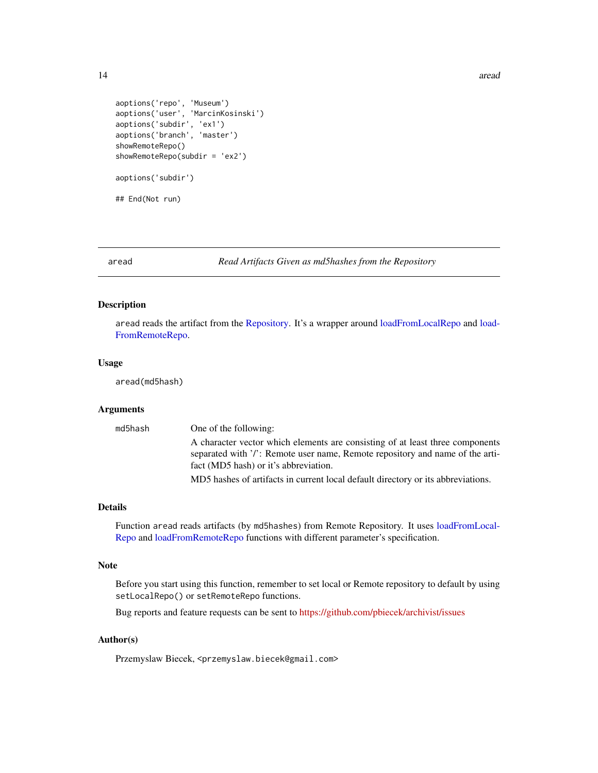```
aoptions('repo', 'Museum')
aoptions('user', 'MarcinKosinski')
aoptions('subdir', 'ex1')
aoptions('branch', 'master')
showRemoteRepo()
showRemoteRepo(subdir = 'ex2')
aoptions('subdir')
## End(Not run)
```
<span id="page-13-1"></span>aread *Read Artifacts Given as md5hashes from the Repository*

# Description

aread reads the artifact from the [Repository.](#page-37-1) It's a wrapper around [loadFromLocalRepo](#page-32-1) and [load-](#page-32-2)[FromRemoteRepo.](#page-32-2)

#### Usage

aread(md5hash)

#### Arguments

| md5hash | One of the following:                                                                                                                                                                                   |
|---------|---------------------------------------------------------------------------------------------------------------------------------------------------------------------------------------------------------|
|         | A character vector which elements are consisting of at least three components<br>separated with '/': Remote user name, Remote repository and name of the arti-<br>fact (MD5 hash) or it's abbreviation. |
|         | MD5 hashes of artifacts in current local default directory or its abbreviations.                                                                                                                        |

#### Details

Function aread reads artifacts (by md5hashes) from Remote Repository. It uses [loadFromLocal-](#page-32-1)[Repo](#page-32-1) and [loadFromRemoteRepo](#page-32-2) functions with different parameter's specification.

# Note

Before you start using this function, remember to set local or Remote repository to default by using setLocalRepo() or setRemoteRepo functions.

Bug reports and feature requests can be sent to <https://github.com/pbiecek/archivist/issues>

# Author(s)

Przemyslaw Biecek, <przemyslaw.biecek@gmail.com>

<span id="page-13-0"></span>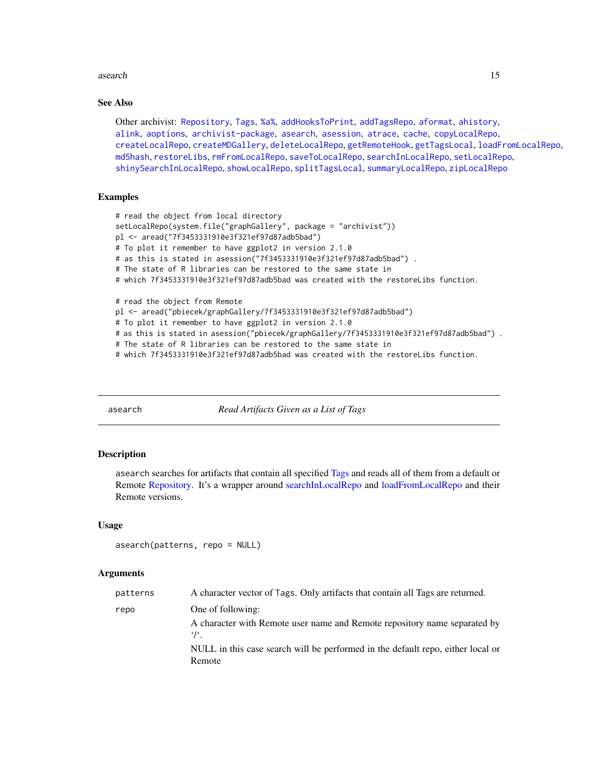#### <span id="page-14-0"></span>asearch 15

## See Also

Other archivist: [Repository](#page-37-1), [Tags](#page-63-1), [%a%](#page-72-1), [addHooksToPrint](#page-3-1), [addTagsRepo](#page-4-1), [aformat](#page-6-1), [ahistory](#page-7-1), [alink](#page-9-1), [aoptions](#page-11-1), [archivist-package](#page-2-1), [asearch](#page-14-1), [asession](#page-17-1), [atrace](#page-18-1), [cache](#page-19-1), [copyLocalRepo](#page-21-1), [createLocalRepo](#page-24-1), [createMDGallery](#page-25-1), [deleteLocalRepo](#page-27-1), [getRemoteHook](#page-28-1), [getTagsLocal](#page-29-1), [loadFromLocalRepo](#page-32-1), [md5hash](#page-36-1), [restoreLibs](#page-39-1), [rmFromLocalRepo](#page-40-1), [saveToLocalRepo](#page-47-1), [searchInLocalRepo](#page-50-1), [setLocalRepo](#page-53-1), [shinySearchInLocalRepo](#page-56-1), [showLocalRepo](#page-57-1), [splitTagsLocal](#page-60-1), [summaryLocalRepo](#page-61-1), [zipLocalRepo](#page-70-1)

# Examples

```
# read the object from local directory
setLocalRepo(system.file("graphGallery", package = "archivist"))
pl <- aread("7f3453331910e3f321ef97d87adb5bad")
# To plot it remember to have ggplot2 in version 2.1.0
# as this is stated in asession("7f3453331910e3f321ef97d87adb5bad") .
# The state of R libraries can be restored to the same state in
# which 7f3453331910e3f321ef97d87adb5bad was created with the restoreLibs function.
# read the object from Remote
pl <- aread("pbiecek/graphGallery/7f3453331910e3f321ef97d87adb5bad")
# To plot it remember to have ggplot2 in version 2.1.0
# as this is stated in asession("pbiecek/graphGallery/7f3453331910e3f321ef97d87adb5bad") .
# The state of R libraries can be restored to the same state in
```
# which 7f3453331910e3f321ef97d87adb5bad was created with the restoreLibs function.

<span id="page-14-1"></span>asearch *Read Artifacts Given as a List of Tags*

#### Description

asearch searches for artifacts that contain all specified [Tags](#page-63-1) and reads all of them from a default or Remote [Repository.](#page-37-1) It's a wrapper around [searchInLocalRepo](#page-50-1) and [loadFromLocalRepo](#page-32-1) and their Remote versions.

#### Usage

```
asearch(patterns, repo = NULL)
```
#### Arguments

| patterns | A character vector of Tags. Only artifacts that contain all Tags are returned.                 |
|----------|------------------------------------------------------------------------------------------------|
| repo     | One of following:                                                                              |
|          | A character with Remote user name and Remote repository name separated by<br>$\cdot$ / $\cdot$ |
|          | NULL in this case search will be performed in the default repo, either local or<br>Remote      |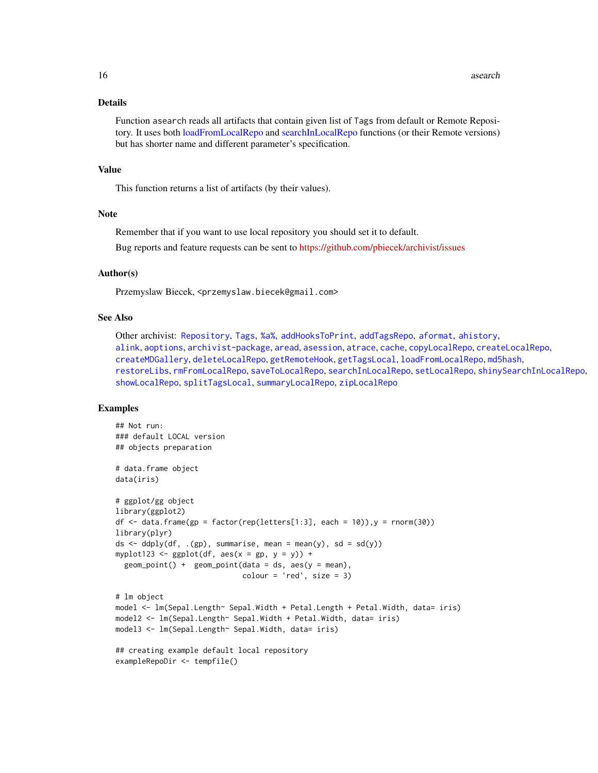#### Details

Function asearch reads all artifacts that contain given list of Tags from default or Remote Repository. It uses both [loadFromLocalRepo](#page-32-1) and [searchInLocalRepo](#page-50-1) functions (or their Remote versions) but has shorter name and different parameter's specification.

#### Value

This function returns a list of artifacts (by their values).

# Note

Remember that if you want to use local repository you should set it to default.

Bug reports and feature requests can be sent to <https://github.com/pbiecek/archivist/issues>

## Author(s)

Przemyslaw Biecek, <przemyslaw.biecek@gmail.com>

# See Also

Other archivist: [Repository](#page-37-1), [Tags](#page-63-1), [%a%](#page-72-1), [addHooksToPrint](#page-3-1), [addTagsRepo](#page-4-1), [aformat](#page-6-1), [ahistory](#page-7-1), [alink](#page-9-1), [aoptions](#page-11-1), [archivist-package](#page-2-1), [aread](#page-13-1), [asession](#page-17-1), [atrace](#page-18-1), [cache](#page-19-1), [copyLocalRepo](#page-21-1), [createLocalRepo](#page-24-1), [createMDGallery](#page-25-1), [deleteLocalRepo](#page-27-1), [getRemoteHook](#page-28-1), [getTagsLocal](#page-29-1), [loadFromLocalRepo](#page-32-1), [md5hash](#page-36-1), [restoreLibs](#page-39-1), [rmFromLocalRepo](#page-40-1), [saveToLocalRepo](#page-47-1), [searchInLocalRepo](#page-50-1), [setLocalRepo](#page-53-1), [shinySearchInLocalRepo](#page-56-1), [showLocalRepo](#page-57-1), [splitTagsLocal](#page-60-1), [summaryLocalRepo](#page-61-1), [zipLocalRepo](#page-70-1)

# Examples

```
## Not run:
### default LOCAL version
## objects preparation
# data.frame object
data(iris)
# ggplot/gg object
library(ggplot2)
df <- data.frame(gp = factor(rep(letters[1:3], each = 10)),y = rnorm(30))
library(plyr)
ds \leq ddply(df, .(gp), summarise, mean = mean(y), sd = sd(y))
myplot123 <- gplot(df, aes(x = gp, y = y)) +
 geom\_point() + geom\_point(data = ds, aes(y = mean),color = 'red', size = 3)# lm object
model <- lm(Sepal.Length~ Sepal.Width + Petal.Length + Petal.Width, data= iris)
model2 <- lm(Sepal.Length~ Sepal.Width + Petal.Width, data= iris)
model3 <- lm(Sepal.Length~ Sepal.Width, data= iris)
## creating example default local repository
exampleRepoDir <- tempfile()
```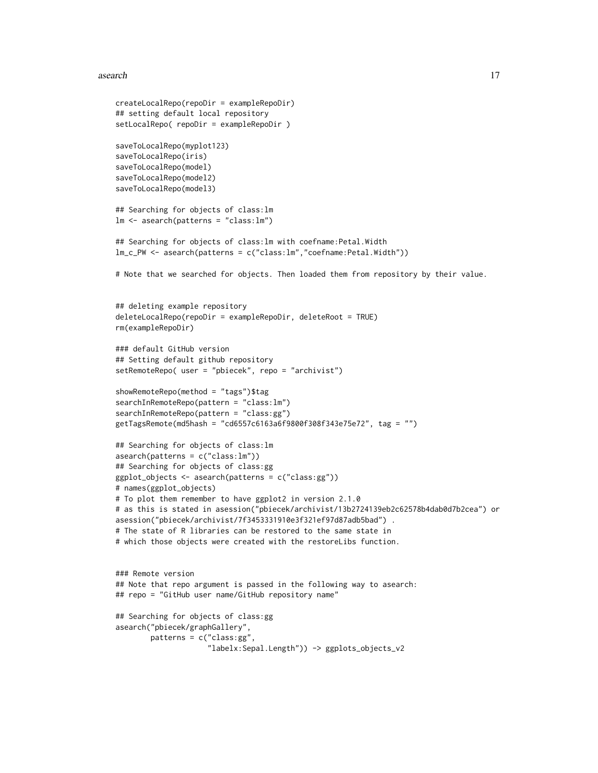#### asearch 17

```
createLocalRepo(repoDir = exampleRepoDir)
## setting default local repository
setLocalRepo( repoDir = exampleRepoDir )
saveToLocalRepo(myplot123)
saveToLocalRepo(iris)
saveToLocalRepo(model)
saveToLocalRepo(model2)
saveToLocalRepo(model3)
## Searching for objects of class:lm
lm <- asearch(patterns = "class:lm")
## Searching for objects of class:lm with coefname:Petal.Width
lm_c_PW <- asearch(patterns = c("class:lm","coefname:Petal.Width"))
# Note that we searched for objects. Then loaded them from repository by their value.
## deleting example repository
deleteLocalRepo(repoDir = exampleRepoDir, deleteRoot = TRUE)
rm(exampleRepoDir)
### default GitHub version
## Setting default github repository
setRemoteRepo( user = "pbiecek", repo = "archivist")
showRemoteRepo(method = "tags")$tag
searchInRemoteRepo(pattern = "class:lm")
searchInRemoteRepo(pattern = "class:gg")
getTagsRemote(md5hash = "cd6557c6163a6f9800f308f343e75e72", tag = "")
## Searching for objects of class:lm
asearch(patterns = c("class:lm"))
## Searching for objects of class:gg
ggplot_objects <- asearch(patterns = c("class:gg"))
# names(ggplot_objects)
# To plot them remember to have ggplot2 in version 2.1.0
# as this is stated in asession("pbiecek/archivist/13b2724139eb2c62578b4dab0d7b2cea") or
asession("pbiecek/archivist/7f3453331910e3f321ef97d87adb5bad") .
# The state of R libraries can be restored to the same state in
# which those objects were created with the restoreLibs function.
### Remote version
## Note that repo argument is passed in the following way to asearch:
## repo = "GitHub user name/GitHub repository name"
## Searching for objects of class:gg
asearch("pbiecek/graphGallery",
       patterns = c("class:gg",
                     "labelx:Sepal.Length")) -> ggplots_objects_v2
```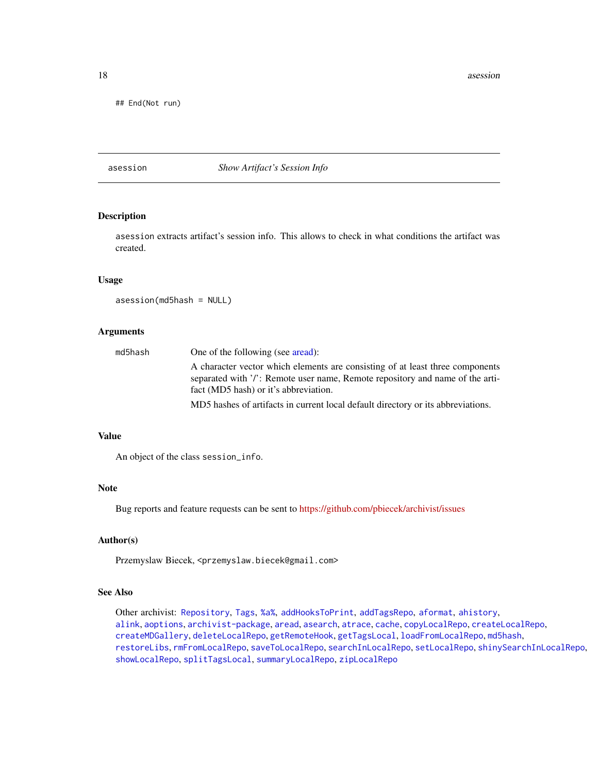<span id="page-17-0"></span>18 associated a series of the series of the series of the series of the series of the series of the series of the series of the series of the series of the series of the series of the series of the series of the series of

## End(Not run)

#### <span id="page-17-1"></span>asession *Show Artifact's Session Info*

# Description

asession extracts artifact's session info. This allows to check in what conditions the artifact was created.

#### Usage

asession(md5hash = NULL)

# Arguments

| md5hash | One of the following (see aread):                                                                                                                                                                       |
|---------|---------------------------------------------------------------------------------------------------------------------------------------------------------------------------------------------------------|
|         | A character vector which elements are consisting of at least three components<br>separated with '/': Remote user name, Remote repository and name of the arti-<br>fact (MD5 hash) or it's abbreviation. |
|         | MD5 hashes of artifacts in current local default directory or its abbreviations.                                                                                                                        |

# Value

An object of the class session\_info.

# Note

Bug reports and feature requests can be sent to <https://github.com/pbiecek/archivist/issues>

#### Author(s)

Przemyslaw Biecek, <przemyslaw.biecek@gmail.com>

# See Also

Other archivist: [Repository](#page-37-1), [Tags](#page-63-1), [%a%](#page-72-1), [addHooksToPrint](#page-3-1), [addTagsRepo](#page-4-1), [aformat](#page-6-1), [ahistory](#page-7-1), [alink](#page-9-1), [aoptions](#page-11-1), [archivist-package](#page-2-1), [aread](#page-13-1), [asearch](#page-14-1), [atrace](#page-18-1), [cache](#page-19-1), [copyLocalRepo](#page-21-1), [createLocalRepo](#page-24-1), [createMDGallery](#page-25-1), [deleteLocalRepo](#page-27-1), [getRemoteHook](#page-28-1), [getTagsLocal](#page-29-1), [loadFromLocalRepo](#page-32-1), [md5hash](#page-36-1), [restoreLibs](#page-39-1), [rmFromLocalRepo](#page-40-1), [saveToLocalRepo](#page-47-1), [searchInLocalRepo](#page-50-1), [setLocalRepo](#page-53-1), [shinySearchInLocalRepo](#page-56-1), [showLocalRepo](#page-57-1), [splitTagsLocal](#page-60-1), [summaryLocalRepo](#page-61-1), [zipLocalRepo](#page-70-1)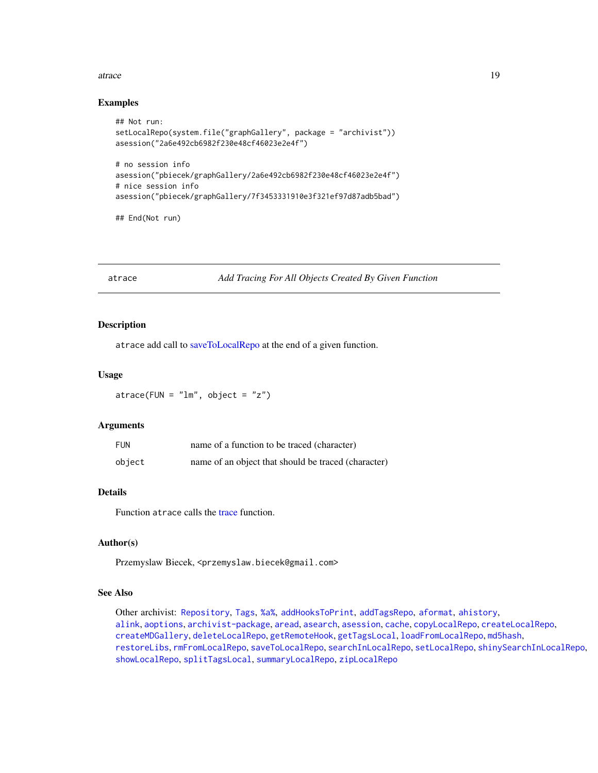#### <span id="page-18-0"></span>atrace and the set of the set of the set of the set of the set of the set of the set of the set of the set of the set of the set of the set of the set of the set of the set of the set of the set of the set of the set of th

## Examples

```
## Not run:
setLocalRepo(system.file("graphGallery", package = "archivist"))
asession("2a6e492cb6982f230e48cf46023e2e4f")
# no session info
asession("pbiecek/graphGallery/2a6e492cb6982f230e48cf46023e2e4f")
# nice session info
asession("pbiecek/graphGallery/7f3453331910e3f321ef97d87adb5bad")
```
## End(Not run)

<span id="page-18-1"></span>atrace *Add Tracing For All Objects Created By Given Function*

# Description

atrace add call to [saveToLocalRepo](#page-47-1) at the end of a given function.

# Usage

 $\text{atrace}(\text{FUN} = "lm", \text{ object} = "z")$ 

## Arguments

| <b>FUN</b> | name of a function to be traced (character)         |
|------------|-----------------------------------------------------|
| object     | name of an object that should be traced (character) |

#### Details

Function atrace calls the [trace](#page-0-0) function.

# Author(s)

Przemyslaw Biecek, <przemyslaw.biecek@gmail.com>

## See Also

Other archivist: [Repository](#page-37-1), [Tags](#page-63-1), [%a%](#page-72-1), [addHooksToPrint](#page-3-1), [addTagsRepo](#page-4-1), [aformat](#page-6-1), [ahistory](#page-7-1), [alink](#page-9-1), [aoptions](#page-11-1), [archivist-package](#page-2-1), [aread](#page-13-1), [asearch](#page-14-1), [asession](#page-17-1), [cache](#page-19-1), [copyLocalRepo](#page-21-1), [createLocalRepo](#page-24-1), [createMDGallery](#page-25-1), [deleteLocalRepo](#page-27-1), [getRemoteHook](#page-28-1), [getTagsLocal](#page-29-1), [loadFromLocalRepo](#page-32-1), [md5hash](#page-36-1), [restoreLibs](#page-39-1), [rmFromLocalRepo](#page-40-1), [saveToLocalRepo](#page-47-1), [searchInLocalRepo](#page-50-1), [setLocalRepo](#page-53-1), [shinySearchInLocalRepo](#page-56-1), [showLocalRepo](#page-57-1), [splitTagsLocal](#page-60-1), [summaryLocalRepo](#page-61-1), [zipLocalRepo](#page-70-1)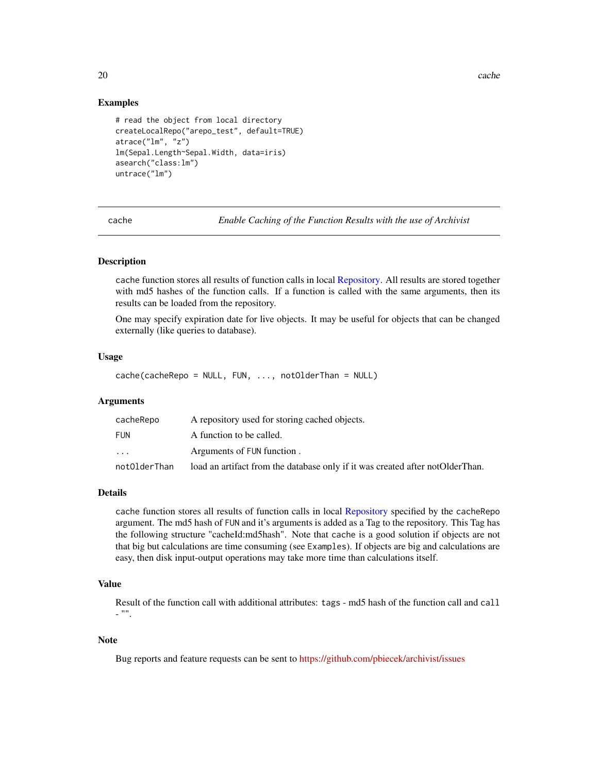20 cache and 20 cases and 20 cases and 20 cases and 20 cases and 20 cases and 20 cases and 20 cases and 20 cases and 20 cases and 20 cases and 20 cases and 20 cases and 20 cases and 20 cases and 20 cases and 20 cases and 2

# Examples

```
# read the object from local directory
createLocalRepo("arepo_test", default=TRUE)
atrace("lm", "z")
lm(Sepal.Length~Sepal.Width, data=iris)
asearch("class:lm")
untrace("lm")
```
<span id="page-19-1"></span>cache *Enable Caching of the Function Results with the use of Archivist*

## Description

cache function stores all results of function calls in local [Repository.](#page-37-1) All results are stored together with md5 hashes of the function calls. If a function is called with the same arguments, then its results can be loaded from the repository.

One may specify expiration date for live objects. It may be useful for objects that can be changed externally (like queries to database).

# Usage

cache(cacheRepo = NULL, FUN, ..., notOlderThan = NULL)

## Arguments

| cacheRepo    | A repository used for storing cached objects.                                 |
|--------------|-------------------------------------------------------------------------------|
| FUN          | A function to be called.                                                      |
| $\ddotsc$    | Arguments of FUN function.                                                    |
| notOlderThan | load an artifact from the database only if it was created after notOlderThan. |

# Details

cache function stores all results of function calls in local [Repository](#page-37-1) specified by the cacheRepo argument. The md5 hash of FUN and it's arguments is added as a Tag to the repository. This Tag has the following structure "cacheId:md5hash". Note that cache is a good solution if objects are not that big but calculations are time consuming (see Examples). If objects are big and calculations are easy, then disk input-output operations may take more time than calculations itself.

# Value

Result of the function call with additional attributes: tags - md5 hash of the function call and call - "".

# Note

Bug reports and feature requests can be sent to <https://github.com/pbiecek/archivist/issues>

<span id="page-19-0"></span>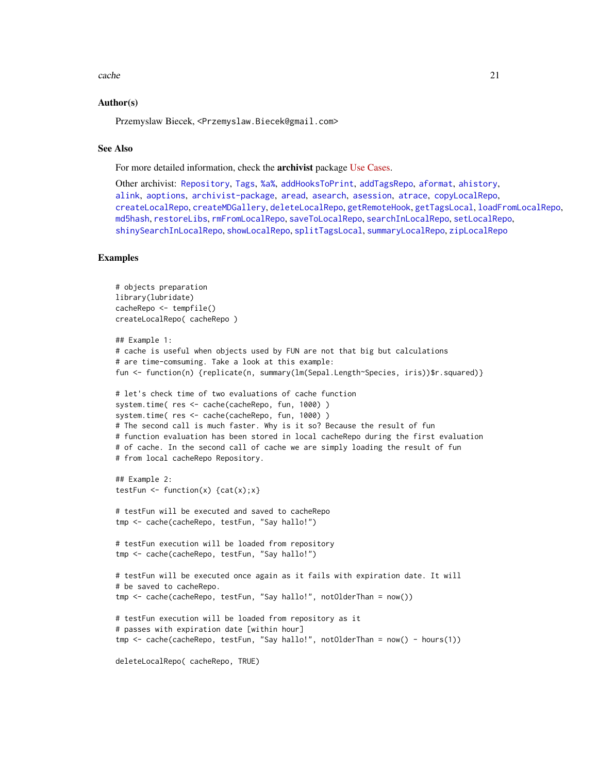#### cache 21

#### Author(s)

Przemyslaw Biecek, <Przemyslaw.Biecek@gmail.com>

# See Also

For more detailed information, check the archivist package [Use Cases.](https://github.com/pbiecek/archivist#-the-list-of-use-cases-)

Other archivist: [Repository](#page-37-1), [Tags](#page-63-1), [%a%](#page-72-1), [addHooksToPrint](#page-3-1), [addTagsRepo](#page-4-1), [aformat](#page-6-1), [ahistory](#page-7-1), [alink](#page-9-1), [aoptions](#page-11-1), [archivist-package](#page-2-1), [aread](#page-13-1), [asearch](#page-14-1), [asession](#page-17-1), [atrace](#page-18-1), [copyLocalRepo](#page-21-1), [createLocalRepo](#page-24-1), [createMDGallery](#page-25-1), [deleteLocalRepo](#page-27-1), [getRemoteHook](#page-28-1), [getTagsLocal](#page-29-1), [loadFromLocalRepo](#page-32-1), [md5hash](#page-36-1), [restoreLibs](#page-39-1), [rmFromLocalRepo](#page-40-1), [saveToLocalRepo](#page-47-1), [searchInLocalRepo](#page-50-1), [setLocalRepo](#page-53-1), [shinySearchInLocalRepo](#page-56-1), [showLocalRepo](#page-57-1), [splitTagsLocal](#page-60-1), [summaryLocalRepo](#page-61-1), [zipLocalRepo](#page-70-1)

# Examples

```
# objects preparation
library(lubridate)
cacheRepo <- tempfile()
createLocalRepo( cacheRepo )
## Example 1:
# cache is useful when objects used by FUN are not that big but calculations
# are time-comsuming. Take a look at this example:
fun <- function(n) {replicate(n, summary(lm(Sepal.Length~Species, iris))$r.squared)}
# let's check time of two evaluations of cache function
system.time( res <- cache(cacheRepo, fun, 1000) )
system.time( res <- cache(cacheRepo, fun, 1000) )
# The second call is much faster. Why is it so? Because the result of fun
# function evaluation has been stored in local cacheRepo during the first evaluation
# of cache. In the second call of cache we are simply loading the result of fun
# from local cacheRepo Repository.
## Example 2:
testFun \left\{ - \text{function}(x) \right\} {cat(x); x}
# testFun will be executed and saved to cacheRepo
tmp <- cache(cacheRepo, testFun, "Say hallo!")
# testFun execution will be loaded from repository
tmp <- cache(cacheRepo, testFun, "Say hallo!")
# testFun will be executed once again as it fails with expiration date. It will
# be saved to cacheRepo.
tmp <- cache(cacheRepo, testFun, "Say hallo!", notOlderThan = now())
# testFun execution will be loaded from repository as it
# passes with expiration date [within hour]
tmp <- cache(cacheRepo, testFun, "Say hallo!", notOlderThan = now() - hours(1))
deleteLocalRepo( cacheRepo, TRUE)
```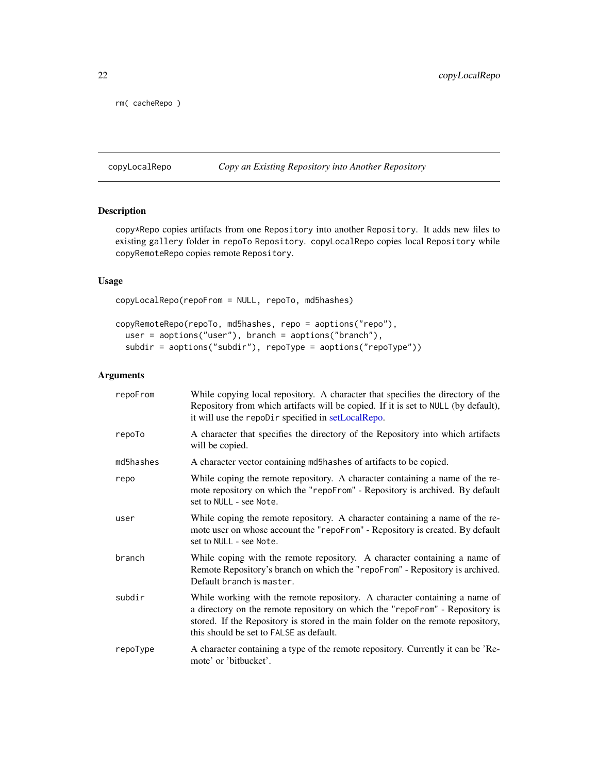<span id="page-21-0"></span>rm( cacheRepo )

<span id="page-21-1"></span>copyLocalRepo *Copy an Existing Repository into Another Repository*

# Description

copy\*Repo copies artifacts from one Repository into another Repository. It adds new files to existing gallery folder in repoTo Repository. copyLocalRepo copies local Repository while copyRemoteRepo copies remote Repository.

# Usage

copyLocalRepo(repoFrom = NULL, repoTo, md5hashes)

```
copyRemoteRepo(repoTo, md5hashes, repo = aoptions("repo"),
 user = aoptions("user"), branch = aoptions("branch"),
  subdir = aoptions("subdir"), repoType = aoptions("repoType"))
```
# Arguments

| repoFrom  | While copying local repository. A character that specifies the directory of the<br>Repository from which artifacts will be copied. If it is set to NULL (by default),<br>it will use the repoDir specified in setLocalRepo.                                                               |
|-----------|-------------------------------------------------------------------------------------------------------------------------------------------------------------------------------------------------------------------------------------------------------------------------------------------|
| repoTo    | A character that specifies the directory of the Repository into which artifacts<br>will be copied.                                                                                                                                                                                        |
| md5hashes | A character vector containing md5hashes of artifacts to be copied.                                                                                                                                                                                                                        |
| repo      | While coping the remote repository. A character containing a name of the re-<br>mote repository on which the "repoFrom" - Repository is archived. By default<br>set to NULL - see Note.                                                                                                   |
| user      | While coping the remote repository. A character containing a name of the re-<br>mote user on whose account the "repoFrom" - Repository is created. By default<br>set to NULL - see Note.                                                                                                  |
| branch    | While coping with the remote repository. A character containing a name of<br>Remote Repository's branch on which the "repoFrom" - Repository is archived.<br>Default branch is master.                                                                                                    |
| subdir    | While working with the remote repository. A character containing a name of<br>a directory on the remote repository on which the "repoFrom" - Repository is<br>stored. If the Repository is stored in the main folder on the remote repository,<br>this should be set to FALSE as default. |
| repoType  | A character containing a type of the remote repository. Currently it can be 'Re-<br>mote' or 'bitbucket'.                                                                                                                                                                                 |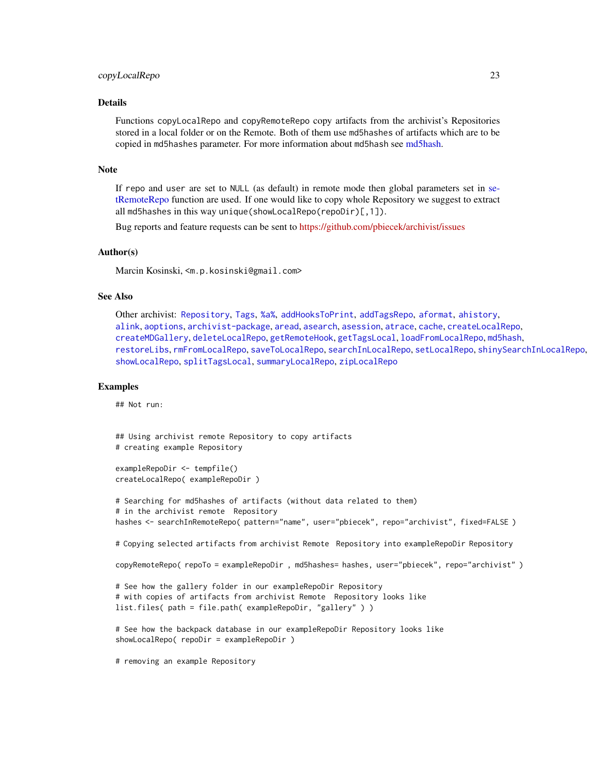# copyLocalRepo 23

# Details

Functions copyLocalRepo and copyRemoteRepo copy artifacts from the archivist's Repositories stored in a local folder or on the Remote. Both of them use md5hashes of artifacts which are to be copied in md5hashes parameter. For more information about md5hash see [md5hash.](#page-36-1)

#### Note

If repo and user are set to NULL (as default) in remote mode then global parameters set in [se](#page-53-2)[tRemoteRepo](#page-53-2) function are used. If one would like to copy whole Repository we suggest to extract all md5hashes in this way unique(showLocalRepo(repoDir)[,1]).

Bug reports and feature requests can be sent to <https://github.com/pbiecek/archivist/issues>

## Author(s)

Marcin Kosinski, <m.p.kosinski@gmail.com>

# See Also

Other archivist: [Repository](#page-37-1), [Tags](#page-63-1), [%a%](#page-72-1), [addHooksToPrint](#page-3-1), [addTagsRepo](#page-4-1), [aformat](#page-6-1), [ahistory](#page-7-1), [alink](#page-9-1), [aoptions](#page-11-1), [archivist-package](#page-2-1), [aread](#page-13-1), [asearch](#page-14-1), [asession](#page-17-1), [atrace](#page-18-1), [cache](#page-19-1), [createLocalRepo](#page-24-1), [createMDGallery](#page-25-1), [deleteLocalRepo](#page-27-1), [getRemoteHook](#page-28-1), [getTagsLocal](#page-29-1), [loadFromLocalRepo](#page-32-1), [md5hash](#page-36-1), [restoreLibs](#page-39-1), [rmFromLocalRepo](#page-40-1), [saveToLocalRepo](#page-47-1), [searchInLocalRepo](#page-50-1), [setLocalRepo](#page-53-1), [shinySearchInLocalRepo](#page-56-1), [showLocalRepo](#page-57-1), [splitTagsLocal](#page-60-1), [summaryLocalRepo](#page-61-1), [zipLocalRepo](#page-70-1)

# Examples

## Not run:

## Using archivist remote Repository to copy artifacts # creating example Repository

```
exampleRepoDir <- tempfile()
createLocalRepo( exampleRepoDir )
```

```
# Searching for md5hashes of artifacts (without data related to them)
# in the archivist remote Repository
hashes <- searchInRemoteRepo( pattern="name", user="pbiecek", repo="archivist", fixed=FALSE)
```

```
# Copying selected artifacts from archivist Remote Repository into exampleRepoDir Repository
```
copyRemoteRepo( repoTo = exampleRepoDir , md5hashes= hashes, user="pbiecek", repo="archivist" )

```
# See how the gallery folder in our exampleRepoDir Repository
# with copies of artifacts from archivist Remote Repository looks like
list.files( path = file.path( exampleRepoDir, "gallery" ) )
```

```
# See how the backpack database in our exampleRepoDir Repository looks like
showLocalRepo( repoDir = exampleRepoDir )
```
# removing an example Repository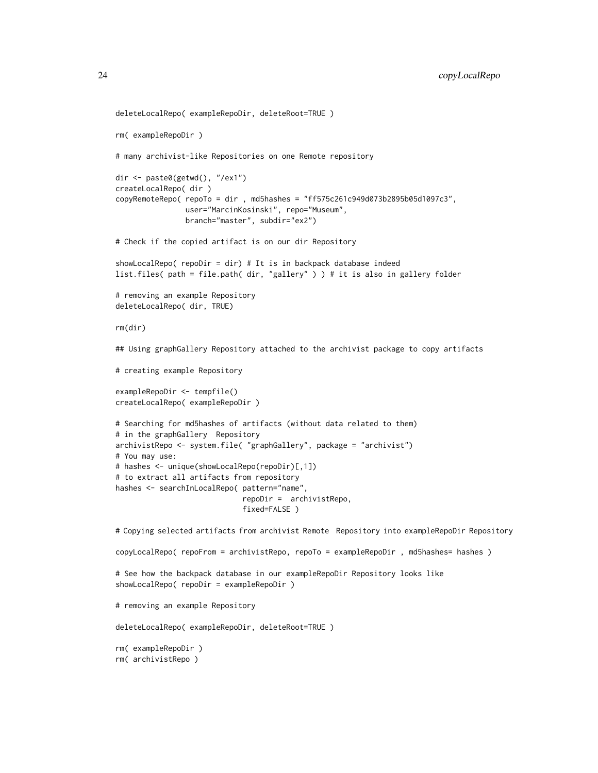```
deleteLocalRepo( exampleRepoDir, deleteRoot=TRUE )
rm( exampleRepoDir )
# many archivist-like Repositories on one Remote repository
dir <- paste0(getwd(), "/ex1")
createLocalRepo( dir )
copyRemoteRepo( repoTo = dir , md5hashes = "ff575c261c949d073b2895b05d1097c3",
                user="MarcinKosinski", repo="Museum",
                branch="master", subdir="ex2")
# Check if the copied artifact is on our dir Repository
showLocalRepo( repoDir = dir) # It is in backpack database indeed
list.files( path = file.path( dir, "gallery" ) ) # it is also in gallery folder
# removing an example Repository
deleteLocalRepo( dir, TRUE)
rm(dir)
## Using graphGallery Repository attached to the archivist package to copy artifacts
# creating example Repository
exampleRepoDir <- tempfile()
createLocalRepo( exampleRepoDir )
# Searching for md5hashes of artifacts (without data related to them)
# in the graphGallery Repository
archivistRepo <- system.file( "graphGallery", package = "archivist")
# You may use:
# hashes <- unique(showLocalRepo(repoDir)[,1])
# to extract all artifacts from repository
hashes <- searchInLocalRepo( pattern="name",
                            repoDir = archivistRepo,
                             fixed=FALSE )
# Copying selected artifacts from archivist Remote Repository into exampleRepoDir Repository
copyLocalRepo( repoFrom = archivistRepo, repoTo = exampleRepoDir , md5hashes= hashes )
# See how the backpack database in our exampleRepoDir Repository looks like
showLocalRepo( repoDir = exampleRepoDir )
# removing an example Repository
deleteLocalRepo( exampleRepoDir, deleteRoot=TRUE )
rm( exampleRepoDir )
rm( archivistRepo )
```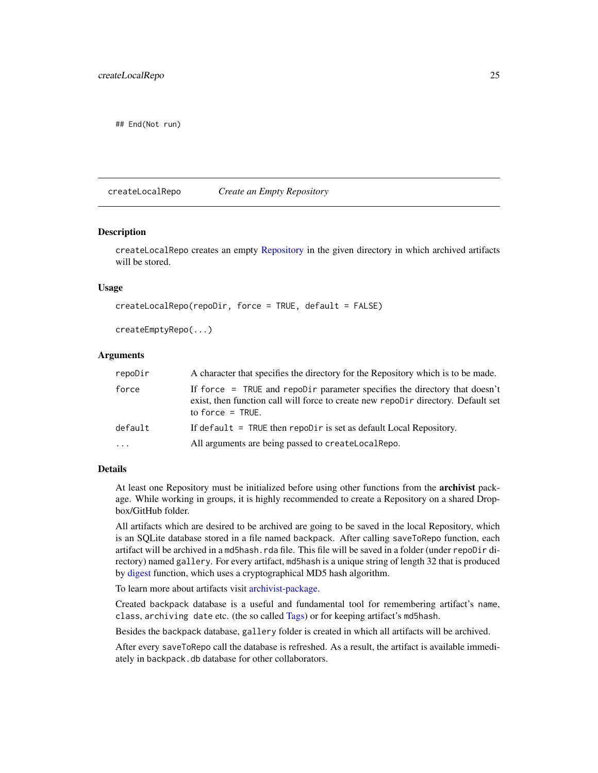<span id="page-24-0"></span>## End(Not run)

<span id="page-24-1"></span>createLocalRepo *Create an Empty Repository*

#### **Description**

createLocalRepo creates an empty [Repository](#page-37-1) in the given directory in which archived artifacts will be stored.

# Usage

```
createLocalRepo(repoDir, force = TRUE, default = FALSE)
```

```
createEmptyRepo(...)
```
# Arguments

| repoDir | A character that specifies the directory for the Repository which is to be made.                                                                                                       |
|---------|----------------------------------------------------------------------------------------------------------------------------------------------------------------------------------------|
| force   | If force = TRUE and repoDir parameter specifies the directory that doesn't<br>exist, then function call will force to create new repobler directory. Default set<br>to force $=$ TRUE. |
| default | If default $=$ TRUE then repoltic is set as default Local Repository.                                                                                                                  |
| $\cdot$ | All arguments are being passed to create Local Repo.                                                                                                                                   |

## Details

At least one Repository must be initialized before using other functions from the **archivist** package. While working in groups, it is highly recommended to create a Repository on a shared Dropbox/GitHub folder.

All artifacts which are desired to be archived are going to be saved in the local Repository, which is an SQLite database stored in a file named backpack. After calling saveToRepo function, each artifact will be archived in a md5hash.rda file. This file will be saved in a folder (under repoDir directory) named gallery. For every artifact, md5hash is a unique string of length 32 that is produced by [digest](#page-0-0) function, which uses a cryptographical MD5 hash algorithm.

To learn more about artifacts visit [archivist-package.](#page-2-1)

Created backpack database is a useful and fundamental tool for remembering artifact's name, class, archiving date etc. (the so called [Tags\)](#page-63-1) or for keeping artifact's md5hash.

Besides the backpack database, gallery folder is created in which all artifacts will be archived.

After every saveToRepo call the database is refreshed. As a result, the artifact is available immediately in backpack.db database for other collaborators.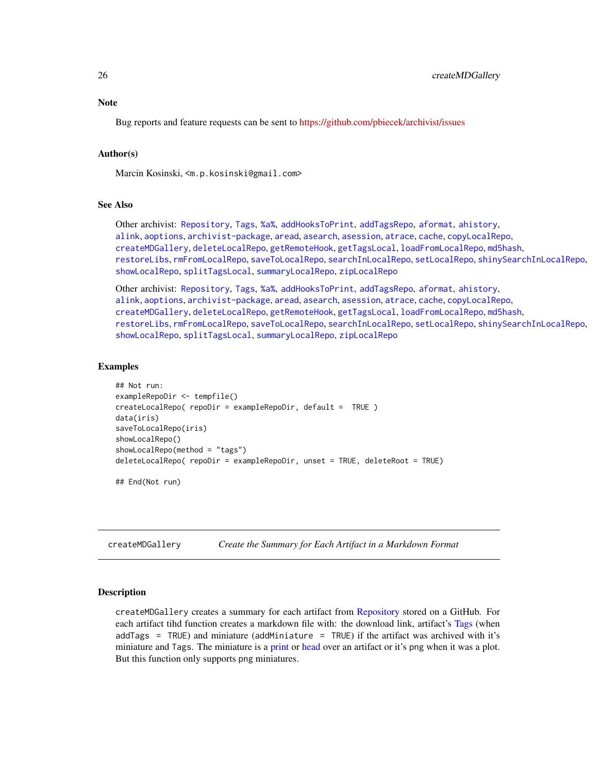# <span id="page-25-0"></span>**Note**

Bug reports and feature requests can be sent to <https://github.com/pbiecek/archivist/issues>

#### Author(s)

Marcin Kosinski, <m.p.kosinski@gmail.com>

# See Also

Other archivist: [Repository](#page-37-1), [Tags](#page-63-1), [%a%](#page-72-1), [addHooksToPrint](#page-3-1), [addTagsRepo](#page-4-1), [aformat](#page-6-1), [ahistory](#page-7-1), [alink](#page-9-1), [aoptions](#page-11-1), [archivist-package](#page-2-1), [aread](#page-13-1), [asearch](#page-14-1), [asession](#page-17-1), [atrace](#page-18-1), [cache](#page-19-1), [copyLocalRepo](#page-21-1), [createMDGallery](#page-25-1), [deleteLocalRepo](#page-27-1), [getRemoteHook](#page-28-1), [getTagsLocal](#page-29-1), [loadFromLocalRepo](#page-32-1), [md5hash](#page-36-1), [restoreLibs](#page-39-1), [rmFromLocalRepo](#page-40-1), [saveToLocalRepo](#page-47-1), [searchInLocalRepo](#page-50-1), [setLocalRepo](#page-53-1), [shinySearchInLocalRepo](#page-56-1), [showLocalRepo](#page-57-1), [splitTagsLocal](#page-60-1), [summaryLocalRepo](#page-61-1), [zipLocalRepo](#page-70-1)

Other archivist: [Repository](#page-37-1), [Tags](#page-63-1), [%a%](#page-72-1), [addHooksToPrint](#page-3-1), [addTagsRepo](#page-4-1), [aformat](#page-6-1), [ahistory](#page-7-1), [alink](#page-9-1), [aoptions](#page-11-1), [archivist-package](#page-2-1), [aread](#page-13-1), [asearch](#page-14-1), [asession](#page-17-1), [atrace](#page-18-1), [cache](#page-19-1), [copyLocalRepo](#page-21-1), [createMDGallery](#page-25-1), [deleteLocalRepo](#page-27-1), [getRemoteHook](#page-28-1), [getTagsLocal](#page-29-1), [loadFromLocalRepo](#page-32-1), [md5hash](#page-36-1), [restoreLibs](#page-39-1), [rmFromLocalRepo](#page-40-1), [saveToLocalRepo](#page-47-1), [searchInLocalRepo](#page-50-1), [setLocalRepo](#page-53-1), [shinySearchInLocalRepo](#page-56-1), [showLocalRepo](#page-57-1), [splitTagsLocal](#page-60-1), [summaryLocalRepo](#page-61-1), [zipLocalRepo](#page-70-1)

## Examples

```
## Not run:
exampleRepoDir <- tempfile()
createLocalRepo( repoDir = exampleRepoDir, default = TRUE )
data(iris)
saveToLocalRepo(iris)
showLocalRepo()
showLocalRepo(method = "tags")
deleteLocalRepo( repoDir = exampleRepoDir, unset = TRUE, deleteRoot = TRUE)
```
## End(Not run)

<span id="page-25-1"></span>createMDGallery *Create the Summary for Each Artifact in a Markdown Format*

#### **Description**

createMDGallery creates a summary for each artifact from [Repository](#page-37-1) stored on a GitHub. For each artifact tihd function creates a markdown file with: the download link, artifact's [Tags](#page-63-1) (when addTags = TRUE) and miniature (addMiniature = TRUE) if the artifact was archived with it's miniature and Tags. The miniature is a [print](#page-0-0) or [head](#page-0-0) over an artifact or it's png when it was a plot. But this function only supports png miniatures.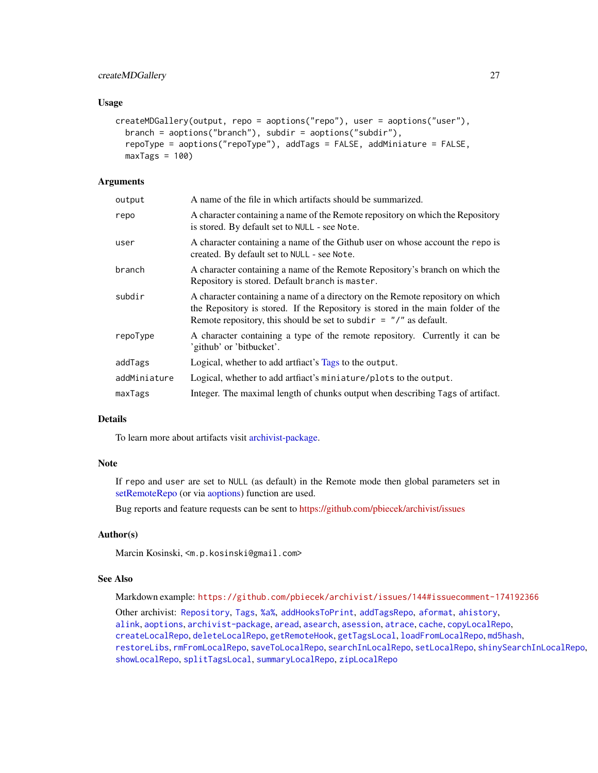# createMDGallery 27

# Usage

```
createMDGallery(output, repo = aoptions("repo"), user = aoptions("user"),
 branch = aoptions("branch"), subdir = aoptions("subdir"),
  repoType = aoptions("repoType"), addTags = FALSE, addMiniature = FALSE,
 maxTags = 100
```
# **Arguments**

| output       | A name of the file in which artifacts should be summarized.                                                                                                                                                                              |
|--------------|------------------------------------------------------------------------------------------------------------------------------------------------------------------------------------------------------------------------------------------|
| repo         | A character containing a name of the Remote repository on which the Repository<br>is stored. By default set to NULL - see Note.                                                                                                          |
| user         | A character containing a name of the Github user on whose account the repo is<br>created. By default set to NULL - see Note.                                                                                                             |
| branch       | A character containing a name of the Remote Repository's branch on which the<br>Repository is stored. Default branch is master.                                                                                                          |
| subdir       | A character containing a name of a directory on the Remote repository on which<br>the Repository is stored. If the Repository is stored in the main folder of the<br>Remote repository, this should be set to subdir $=$ "/" as default. |
| repoType     | A character containing a type of the remote repository. Currently it can be<br>'github' or 'bitbucket'.                                                                                                                                  |
| addTags      | Logical, whether to add artflact's Tags to the output.                                                                                                                                                                                   |
| addMiniature | Logical, whether to add artifact's miniature/plots to the output.                                                                                                                                                                        |
| maxTags      | Integer. The maximal length of chunks output when describing Tags of artifact.                                                                                                                                                           |
|              |                                                                                                                                                                                                                                          |

# Details

To learn more about artifacts visit [archivist-package.](#page-2-1)

# Note

If repo and user are set to NULL (as default) in the Remote mode then global parameters set in [setRemoteRepo](#page-53-2) (or via [aoptions\)](#page-11-1) function are used.

Bug reports and feature requests can be sent to <https://github.com/pbiecek/archivist/issues>

#### Author(s)

Marcin Kosinski, <m.p.kosinski@gmail.com>

# See Also

Markdown example: <https://github.com/pbiecek/archivist/issues/144#issuecomment-174192366>

Other archivist: [Repository](#page-37-1), [Tags](#page-63-1), [%a%](#page-72-1), [addHooksToPrint](#page-3-1), [addTagsRepo](#page-4-1), [aformat](#page-6-1), [ahistory](#page-7-1), [alink](#page-9-1), [aoptions](#page-11-1), [archivist-package](#page-2-1), [aread](#page-13-1), [asearch](#page-14-1), [asession](#page-17-1), [atrace](#page-18-1), [cache](#page-19-1), [copyLocalRepo](#page-21-1), [createLocalRepo](#page-24-1), [deleteLocalRepo](#page-27-1), [getRemoteHook](#page-28-1), [getTagsLocal](#page-29-1), [loadFromLocalRepo](#page-32-1), [md5hash](#page-36-1), [restoreLibs](#page-39-1), [rmFromLocalRepo](#page-40-1), [saveToLocalRepo](#page-47-1), [searchInLocalRepo](#page-50-1), [setLocalRepo](#page-53-1), [shinySearchInLocalRepo](#page-56-1), [showLocalRepo](#page-57-1), [splitTagsLocal](#page-60-1), [summaryLocalRepo](#page-61-1), [zipLocalRepo](#page-70-1)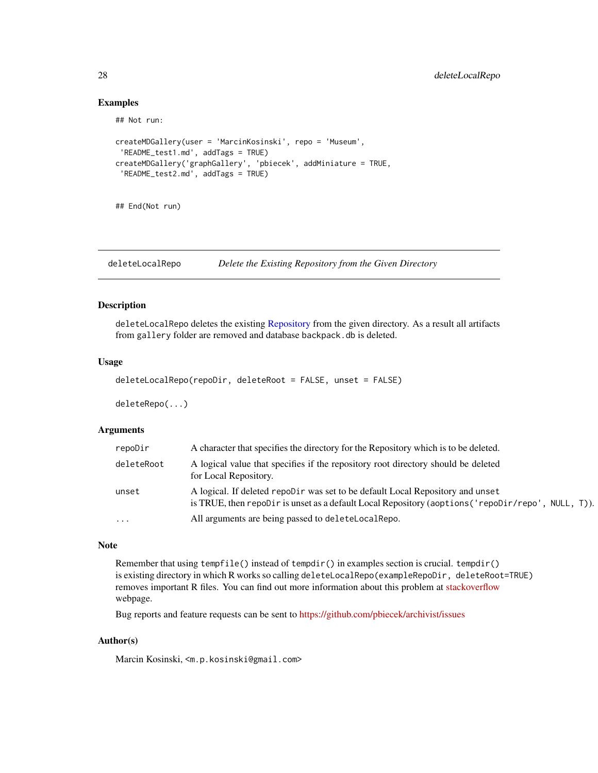# Examples

## Not run:

```
createMDGallery(user = 'MarcinKosinski', repo = 'Museum',
 'README_test1.md', addTags = TRUE)
createMDGallery('graphGallery', 'pbiecek', addMiniature = TRUE,
 'README_test2.md', addTags = TRUE)
```
## End(Not run)

<span id="page-27-1"></span>deleteLocalRepo *Delete the Existing Repository from the Given Directory*

# Description

deleteLocalRepo deletes the existing [Repository](#page-37-1) from the given directory. As a result all artifacts from gallery folder are removed and database backpack.db is deleted.

# Usage

```
deleteLocalRepo(repoDir, deleteRoot = FALSE, unset = FALSE)
```
deleteRepo(...)

#### Arguments

| repoDir    | A character that specifies the directory for the Repository which is to be deleted.                                                                                                  |
|------------|--------------------------------------------------------------------------------------------------------------------------------------------------------------------------------------|
| deleteRoot | A logical value that specifies if the repository root directory should be deleted<br>for Local Repository.                                                                           |
| unset      | A logical. If deleted repobir was set to be default Local Repository and unset<br>is TRUE, then repoDir is unset as a default Local Repository (aoptions ('repoDir/repo', NULL, T)). |
| $\cdots$   | All arguments are being passed to deleteLocalRepo.                                                                                                                                   |

# Note

Remember that using tempfile() instead of tempdir() in examples section is crucial. tempdir() is existing directory in which R works so calling deleteLocalRepo(exampleRepoDir, deleteRoot=TRUE) removes important R files. You can find out more information about this problem at [stackoverflow](http://stackoverflow.com/questions/22325820/unlink-function-causing-an-error-for-consequent-and-plot-functions) webpage.

Bug reports and feature requests can be sent to <https://github.com/pbiecek/archivist/issues>

## Author(s)

Marcin Kosinski, <m.p.kosinski@gmail.com>

<span id="page-27-0"></span>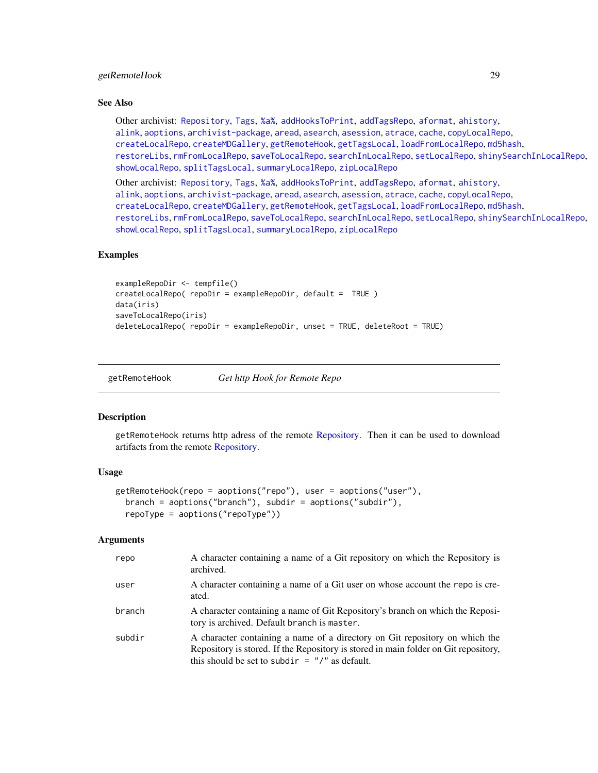# <span id="page-28-0"></span>getRemoteHook 29

## See Also

Other archivist: [Repository](#page-37-1), [Tags](#page-63-1), [%a%](#page-72-1), [addHooksToPrint](#page-3-1), [addTagsRepo](#page-4-1), [aformat](#page-6-1), [ahistory](#page-7-1), [alink](#page-9-1), [aoptions](#page-11-1), [archivist-package](#page-2-1), [aread](#page-13-1), [asearch](#page-14-1), [asession](#page-17-1), [atrace](#page-18-1), [cache](#page-19-1), [copyLocalRepo](#page-21-1), [createLocalRepo](#page-24-1), [createMDGallery](#page-25-1), [getRemoteHook](#page-28-1), [getTagsLocal](#page-29-1), [loadFromLocalRepo](#page-32-1), [md5hash](#page-36-1), [restoreLibs](#page-39-1), [rmFromLocalRepo](#page-40-1), [saveToLocalRepo](#page-47-1), [searchInLocalRepo](#page-50-1), [setLocalRepo](#page-53-1), [shinySearchInLocalRepo](#page-56-1), [showLocalRepo](#page-57-1), [splitTagsLocal](#page-60-1), [summaryLocalRepo](#page-61-1), [zipLocalRepo](#page-70-1)

Other archivist: [Repository](#page-37-1), [Tags](#page-63-1), [%a%](#page-72-1), [addHooksToPrint](#page-3-1), [addTagsRepo](#page-4-1), [aformat](#page-6-1), [ahistory](#page-7-1), [alink](#page-9-1), [aoptions](#page-11-1), [archivist-package](#page-2-1), [aread](#page-13-1), [asearch](#page-14-1), [asession](#page-17-1), [atrace](#page-18-1), [cache](#page-19-1), [copyLocalRepo](#page-21-1), [createLocalRepo](#page-24-1), [createMDGallery](#page-25-1), [getRemoteHook](#page-28-1), [getTagsLocal](#page-29-1), [loadFromLocalRepo](#page-32-1), [md5hash](#page-36-1), [restoreLibs](#page-39-1), [rmFromLocalRepo](#page-40-1), [saveToLocalRepo](#page-47-1), [searchInLocalRepo](#page-50-1), [setLocalRepo](#page-53-1), [shinySearchInLocalRepo](#page-56-1), [showLocalRepo](#page-57-1), [splitTagsLocal](#page-60-1), [summaryLocalRepo](#page-61-1), [zipLocalRepo](#page-70-1)

# Examples

```
exampleRepoDir <- tempfile()
createLocalRepo( repoDir = exampleRepoDir, default = TRUE )
data(iris)
saveToLocalRepo(iris)
deleteLocalRepo( repoDir = exampleRepoDir, unset = TRUE, deleteRoot = TRUE)
```
<span id="page-28-1"></span>getRemoteHook *Get http Hook for Remote Repo*

#### **Description**

getRemoteHook returns http adress of the remote [Repository.](#page-37-1) Then it can be used to download artifacts from the remote [Repository.](#page-37-1)

# Usage

```
getRemoteHook(repo = aoptions("repo"), user = aoptions("user"),
 branch = aoptions("branch"), subdir = aoptions("subdir"),
  repoType = aoptions("repoType"))
```
# Arguments

| repo   | A character containing a name of a Git repository on which the Repository is<br>archived.                                                                                                                              |
|--------|------------------------------------------------------------------------------------------------------------------------------------------------------------------------------------------------------------------------|
| user   | A character containing a name of a Git user on whose account the repo is cre-<br>ated.                                                                                                                                 |
| branch | A character containing a name of Git Repository's branch on which the Reposi-<br>tory is archived. Default branch is master.                                                                                           |
| subdir | A character containing a name of a directory on Git repository on which the<br>Repository is stored. If the Repository is stored in main folder on Git repository,<br>this should be set to subdir $=$ "/" as default. |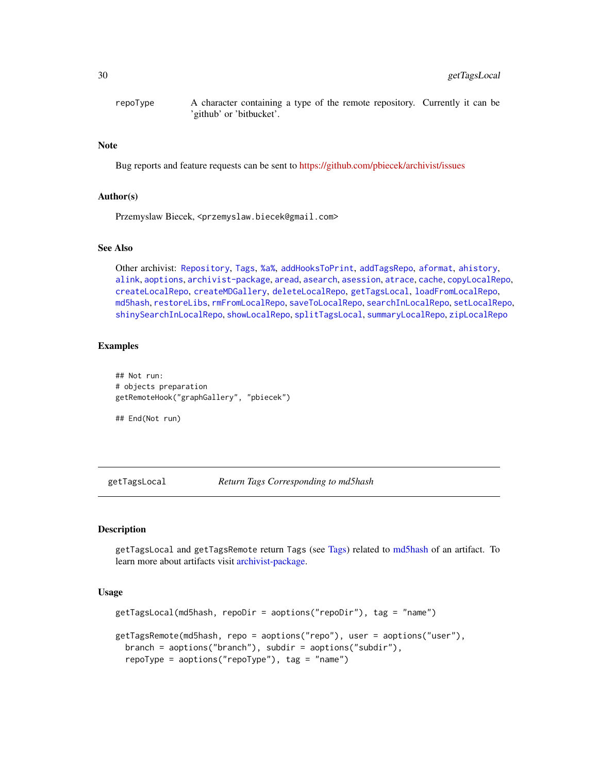<span id="page-29-0"></span>repoType A character containing a type of the remote repository. Currently it can be 'github' or 'bitbucket'.

# Note

Bug reports and feature requests can be sent to <https://github.com/pbiecek/archivist/issues>

# Author(s)

Przemyslaw Biecek, <przemyslaw.biecek@gmail.com>

# See Also

```
Other archivist: Repository, Tags, %a%, addHooksToPrint, addTagsRepo, aformat, ahistory,
alink, aoptions, archivist-package, aread, asearch, asession, atrace, cache, copyLocalRepo,
createLocalRepo, createMDGallery, deleteLocalRepo, getTagsLocal, loadFromLocalRepo,
md5hash, restoreLibs, rmFromLocalRepo, saveToLocalRepo, searchInLocalRepo, setLocalRepo,
shinySearchInLocalRepo, showLocalRepo, splitTagsLocal, summaryLocalRepo, zipLocalRepo
```
## Examples

```
## Not run:
# objects preparation
getRemoteHook("graphGallery", "pbiecek")
```
## End(Not run)

<span id="page-29-1"></span>getTagsLocal *Return Tags Corresponding to md5hash*

## Description

getTagsLocal and getTagsRemote return Tags (see [Tags\)](#page-63-1) related to [md5hash](#page-36-1) of an artifact. To learn more about artifacts visit [archivist-package.](#page-2-1)

# Usage

```
getTagsLocal(md5hash, repoDir = aoptions("repoDir"), tag = "name")
getTagsRemote(md5hash, repo = aoptions("repo"), user = aoptions("user"),
 branch = aoptions("branch"), subdir = aoptions("subdir"),
  repoType = aoptions("repoType"), tag = "name")
```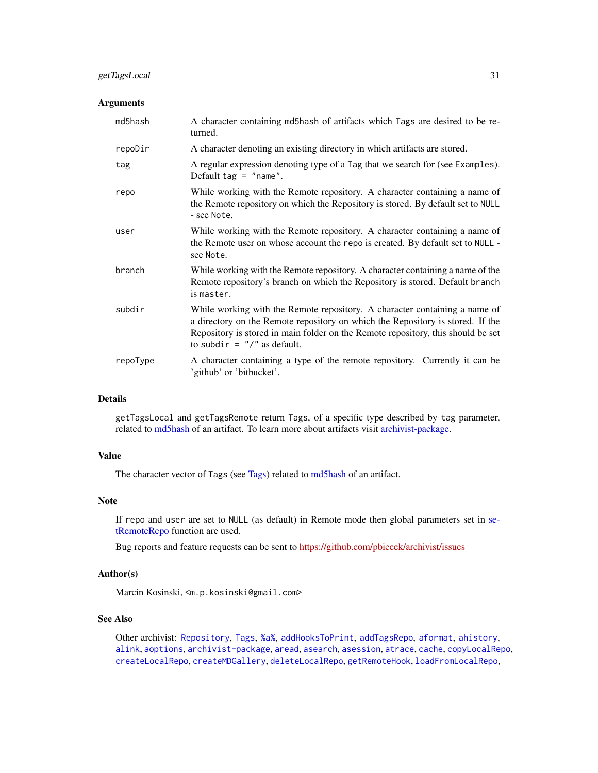# getTagsLocal 31

# Arguments

| md5hash  | A character containing md5hash of artifacts which Tags are desired to be re-<br>turned.                                                                                                                                                                                             |
|----------|-------------------------------------------------------------------------------------------------------------------------------------------------------------------------------------------------------------------------------------------------------------------------------------|
| repoDir  | A character denoting an existing directory in which artifacts are stored.                                                                                                                                                                                                           |
| tag      | A regular expression denoting type of a Tag that we search for (see Examples).<br>Default tag = $"name".$                                                                                                                                                                           |
| repo     | While working with the Remote repository. A character containing a name of<br>the Remote repository on which the Repository is stored. By default set to NULL<br>- see Note.                                                                                                        |
| user     | While working with the Remote repository. A character containing a name of<br>the Remote user on whose account the repo is created. By default set to NULL -<br>see Note.                                                                                                           |
| branch   | While working with the Remote repository. A character containing a name of the<br>Remote repository's branch on which the Repository is stored. Default branch<br>is master.                                                                                                        |
| subdir   | While working with the Remote repository. A character containing a name of<br>a directory on the Remote repository on which the Repository is stored. If the<br>Repository is stored in main folder on the Remote repository, this should be set<br>to subdir = $''/''$ as default. |
| repoType | A character containing a type of the remote repository. Currently it can be<br>'github' or 'bitbucket'.                                                                                                                                                                             |

# Details

getTagsLocal and getTagsRemote return Tags, of a specific type described by tag parameter, related to [md5hash](#page-36-1) of an artifact. To learn more about artifacts visit [archivist-package.](#page-2-1)

# Value

The character vector of Tags (see [Tags\)](#page-63-1) related to [md5hash](#page-36-1) of an artifact.

# Note

If repo and user are set to NULL (as default) in Remote mode then global parameters set in [se](#page-53-2)[tRemoteRepo](#page-53-2) function are used.

Bug reports and feature requests can be sent to <https://github.com/pbiecek/archivist/issues>

# Author(s)

Marcin Kosinski, <m.p.kosinski@gmail.com>

# See Also

Other archivist: [Repository](#page-37-1), [Tags](#page-63-1), [%a%](#page-72-1), [addHooksToPrint](#page-3-1), [addTagsRepo](#page-4-1), [aformat](#page-6-1), [ahistory](#page-7-1), [alink](#page-9-1), [aoptions](#page-11-1), [archivist-package](#page-2-1), [aread](#page-13-1), [asearch](#page-14-1), [asession](#page-17-1), [atrace](#page-18-1), [cache](#page-19-1), [copyLocalRepo](#page-21-1), [createLocalRepo](#page-24-1), [createMDGallery](#page-25-1), [deleteLocalRepo](#page-27-1), [getRemoteHook](#page-28-1), [loadFromLocalRepo](#page-32-1),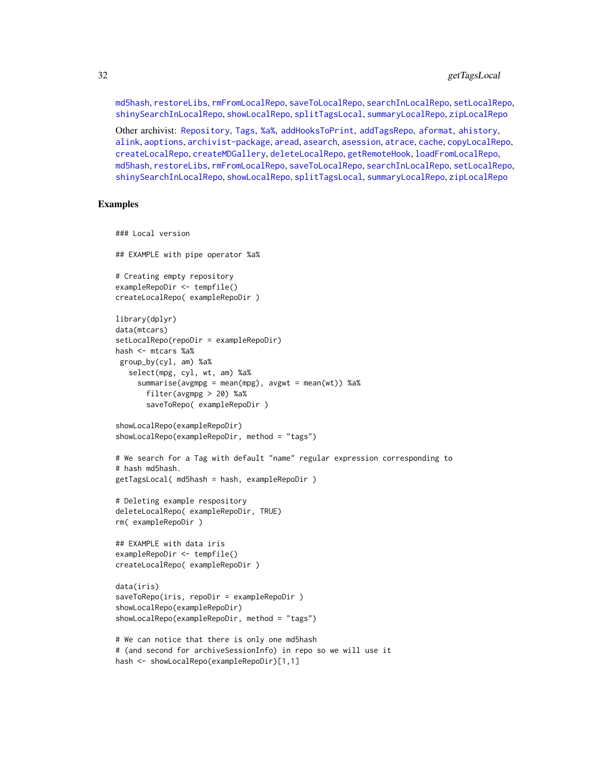[md5hash](#page-36-1), [restoreLibs](#page-39-1), [rmFromLocalRepo](#page-40-1), [saveToLocalRepo](#page-47-1), [searchInLocalRepo](#page-50-1), [setLocalRepo](#page-53-1), [shinySearchInLocalRepo](#page-56-1), [showLocalRepo](#page-57-1), [splitTagsLocal](#page-60-1), [summaryLocalRepo](#page-61-1), [zipLocalRepo](#page-70-1)

Other archivist: [Repository](#page-37-1), [Tags](#page-63-1), [%a%](#page-72-1), [addHooksToPrint](#page-3-1), [addTagsRepo](#page-4-1), [aformat](#page-6-1), [ahistory](#page-7-1), [alink](#page-9-1), [aoptions](#page-11-1), [archivist-package](#page-2-1), [aread](#page-13-1), [asearch](#page-14-1), [asession](#page-17-1), [atrace](#page-18-1), [cache](#page-19-1), [copyLocalRepo](#page-21-1), [createLocalRepo](#page-24-1), [createMDGallery](#page-25-1), [deleteLocalRepo](#page-27-1), [getRemoteHook](#page-28-1), [loadFromLocalRepo](#page-32-1), [md5hash](#page-36-1), [restoreLibs](#page-39-1), [rmFromLocalRepo](#page-40-1), [saveToLocalRepo](#page-47-1), [searchInLocalRepo](#page-50-1), [setLocalRepo](#page-53-1), [shinySearchInLocalRepo](#page-56-1), [showLocalRepo](#page-57-1), [splitTagsLocal](#page-60-1), [summaryLocalRepo](#page-61-1), [zipLocalRepo](#page-70-1)

## Examples

```
### Local version
## EXAMPLE with pipe operator %a%
# Creating empty repository
exampleRepoDir <- tempfile()
createLocalRepo( exampleRepoDir )
library(dplyr)
data(mtcars)
setLocalRepo(repoDir = exampleRepoDir)
hash <- mtcars %a%
 group_by(cyl, am) %a%
   select(mpg, cyl, wt, am) %a%
     summarise(avgmpg = mean(mpg), avgwt = mean(wt)) %a%
       filter(avgmpg > 20) %a%
       saveToRepo( exampleRepoDir )
showLocalRepo(exampleRepoDir)
showLocalRepo(exampleRepoDir, method = "tags")
# We search for a Tag with default "name" regular expression corresponding to
# hash md5hash.
getTagsLocal( md5hash = hash, exampleRepoDir )
# Deleting example respository
deleteLocalRepo( exampleRepoDir, TRUE)
rm( exampleRepoDir )
## EXAMPLE with data iris
exampleRepoDir <- tempfile()
createLocalRepo( exampleRepoDir )
data(iris)
saveToRepo(iris, repoDir = exampleRepoDir )
showLocalRepo(exampleRepoDir)
showLocalRepo(exampleRepoDir, method = "tags")
# We can notice that there is only one md5hash
# (and second for archiveSessionInfo) in repo so we will use it
hash <- showLocalRepo(exampleRepoDir)[1,1]
```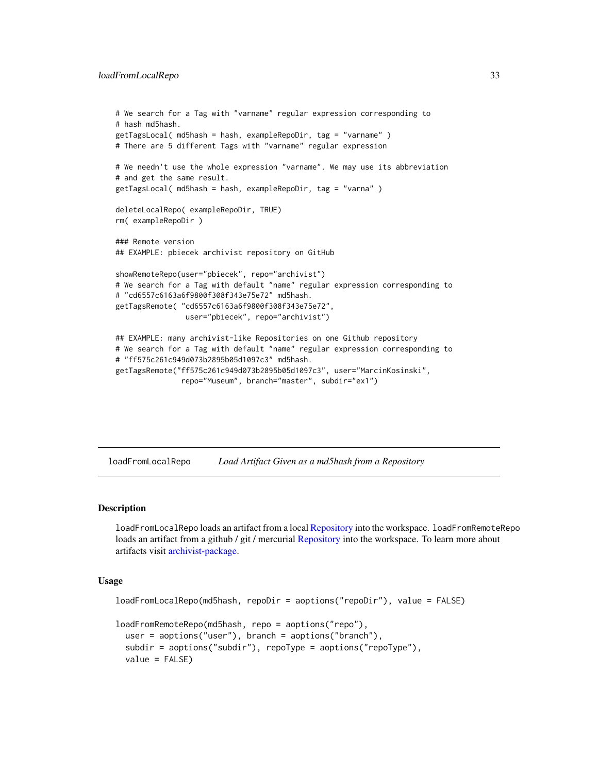#### <span id="page-32-0"></span>loadFromLocalRepo 33

```
# We search for a Tag with "varname" regular expression corresponding to
# hash md5hash.
getTagsLocal( md5hash = hash, exampleRepoDir, tag = "varname" )
# There are 5 different Tags with "varname" regular expression
# We needn't use the whole expression "varname". We may use its abbreviation
# and get the same result.
getTagsLocal( md5hash = hash, exampleRepoDir, tag = "varna" )
deleteLocalRepo( exampleRepoDir, TRUE)
rm( exampleRepoDir )
### Remote version
## EXAMPLE: pbiecek archivist repository on GitHub
showRemoteRepo(user="pbiecek", repo="archivist")
# We search for a Tag with default "name" regular expression corresponding to
# "cd6557c6163a6f9800f308f343e75e72" md5hash.
getTagsRemote( "cd6557c6163a6f9800f308f343e75e72",
                user="pbiecek", repo="archivist")
## EXAMPLE: many archivist-like Repositories on one Github repository
# We search for a Tag with default "name" regular expression corresponding to
# "ff575c261c949d073b2895b05d1097c3" md5hash.
getTagsRemote("ff575c261c949d073b2895b05d1097c3", user="MarcinKosinski",
               repo="Museum", branch="master", subdir="ex1")
```
<span id="page-32-1"></span>loadFromLocalRepo *Load Artifact Given as a md5hash from a Repository*

## <span id="page-32-2"></span>**Description**

loadFromLocalRepo loads an artifact from a local [Repository](#page-37-1) into the workspace. loadFromRemoteRepo loads an artifact from a github / git / mercurial [Repository](#page-37-1) into the workspace. To learn more about artifacts visit [archivist-package.](#page-2-1)

## Usage

```
loadFromLocalRepo(md5hash, repoDir = aoptions("repoDir"), value = FALSE)
loadFromRemoteRepo(md5hash, repo = aoptions("repo"),
  user = aoptions("user"), branch = aoptions("branch"),
  subdir = aoptions("subdir"), repoType = aoptions("repoType"),
  value = FALSE)
```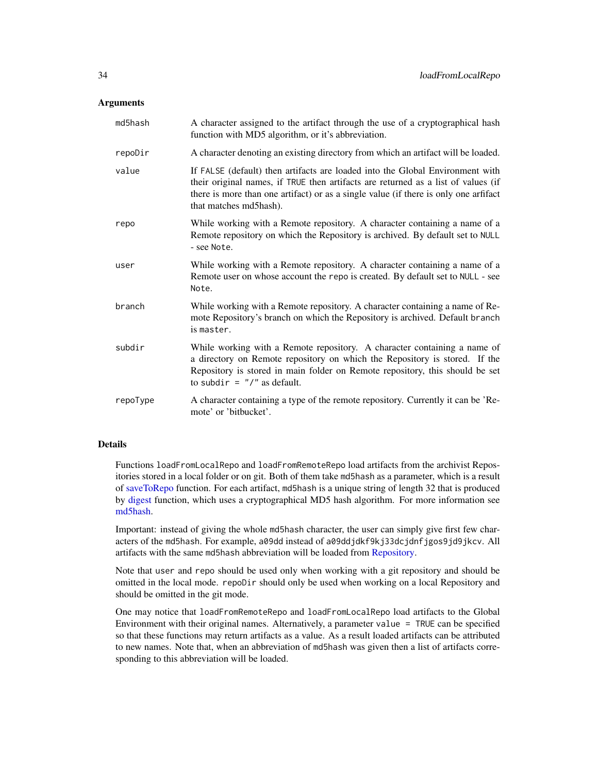## **Arguments**

| md5hash  | A character assigned to the artifact through the use of a cryptographical hash<br>function with MD5 algorithm, or it's abbreviation.                                                                                                                                                 |
|----------|--------------------------------------------------------------------------------------------------------------------------------------------------------------------------------------------------------------------------------------------------------------------------------------|
| repoDir  | A character denoting an existing directory from which an artifact will be loaded.                                                                                                                                                                                                    |
| value    | If FALSE (default) then artifacts are loaded into the Global Environment with<br>their original names, if TRUE then artifacts are returned as a list of values (if<br>there is more than one artifact) or as a single value (if there is only one artifact<br>that matches md5hash). |
| repo     | While working with a Remote repository. A character containing a name of a<br>Remote repository on which the Repository is archived. By default set to NULL<br>- see Note.                                                                                                           |
| user     | While working with a Remote repository. A character containing a name of a<br>Remote user on whose account the repo is created. By default set to NULL - see<br>Note.                                                                                                                |
| branch   | While working with a Remote repository. A character containing a name of Re-<br>mote Repository's branch on which the Repository is archived. Default branch<br>is master.                                                                                                           |
| subdir   | While working with a Remote repository. A character containing a name of<br>a directory on Remote repository on which the Repository is stored. If the<br>Repository is stored in main folder on Remote repository, this should be set<br>to subdir = $''/''$ as default.            |
| repoType | A character containing a type of the remote repository. Currently it can be 'Re-<br>mote' or 'bitbucket'.                                                                                                                                                                            |

# Details

Functions loadFromLocalRepo and loadFromRemoteRepo load artifacts from the archivist Repositories stored in a local folder or on git. Both of them take md5hash as a parameter, which is a result of [saveToRepo](#page-47-2) function. For each artifact, md5hash is a unique string of length 32 that is produced by [digest](#page-0-0) function, which uses a cryptographical MD5 hash algorithm. For more information see [md5hash.](#page-36-1)

Important: instead of giving the whole md5hash character, the user can simply give first few characters of the md5hash. For example, a09dd instead of a09ddjdkf9kj33dcjdnfjgos9jd9jkcv. All artifacts with the same md5hash abbreviation will be loaded from [Repository.](#page-37-1)

Note that user and repo should be used only when working with a git repository and should be omitted in the local mode. repoDir should only be used when working on a local Repository and should be omitted in the git mode.

One may notice that loadFromRemoteRepo and loadFromLocalRepo load artifacts to the Global Environment with their original names. Alternatively, a parameter value = TRUE can be specified so that these functions may return artifacts as a value. As a result loaded artifacts can be attributed to new names. Note that, when an abbreviation of md5hash was given then a list of artifacts corresponding to this abbreviation will be loaded.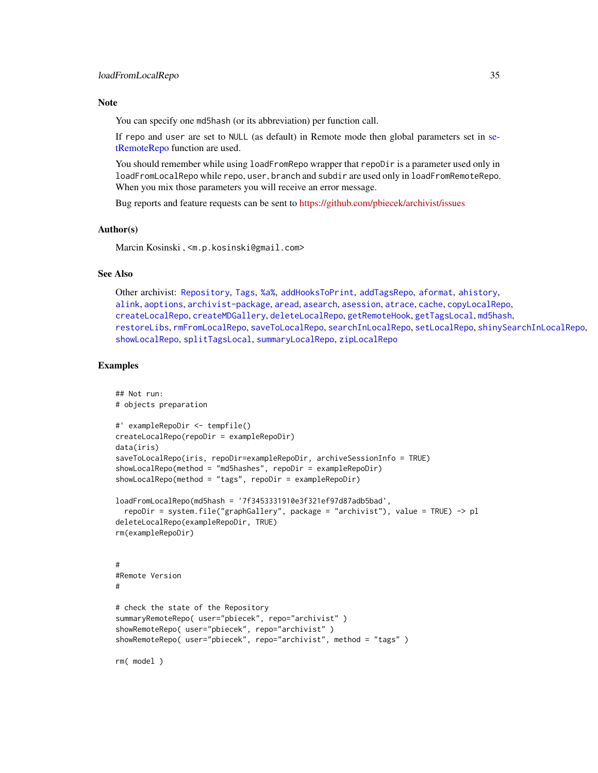# **Note**

You can specify one md5hash (or its abbreviation) per function call.

If repo and user are set to NULL (as default) in Remote mode then global parameters set in [se](#page-53-2)[tRemoteRepo](#page-53-2) function are used.

You should remember while using loadFromRepo wrapper that repoDir is a parameter used only in loadFromLocalRepo while repo, user, branch and subdir are used only in loadFromRemoteRepo. When you mix those parameters you will receive an error message.

Bug reports and feature requests can be sent to <https://github.com/pbiecek/archivist/issues>

# Author(s)

Marcin Kosinski , <m.p.kosinski@gmail.com>

# See Also

Other archivist: [Repository](#page-37-1), [Tags](#page-63-1), [%a%](#page-72-1), [addHooksToPrint](#page-3-1), [addTagsRepo](#page-4-1), [aformat](#page-6-1), [ahistory](#page-7-1), [alink](#page-9-1), [aoptions](#page-11-1), [archivist-package](#page-2-1), [aread](#page-13-1), [asearch](#page-14-1), [asession](#page-17-1), [atrace](#page-18-1), [cache](#page-19-1), [copyLocalRepo](#page-21-1), [createLocalRepo](#page-24-1), [createMDGallery](#page-25-1), [deleteLocalRepo](#page-27-1), [getRemoteHook](#page-28-1), [getTagsLocal](#page-29-1), [md5hash](#page-36-1), [restoreLibs](#page-39-1), [rmFromLocalRepo](#page-40-1), [saveToLocalRepo](#page-47-1), [searchInLocalRepo](#page-50-1), [setLocalRepo](#page-53-1), [shinySearchInLocalRepo](#page-56-1), [showLocalRepo](#page-57-1), [splitTagsLocal](#page-60-1), [summaryLocalRepo](#page-61-1), [zipLocalRepo](#page-70-1)

## Examples

```
## Not run:
# objects preparation
#' exampleRepoDir <- tempfile()
createLocalRepo(repoDir = exampleRepoDir)
data(iris)
saveToLocalRepo(iris, repoDir=exampleRepoDir, archiveSessionInfo = TRUE)
showLocalRepo(method = "md5hashes", repoDir = exampleRepoDir)
showLocalRepo(method = "tags", repoDir = exampleRepoDir)
loadFromLocalRepo(md5hash = '7f3453331910e3f321ef97d87adb5bad',
  repoDir = system.file("graphGallery", package = "archivist"), value = TRUE) -> pl
deleteLocalRepo(exampleRepoDir, TRUE)
rm(exampleRepoDir)
#
#Remote Version
#
# check the state of the Repository
summaryRemoteRepo( user="pbiecek", repo="archivist" )
showRemoteRepo( user="pbiecek", repo="archivist" )
showRemoteRepo( user="pbiecek", repo="archivist", method = "tags" )
rm( model )
```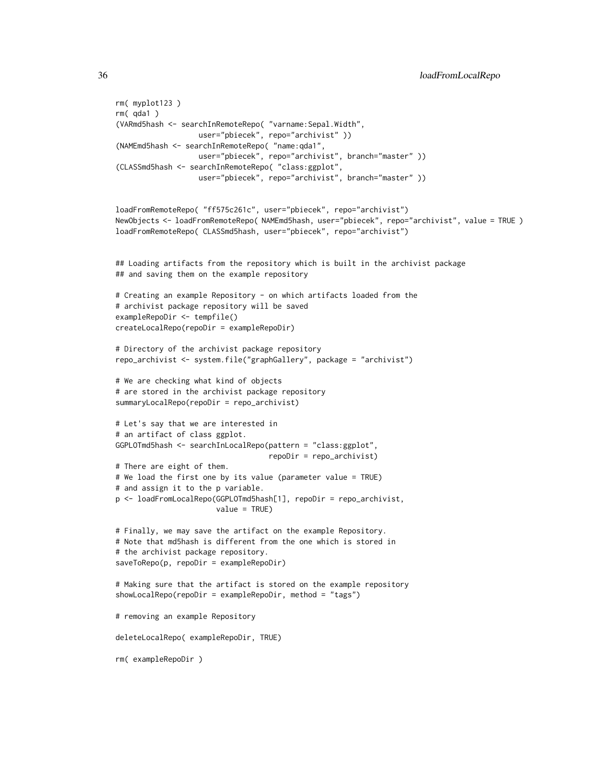```
rm( myplot123 )
rm( qda1 )
(VARmd5hash <- searchInRemoteRepo( "varname:Sepal.Width",
                  user="pbiecek", repo="archivist" ))
(NAMEmd5hash <- searchInRemoteRepo( "name:qda1",
                  user="pbiecek", repo="archivist", branch="master" ))
(CLASSmd5hash <- searchInRemoteRepo( "class:ggplot",
                   user="pbiecek", repo="archivist", branch="master" ))
loadFromRemoteRepo( "ff575c261c", user="pbiecek", repo="archivist")
NewObjects <- loadFromRemoteRepo( NAMEmd5hash, user="pbiecek", repo="archivist", value = TRUE )
loadFromRemoteRepo( CLASSmd5hash, user="pbiecek", repo="archivist")
## Loading artifacts from the repository which is built in the archivist package
## and saving them on the example repository
# Creating an example Repository - on which artifacts loaded from the
# archivist package repository will be saved
exampleRepoDir <- tempfile()
createLocalRepo(repoDir = exampleRepoDir)
# Directory of the archivist package repository
repo_archivist <- system.file("graphGallery", package = "archivist")
# We are checking what kind of objects
# are stored in the archivist package repository
summaryLocalRepo(repoDir = repo_archivist)
# Let's say that we are interested in
# an artifact of class ggplot.
GGPLOTmd5hash <- searchInLocalRepo(pattern = "class:ggplot",
                                   repoDir = repo_archivist)
# There are eight of them.
# We load the first one by its value (parameter value = TRUE)
# and assign it to the p variable.
p <- loadFromLocalRepo(GGPLOTmd5hash[1], repoDir = repo_archivist,
                       value = TRUE)
# Finally, we may save the artifact on the example Repository.
# Note that md5hash is different from the one which is stored in
# the archivist package repository.
saveToRepo(p, repoDir = exampleRepoDir)
# Making sure that the artifact is stored on the example repository
showLocalRepo(repoDir = exampleRepoDir, method = "tags")
# removing an example Repository
deleteLocalRepo( exampleRepoDir, TRUE)
rm( exampleRepoDir )
```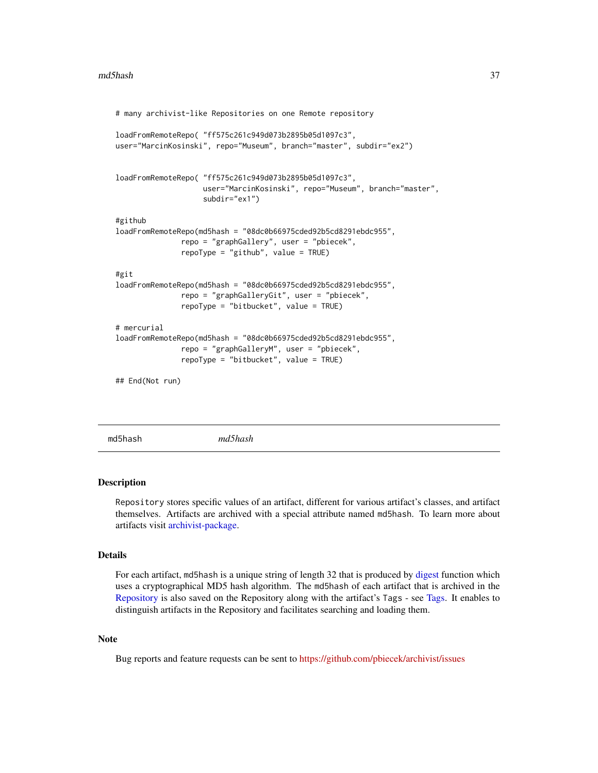```
# many archivist-like Repositories on one Remote repository
loadFromRemoteRepo( "ff575c261c949d073b2895b05d1097c3",
user="MarcinKosinski", repo="Museum", branch="master", subdir="ex2")
loadFromRemoteRepo( "ff575c261c949d073b2895b05d1097c3",
                    user="MarcinKosinski", repo="Museum", branch="master",
                    subdir="ex1")
#github
loadFromRemoteRepo(md5hash = "08dc0b66975cded92b5cd8291ebdc955",
               repo = "graphGallery", user = "pbiecek",
               repoType = "github", value = TRUE)
#git
loadFromRemoteRepo(md5hash = "08dc0b66975cded92b5cd8291ebdc955",
               repo = "graphGalleryGit", user = "pbiecek",
               repoType = "bitbucket", value = TRUE)
# mercurial
loadFromRemoteRepo(md5hash = "08dc0b66975cded92b5cd8291ebdc955",
               repo = "graphGalleryM", user = "pbiecek",
               repoType = "bitbucket", value = TRUE)
## End(Not run)
```
<span id="page-36-0"></span>md5hash *md5hash*

## **Description**

Repository stores specific values of an artifact, different for various artifact's classes, and artifact themselves. Artifacts are archived with a special attribute named md5hash. To learn more about artifacts visit [archivist-package.](#page-2-0)

# Details

For each artifact, md5hash is a unique string of length 32 that is produced by [digest](#page-0-0) function which uses a cryptographical MD5 hash algorithm. The md5hash of each artifact that is archived in the [Repository](#page-37-0) is also saved on the Repository along with the artifact's Tags - see [Tags.](#page-63-0) It enables to distinguish artifacts in the Repository and facilitates searching and loading them.

# **Note**

Bug reports and feature requests can be sent to <https://github.com/pbiecek/archivist/issues>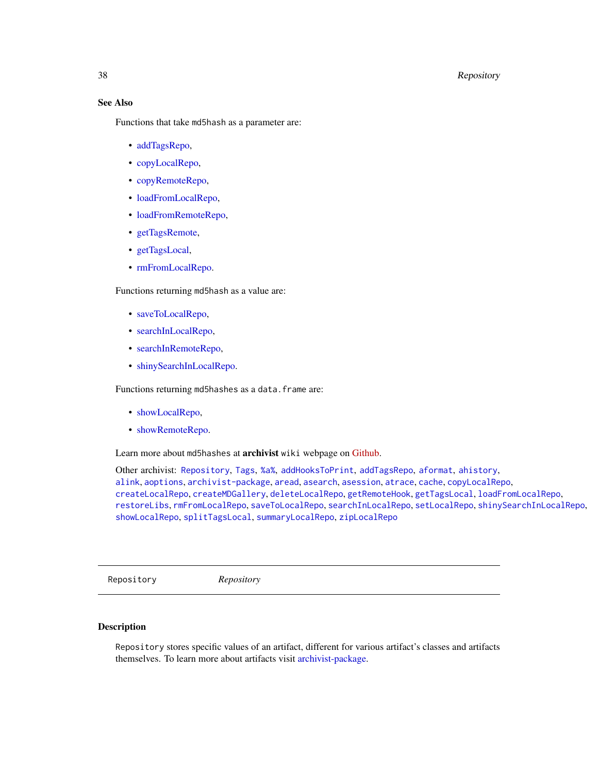# 38 Repository

# See Also

Functions that take md5hash as a parameter are:

- [addTagsRepo,](#page-4-0)
- [copyLocalRepo,](#page-21-0)
- [copyRemoteRepo,](#page-21-1)
- [loadFromLocalRepo,](#page-32-0)
- [loadFromRemoteRepo,](#page-32-1)
- [getTagsRemote,](#page-29-0)
- [getTagsLocal,](#page-29-1)
- [rmFromLocalRepo.](#page-40-0)

Functions returning md5hash as a value are:

- [saveToLocalRepo,](#page-47-0)
- [searchInLocalRepo,](#page-50-0)
- [searchInRemoteRepo,](#page-50-1)
- [shinySearchInLocalRepo.](#page-56-0)

Functions returning md5hashes as a data.frame are:

- [showLocalRepo,](#page-57-0)
- [showRemoteRepo.](#page-57-1)

Learn more about md5hashes at archivist wiki webpage on [Github.](https://github.com/pbiecek/archivist/wiki/archivist-package-md5hash)

Other archivist: [Repository](#page-37-0), [Tags](#page-63-0), [%a%](#page-72-0), [addHooksToPrint](#page-3-0), [addTagsRepo](#page-4-0), [aformat](#page-6-0), [ahistory](#page-7-0), [alink](#page-9-0), [aoptions](#page-11-0), [archivist-package](#page-2-0), [aread](#page-13-0), [asearch](#page-14-0), [asession](#page-17-0), [atrace](#page-18-0), [cache](#page-19-0), [copyLocalRepo](#page-21-0), [createLocalRepo](#page-24-0), [createMDGallery](#page-25-0), [deleteLocalRepo](#page-27-0), [getRemoteHook](#page-28-0), [getTagsLocal](#page-29-1), [loadFromLocalRepo](#page-32-0), [restoreLibs](#page-39-0), [rmFromLocalRepo](#page-40-0), [saveToLocalRepo](#page-47-0), [searchInLocalRepo](#page-50-0), [setLocalRepo](#page-53-0), [shinySearchInLocalRepo](#page-56-0), [showLocalRepo](#page-57-0), [splitTagsLocal](#page-60-0), [summaryLocalRepo](#page-61-0), [zipLocalRepo](#page-70-0)

<span id="page-37-0"></span>Repository *Repository*

# Description

Repository stores specific values of an artifact, different for various artifact's classes and artifacts themselves. To learn more about artifacts visit [archivist-package.](#page-2-0)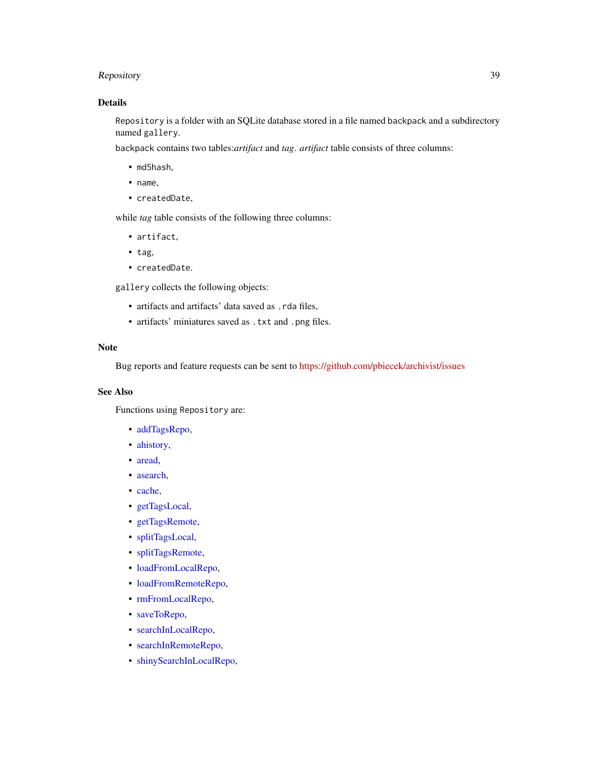# Repository 39

# Details

Repository is a folder with an SQLite database stored in a file named backpack and a subdirectory named gallery.

backpack contains two tables:*artifact* and *tag*. *artifact* table consists of three columns:

- md5hash,
- name,
- createdDate,

while *tag* table consists of the following three columns:

- artifact,
- tag,
- createdDate.

gallery collects the following objects:

- artifacts and artifacts' data saved as .rda files,
- artifacts' miniatures saved as .txt and .png files.

#### Note

Bug reports and feature requests can be sent to <https://github.com/pbiecek/archivist/issues>

# See Also

Functions using Repository are:

- [addTagsRepo,](#page-4-0)
- [ahistory,](#page-7-0)
- [aread,](#page-13-0)
- [asearch,](#page-14-0)
- [cache,](#page-19-0)
- [getTagsLocal,](#page-29-1)
- [getTagsRemote,](#page-29-0)
- [splitTagsLocal,](#page-60-0)
- [splitTagsRemote,](#page-60-1)
- [loadFromLocalRepo,](#page-32-0)
- [loadFromRemoteRepo,](#page-32-1)
- [rmFromLocalRepo,](#page-40-0)
- [saveToRepo,](#page-47-1)
- [searchInLocalRepo,](#page-50-0)
- [searchInRemoteRepo,](#page-50-1)
- [shinySearchInLocalRepo,](#page-56-0)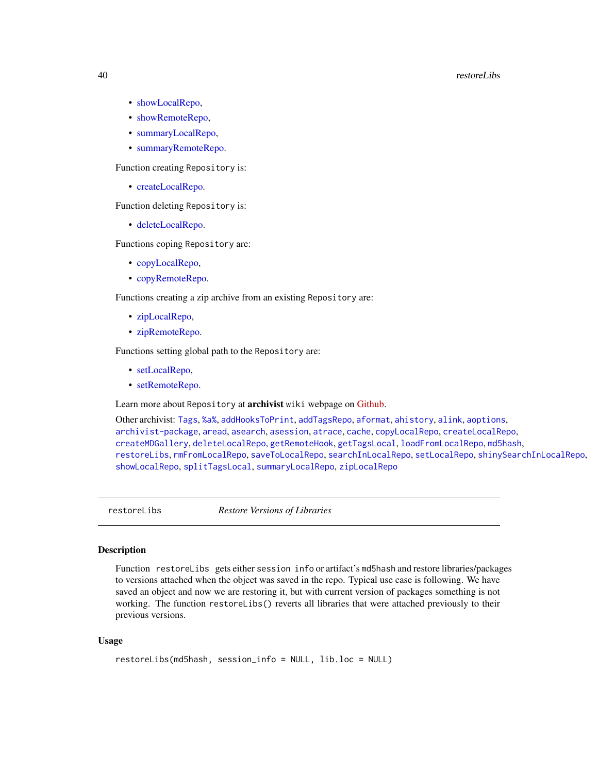#### 40 restoreLibs

- [showLocalRepo,](#page-57-0)
- [showRemoteRepo,](#page-57-1)
- [summaryLocalRepo,](#page-61-0)
- [summaryRemoteRepo.](#page-61-1)

Function creating Repository is:

• [createLocalRepo.](#page-24-0)

Function deleting Repository is:

• [deleteLocalRepo.](#page-27-0)

Functions coping Repository are:

- [copyLocalRepo,](#page-21-0)
- [copyRemoteRepo.](#page-21-1)

Functions creating a zip archive from an existing Repository are:

- [zipLocalRepo,](#page-70-0)
- [zipRemoteRepo.](#page-70-1)

Functions setting global path to the Repository are:

- [setLocalRepo,](#page-53-0)
- [setRemoteRepo.](#page-53-1)

Learn more about Repository at archivist wiki webpage on [Github.](https://github.com/pbiecek/archivist/wiki/archivist-package-Repository)

Other archivist: [Tags](#page-63-0), [%a%](#page-72-0), [addHooksToPrint](#page-3-0), [addTagsRepo](#page-4-0), [aformat](#page-6-0), [ahistory](#page-7-0), [alink](#page-9-0), [aoptions](#page-11-0), [archivist-package](#page-2-0), [aread](#page-13-0), [asearch](#page-14-0), [asession](#page-17-0), [atrace](#page-18-0), [cache](#page-19-0), [copyLocalRepo](#page-21-0), [createLocalRepo](#page-24-0), [createMDGallery](#page-25-0), [deleteLocalRepo](#page-27-0), [getRemoteHook](#page-28-0), [getTagsLocal](#page-29-1), [loadFromLocalRepo](#page-32-0), [md5hash](#page-36-0), [restoreLibs](#page-39-0), [rmFromLocalRepo](#page-40-0), [saveToLocalRepo](#page-47-0), [searchInLocalRepo](#page-50-0), [setLocalRepo](#page-53-0), [shinySearchInLocalRepo](#page-56-0), [showLocalRepo](#page-57-0), [splitTagsLocal](#page-60-0), [summaryLocalRepo](#page-61-0), [zipLocalRepo](#page-70-0)

<span id="page-39-0"></span>restoreLibs *Restore Versions of Libraries*

## Description

Function restoreLibs gets either session info or artifact's md5hash and restore libraries/packages to versions attached when the object was saved in the repo. Typical use case is following. We have saved an object and now we are restoring it, but with current version of packages something is not working. The function restoreLibs() reverts all libraries that were attached previously to their previous versions.

#### Usage

```
restoreLibs(md5hash, session_info = NULL, lib.loc = NULL)
```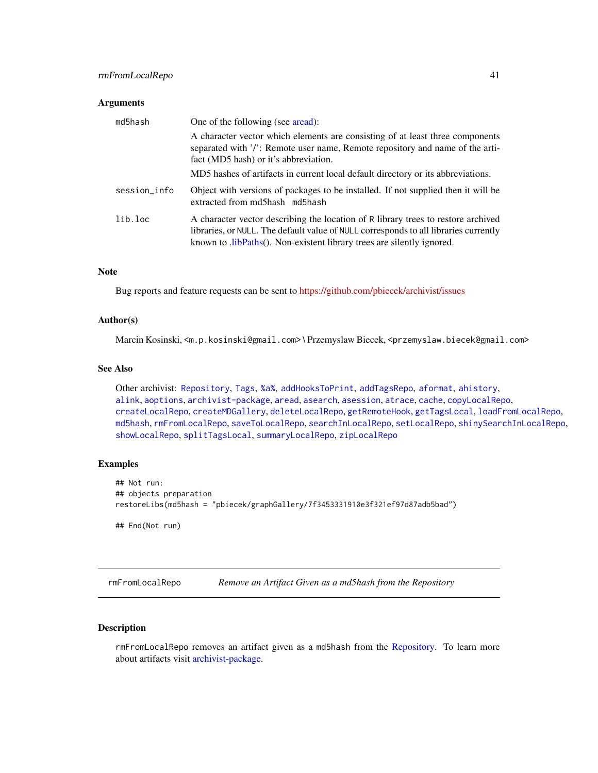#### **Arguments**

| md5hash      | One of the following (see aread):                                                                                                                                                                                                                   |
|--------------|-----------------------------------------------------------------------------------------------------------------------------------------------------------------------------------------------------------------------------------------------------|
|              | A character vector which elements are consisting of at least three components<br>separated with '/': Remote user name, Remote repository and name of the arti-<br>fact (MD5 hash) or it's abbreviation.                                             |
|              | MD5 hashes of artifacts in current local default directory or its abbreviations.                                                                                                                                                                    |
| session_info | Object with versions of packages to be installed. If not supplied then it will be<br>extracted from md5hash md5hash                                                                                                                                 |
| lib.loc      | A character vector describing the location of R library trees to restore archived<br>libraries, or NULL. The default value of NULL corresponds to all libraries currently<br>known to .libPaths(). Non-existent library trees are silently ignored. |

#### Note

Bug reports and feature requests can be sent to <https://github.com/pbiecek/archivist/issues>

## Author(s)

Marcin Kosinski, <m.p.kosinski@gmail.com> \ Przemyslaw Biecek, <przemyslaw.biecek@gmail.com>

## See Also

Other archivist: [Repository](#page-37-0), [Tags](#page-63-0), [%a%](#page-72-0), [addHooksToPrint](#page-3-0), [addTagsRepo](#page-4-0), [aformat](#page-6-0), [ahistory](#page-7-0), [alink](#page-9-0), [aoptions](#page-11-0), [archivist-package](#page-2-0), [aread](#page-13-0), [asearch](#page-14-0), [asession](#page-17-0), [atrace](#page-18-0), [cache](#page-19-0), [copyLocalRepo](#page-21-0), [createLocalRepo](#page-24-0), [createMDGallery](#page-25-0), [deleteLocalRepo](#page-27-0), [getRemoteHook](#page-28-0), [getTagsLocal](#page-29-1), [loadFromLocalRepo](#page-32-0), [md5hash](#page-36-0), [rmFromLocalRepo](#page-40-0), [saveToLocalRepo](#page-47-0), [searchInLocalRepo](#page-50-0), [setLocalRepo](#page-53-0), [shinySearchInLocalRepo](#page-56-0), [showLocalRepo](#page-57-0), [splitTagsLocal](#page-60-0), [summaryLocalRepo](#page-61-0), [zipLocalRepo](#page-70-0)

## Examples

```
## Not run:
## objects preparation
restoreLibs(md5hash = "pbiecek/graphGallery/7f3453331910e3f321ef97d87adb5bad")
## End(Not run)
```
<span id="page-40-0"></span>rmFromLocalRepo *Remove an Artifact Given as a md5hash from the Repository*

# Description

rmFromLocalRepo removes an artifact given as a md5hash from the [Repository.](#page-37-0) To learn more about artifacts visit [archivist-package.](#page-2-0)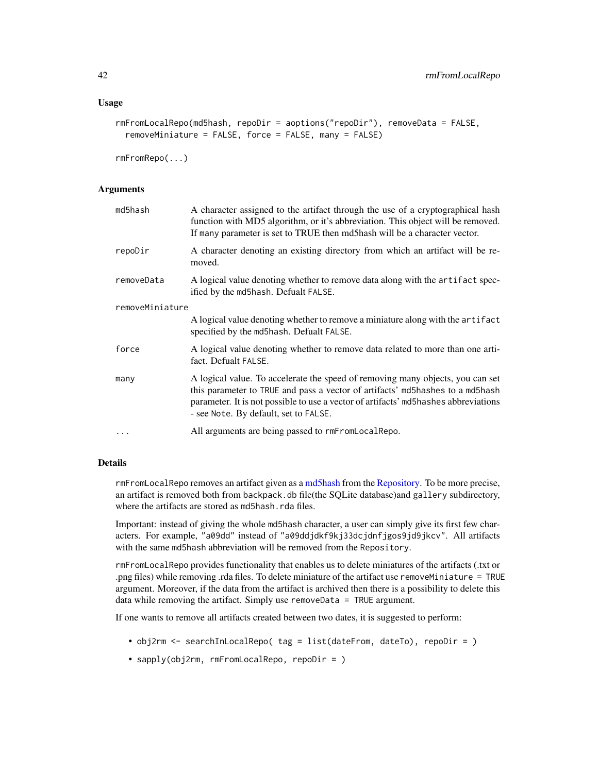```
rmFromLocalRepo(md5hash, repoDir = aoptions("repoDir"), removeData = FALSE,
 removeMiniature = FALSE, force = FALSE, many = FALSE)
```

```
rmFromRepo(...)
```
#### **Arguments**

| md5hash         | A character assigned to the artifact through the use of a cryptographical hash<br>function with MD5 algorithm, or it's abbreviation. This object will be removed.<br>If many parameter is set to TRUE then md5hash will be a character vector.                                                  |  |
|-----------------|-------------------------------------------------------------------------------------------------------------------------------------------------------------------------------------------------------------------------------------------------------------------------------------------------|--|
| repoDir         | A character denoting an existing directory from which an artifact will be re-<br>moved.                                                                                                                                                                                                         |  |
| removeData      | A logical value denoting whether to remove data along with the artifact spec-<br>ified by the md5hash. Defualt FALSE.                                                                                                                                                                           |  |
| removeMiniature |                                                                                                                                                                                                                                                                                                 |  |
|                 | A logical value denoting whether to remove a miniature along with the artifact<br>specified by the md5hash. Defualt FALSE.                                                                                                                                                                      |  |
| force           | A logical value denoting whether to remove data related to more than one arti-<br>fact. Defualt FALSE.                                                                                                                                                                                          |  |
| many            | A logical value. To accelerate the speed of removing many objects, you can set<br>this parameter to TRUE and pass a vector of artifacts' md5hashes to a md5hash<br>parameter. It is not possible to use a vector of artifacts' md5hashes abbreviations<br>- see Note. By default, set to FALSE. |  |
| $\cdots$        | All arguments are being passed to rmFromLocalRepo.                                                                                                                                                                                                                                              |  |

# Details

rmFromLocalRepo removes an artifact given as a [md5hash](#page-36-0) from the [Repository.](#page-37-0) To be more precise, an artifact is removed both from backpack.db file(the SQLite database)and gallery subdirectory, where the artifacts are stored as md5hash.rda files.

Important: instead of giving the whole md5hash character, a user can simply give its first few characters. For example, "a09dd" instead of "a09ddjdkf9kj33dcjdnfjgos9jd9jkcv". All artifacts with the same md5hash abbreviation will be removed from the Repository.

rmFromLocalRepo provides functionality that enables us to delete miniatures of the artifacts (.txt or .png files) while removing .rda files. To delete miniature of the artifact use removeMiniature = TRUE argument. Moreover, if the data from the artifact is archived then there is a possibility to delete this data while removing the artifact. Simply use removeData = TRUE argument.

If one wants to remove all artifacts created between two dates, it is suggested to perform:

- obj2rm <- searchInLocalRepo( tag = list(dateFrom, dateTo), repoDir = )
- sapply(obj2rm, rmFromLocalRepo, repoDir = )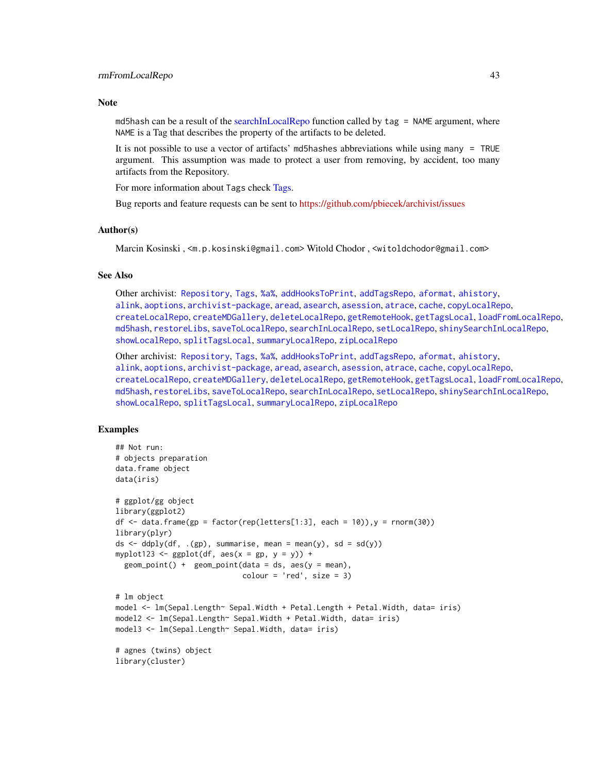#### **Note**

md5hash can be a result of the [searchInLocalRepo](#page-50-0) function called by tag = NAME argument, where NAME is a Tag that describes the property of the artifacts to be deleted.

It is not possible to use a vector of artifacts' md5hashes abbreviations while using many = TRUE argument. This assumption was made to protect a user from removing, by accident, too many artifacts from the Repository.

For more information about Tags check [Tags.](#page-63-0)

Bug reports and feature requests can be sent to <https://github.com/pbiecek/archivist/issues>

#### Author(s)

Marcin Kosinski , <m.p.kosinski@gmail.com> Witold Chodor , <witoldchodor@gmail.com>

#### See Also

Other archivist: [Repository](#page-37-0), [Tags](#page-63-0), [%a%](#page-72-0), [addHooksToPrint](#page-3-0), [addTagsRepo](#page-4-0), [aformat](#page-6-0), [ahistory](#page-7-0), [alink](#page-9-0), [aoptions](#page-11-0), [archivist-package](#page-2-0), [aread](#page-13-0), [asearch](#page-14-0), [asession](#page-17-0), [atrace](#page-18-0), [cache](#page-19-0), [copyLocalRepo](#page-21-0), [createLocalRepo](#page-24-0), [createMDGallery](#page-25-0), [deleteLocalRepo](#page-27-0), [getRemoteHook](#page-28-0), [getTagsLocal](#page-29-1), [loadFromLocalRepo](#page-32-0), [md5hash](#page-36-0), [restoreLibs](#page-39-0), [saveToLocalRepo](#page-47-0), [searchInLocalRepo](#page-50-0), [setLocalRepo](#page-53-0), [shinySearchInLocalRepo](#page-56-0), [showLocalRepo](#page-57-0), [splitTagsLocal](#page-60-0), [summaryLocalRepo](#page-61-0), [zipLocalRepo](#page-70-0)

Other archivist: [Repository](#page-37-0), [Tags](#page-63-0), [%a%](#page-72-0), [addHooksToPrint](#page-3-0), [addTagsRepo](#page-4-0), [aformat](#page-6-0), [ahistory](#page-7-0), [alink](#page-9-0), [aoptions](#page-11-0), [archivist-package](#page-2-0), [aread](#page-13-0), [asearch](#page-14-0), [asession](#page-17-0), [atrace](#page-18-0), [cache](#page-19-0), [copyLocalRepo](#page-21-0), [createLocalRepo](#page-24-0), [createMDGallery](#page-25-0), [deleteLocalRepo](#page-27-0), [getRemoteHook](#page-28-0), [getTagsLocal](#page-29-1), [loadFromLocalRepo](#page-32-0), [md5hash](#page-36-0), [restoreLibs](#page-39-0), [saveToLocalRepo](#page-47-0), [searchInLocalRepo](#page-50-0), [setLocalRepo](#page-53-0), [shinySearchInLocalRepo](#page-56-0), [showLocalRepo](#page-57-0), [splitTagsLocal](#page-60-0), [summaryLocalRepo](#page-61-0), [zipLocalRepo](#page-70-0)

## Examples

```
## Not run:
# objects preparation
data.frame object
data(iris)
# ggplot/gg object
library(ggplot2)
df \le data.frame(gp = factor(rep(letters[1:3], each = 10)), y = rnorm(30))
library(plyr)
ds \leq ddply(df, .(gp), summarise, mean = mean(y), sd = sd(y))
myplot123 <- gplot(df, aes(x = gp, y = y)) +
 geom\_point() + geom\_point(data = ds, aes(y = mean),color = 'red', size = 3)# lm object
model <- lm(Sepal.Length~ Sepal.Width + Petal.Length + Petal.Width, data= iris)
model2 <- lm(Sepal.Length~ Sepal.Width + Petal.Width, data= iris)
model3 <- lm(Sepal.Length~ Sepal.Width, data= iris)
# agnes (twins) object
library(cluster)
```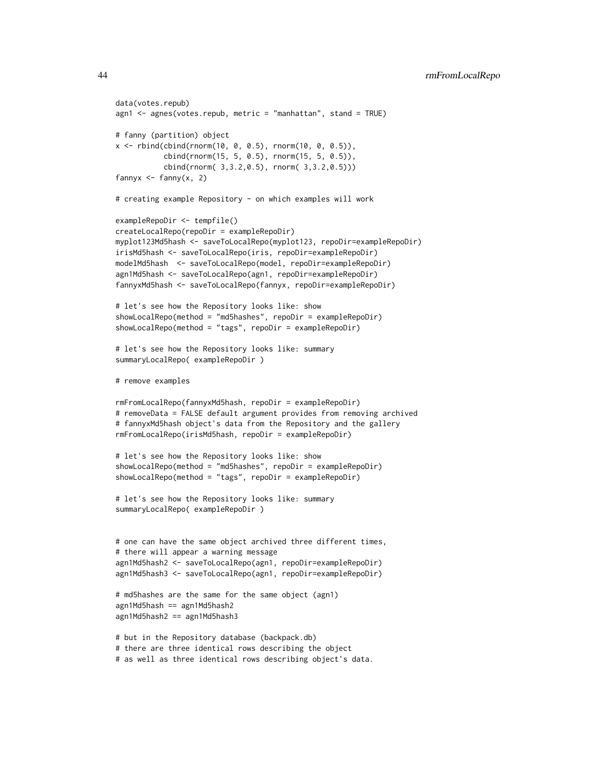```
data(votes.repub)
agn1 <- agnes(votes.repub, metric = "manhattan", stand = TRUE)
# fanny (partition) object
x <- rbind(cbind(rnorm(10, 0, 0.5), rnorm(10, 0, 0.5)),
           cbind(rnorm(15, 5, 0.5), rnorm(15, 5, 0.5)),
           cbind(rnorm( 3,3.2,0.5), rnorm( 3,3.2,0.5)))
fannyx \leq fanny(x, 2)
# creating example Repository - on which examples will work
exampleRepoDir <- tempfile()
createLocalRepo(repoDir = exampleRepoDir)
myplot123Md5hash <- saveToLocalRepo(myplot123, repoDir=exampleRepoDir)
irisMd5hash <- saveToLocalRepo(iris, repoDir=exampleRepoDir)
modelMd5hash <- saveToLocalRepo(model, repoDir=exampleRepoDir)
agn1Md5hash <- saveToLocalRepo(agn1, repoDir=exampleRepoDir)
fannyxMd5hash <- saveToLocalRepo(fannyx, repoDir=exampleRepoDir)
# let's see how the Repository looks like: show
showLocalRepo(method = "md5hashes", repoDir = exampleRepoDir)
showLocalRepo(method = "tags", repoDir = exampleRepoDir)
# let's see how the Repository looks like: summary
summaryLocalRepo( exampleRepoDir )
# remove examples
rmFromLocalRepo(fannyxMd5hash, repoDir = exampleRepoDir)
# removeData = FALSE default argument provides from removing archived
# fannyxMd5hash object's data from the Repository and the gallery
rmFromLocalRepo(irisMd5hash, repoDir = exampleRepoDir)
# let's see how the Repository looks like: show
showLocalRepo(method = "md5hashes", repoDir = exampleRepoDir)
showLocalRepo(method = "tags", repoDir = exampleRepoDir)
# let's see how the Repository looks like: summary
summaryLocalRepo( exampleRepoDir )
# one can have the same object archived three different times,
# there will appear a warning message
agn1Md5hash2 <- saveToLocalRepo(agn1, repoDir=exampleRepoDir)
agn1Md5hash3 <- saveToLocalRepo(agn1, repoDir=exampleRepoDir)
# md5hashes are the same for the same object (agn1)
agn1Md5hash == agn1Md5hash2
agn1Md5hash2 == agn1Md5hash3
# but in the Repository database (backpack.db)
# there are three identical rows describing the object
```
# as well as three identical rows describing object's data.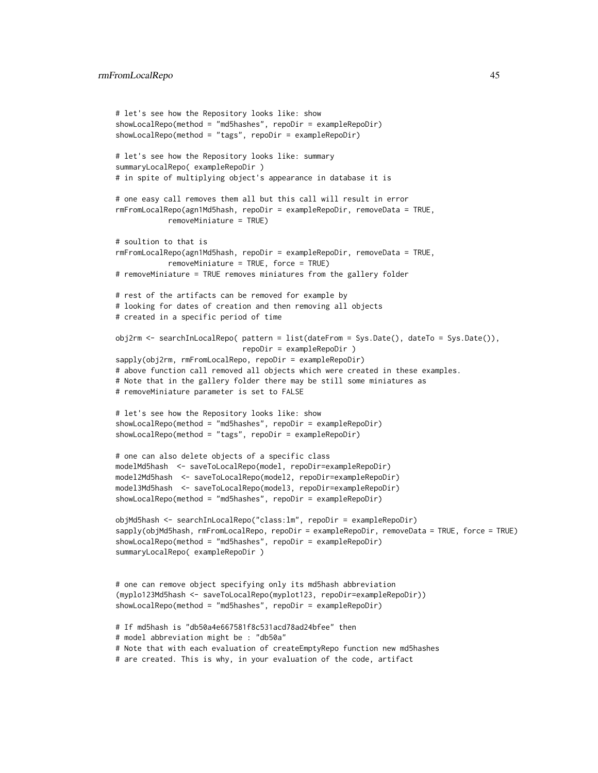```
# let's see how the Repository looks like: show
showLocalRepo(method = "md5hashes", repoDir = exampleRepoDir)
showLocalRepo(method = "tags", repoDir = exampleRepoDir)
# let's see how the Repository looks like: summary
summaryLocalRepo( exampleRepoDir )
# in spite of multiplying object's appearance in database it is
# one easy call removes them all but this call will result in error
rmFromLocalRepo(agn1Md5hash, repoDir = exampleRepoDir, removeData = TRUE,
            removeMiniature = TRUE)
# soultion to that is
rmFromLocalRepo(agn1Md5hash, repoDir = exampleRepoDir, removeData = TRUE,
            removeMiniature = TRUE, force = TRUE)
# removeMiniature = TRUE removes miniatures from the gallery folder
# rest of the artifacts can be removed for example by
# looking for dates of creation and then removing all objects
# created in a specific period of time
obj2rm <- searchInLocalRepo( pattern = list(dateFrom = Sys.Date(), dateTo = Sys.Date()),
                            repoDir = exampleRepoDir )
sapply(obj2rm, rmFromLocalRepo, repoDir = exampleRepoDir)
# above function call removed all objects which were created in these examples.
# Note that in the gallery folder there may be still some miniatures as
# removeMiniature parameter is set to FALSE
# let's see how the Repository looks like: show
showLocalRepo(method = "md5hashes", repoDir = exampleRepoDir)
showLocalRepo(method = "tags", repoDir = exampleRepoDir)
# one can also delete objects of a specific class
modelMd5hash <- saveToLocalRepo(model, repoDir=exampleRepoDir)
model2Md5hash <- saveToLocalRepo(model2, repoDir=exampleRepoDir)
model3Md5hash <- saveToLocalRepo(model3, repoDir=exampleRepoDir)
showLocalRepo(method = "md5hashes", repoDir = exampleRepoDir)
objMd5hash <- searchInLocalRepo("class:lm", repoDir = exampleRepoDir)
sapply(objMd5hash, rmFromLocalRepo, repoDir = exampleRepoDir, removeData = TRUE, force = TRUE)
showLocalRepo(method = "md5hashes", repoDir = exampleRepoDir)
summaryLocalRepo( exampleRepoDir )
# one can remove object specifying only its md5hash abbreviation
(myplo123Md5hash <- saveToLocalRepo(myplot123, repoDir=exampleRepoDir))
showLocalRepo(method = "md5hashes", repoDir = exampleRepoDir)
# If md5hash is "db50a4e667581f8c531acd78ad24bfee" then
# model abbreviation might be : "db50a"
# Note that with each evaluation of createEmptyRepo function new md5hashes
# are created. This is why, in your evaluation of the code, artifact
```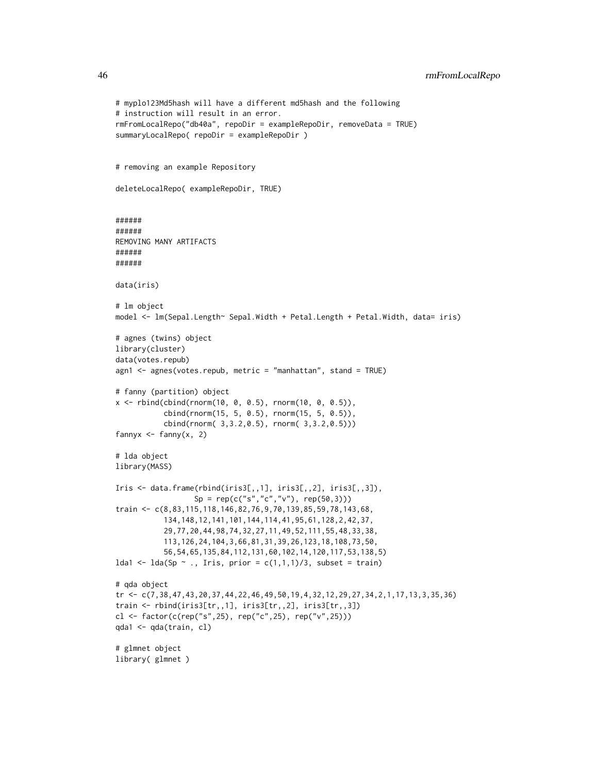```
# myplo123Md5hash will have a different md5hash and the following
# instruction will result in an error.
rmFromLocalRepo("db40a", repoDir = exampleRepoDir, removeData = TRUE)
summaryLocalRepo( repoDir = exampleRepoDir )
# removing an example Repository
deleteLocalRepo( exampleRepoDir, TRUE)
######
######
REMOVING MANY ARTIFACTS
######
######
data(iris)
# lm object
model <- lm(Sepal.Length~ Sepal.Width + Petal.Length + Petal.Width, data= iris)
# agnes (twins) object
library(cluster)
data(votes.repub)
agn1 <- agnes(votes.repub, metric = "manhattan", stand = TRUE)
# fanny (partition) object
x <- rbind(cbind(rnorm(10, 0, 0.5), rnorm(10, 0, 0.5)),
           cbind(rnorm(15, 5, 0.5), rnorm(15, 5, 0.5)),
           cbind(rnorm( 3,3.2,0.5), rnorm( 3,3.2,0.5)))
fannyx \leq fanny(x, 2)
# lda object
library(MASS)
Iris \leq data.frame(rbind(iris3[,,1], iris3[,,2], iris3[,,3]),
                  Sp = rep(c("s", "c", "v"), rep(50,3)))train <- c(8,83,115,118,146,82,76,9,70,139,85,59,78,143,68,
           134,148,12,141,101,144,114,41,95,61,128,2,42,37,
           29,77,20,44,98,74,32,27,11,49,52,111,55,48,33,38,
           113,126,24,104,3,66,81,31,39,26,123,18,108,73,50,
           56,54,65,135,84,112,131,60,102,14,120,117,53,138,5)
lda1 <- lda(Sp ~ ., Iris, prior = c(1,1,1)/3, subset = train)
# qda object
tr <- c(7,38,47,43,20,37,44,22,46,49,50,19,4,32,12,29,27,34,2,1,17,13,3,35,36)
train <- rbind(iris3[tr,,1], iris3[tr,,2], iris3[tr,,3])
cl <- factor(c(rep("s",25), rep("c",25), rep("v",25)))
qda1 <- qda(train, cl)
# glmnet object
library( glmnet )
```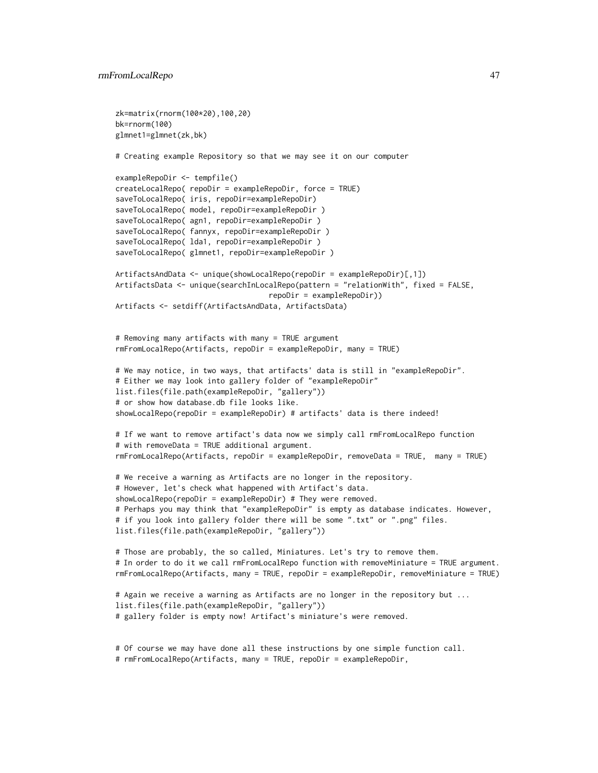```
zk=matrix(rnorm(100*20),100,20)
bk=rnorm(100)
glmnet1=glmnet(zk,bk)
# Creating example Repository so that we may see it on our computer
exampleRepoDir <- tempfile()
createLocalRepo( repoDir = exampleRepoDir, force = TRUE)
saveToLocalRepo( iris, repoDir=exampleRepoDir)
saveToLocalRepo( model, repoDir=exampleRepoDir )
saveToLocalRepo( agn1, repoDir=exampleRepoDir )
saveToLocalRepo( fannyx, repoDir=exampleRepoDir )
saveToLocalRepo( lda1, repoDir=exampleRepoDir )
saveToLocalRepo( glmnet1, repoDir=exampleRepoDir )
ArtifactsAndData <- unique(showLocalRepo(repoDir = exampleRepoDir)[,1])
ArtifactsData <- unique(searchInLocalRepo(pattern = "relationWith", fixed = FALSE,
                                   repoDir = exampleRepoDir))
Artifacts <- setdiff(ArtifactsAndData, ArtifactsData)
# Removing many artifacts with many = TRUE argument
rmFromLocalRepo(Artifacts, repoDir = exampleRepoDir, many = TRUE)
# We may notice, in two ways, that artifacts' data is still in "exampleRepoDir".
# Either we may look into gallery folder of "exampleRepoDir"
list.files(file.path(exampleRepoDir, "gallery"))
# or show how database.db file looks like.
showLocalRepo(repoDir = exampleRepoDir) # artifacts' data is there indeed!
# If we want to remove artifact's data now we simply call rmFromLocalRepo function
# with removeData = TRUE additional argument.
rmFromLocalRepo(Artifacts, repoDir = exampleRepoDir, removeData = TRUE, many = TRUE)
# We receive a warning as Artifacts are no longer in the repository.
# However, let's check what happened with Artifact's data.
showLocalRepo(repoDir = exampleRepoDir) # They were removed.
# Perhaps you may think that "exampleRepoDir" is empty as database indicates. However,
# if you look into gallery folder there will be some ".txt" or ".png" files.
list.files(file.path(exampleRepoDir, "gallery"))
# Those are probably, the so called, Miniatures. Let's try to remove them.
# In order to do it we call rmFromLocalRepo function with removeMiniature = TRUE argument.
rmFromLocalRepo(Artifacts, many = TRUE, repoDir = exampleRepoDir, removeMiniature = TRUE)
# Again we receive a warning as Artifacts are no longer in the repository but ...
list.files(file.path(exampleRepoDir, "gallery"))
# gallery folder is empty now! Artifact's miniature's were removed.
# Of course we may have done all these instructions by one simple function call.
# rmFromLocalRepo(Artifacts, many = TRUE, repoDir = exampleRepoDir,
```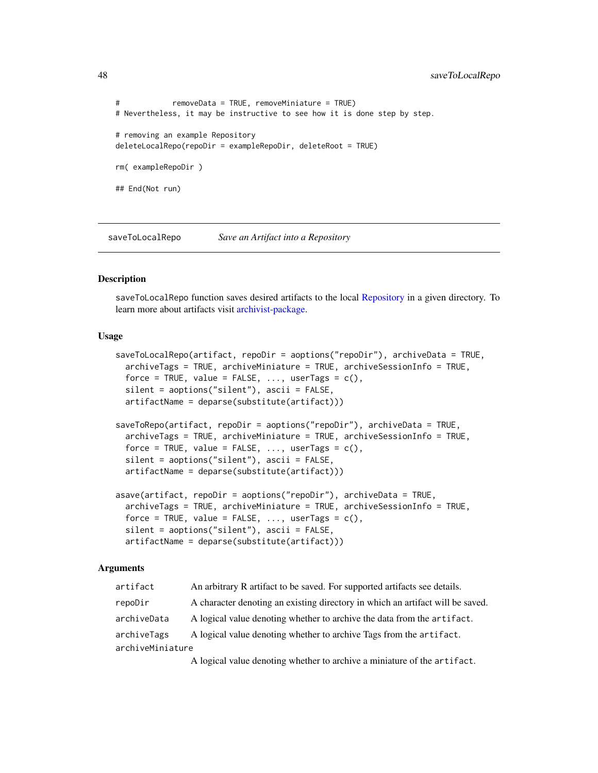```
# removeData = TRUE, removeMiniature = TRUE)
# Nevertheless, it may be instructive to see how it is done step by step.
# removing an example Repository
deleteLocalRepo(repoDir = exampleRepoDir, deleteRoot = TRUE)
rm( exampleRepoDir )
## End(Not run)
```
<span id="page-47-0"></span>saveToLocalRepo *Save an Artifact into a Repository*

## <span id="page-47-1"></span>Description

saveToLocalRepo function saves desired artifacts to the local [Repository](#page-37-0) in a given directory. To learn more about artifacts visit [archivist-package.](#page-2-0)

#### Usage

```
saveToLocalRepo(artifact, repoDir = aoptions("repoDir"), archiveData = TRUE,
  archiveTags = TRUE, archiveMiniature = TRUE, archiveSessionInfo = TRUE,
  force = TRUE, value = FALSE, ..., userTags = c(),
  silent = aoptions("silent"), ascii = FALSE,
  artifactName = deparse(substitute(artifact)))
saveToRepo(artifact, repoDir = aoptions("repoDir"), archiveData = TRUE,
 archiveTags = TRUE, archiveMiniature = TRUE, archiveSessionInfo = TRUE,
  force = TRUE, value = FALSE, ..., userTags = c(),silent = aoptions("silent"), ascii = FALSE,
  artifactName = deparse(substitute(artifact)))
asave(artifact, repoDir = aoptions("repoDir"), archiveData = TRUE,
  archiveTags = TRUE, archiveMiniature = TRUE, archiveSessionInfo = TRUE,
  force = TRUE, value = FALSE, \ldots, userTags = c(),
  silent = aoptions("silent"), ascii = FALSE,
  artifactName = deparse(substitute(artifact)))
```
#### Arguments

| artifact         | An arbitrary R artifact to be saved. For supported artifacts see details.      |
|------------------|--------------------------------------------------------------------------------|
| repoDir          | A character denoting an existing directory in which an artifact will be saved. |
| archiveData      | A logical value denoting whether to archive the data from the artifact.        |
| archiveTags      | A logical value denoting whether to archive Tags from the artifact.            |
| archiveMiniature |                                                                                |

A logical value denoting whether to archive a miniature of the artifact.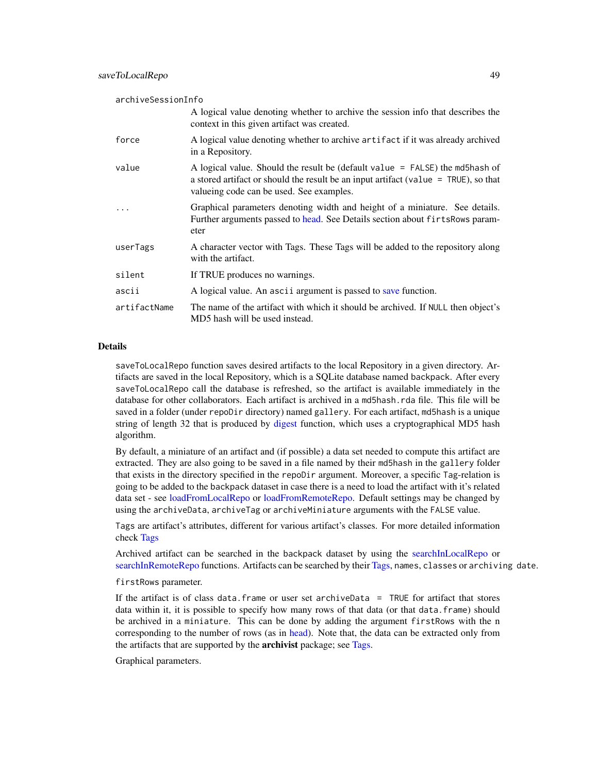| archiveSessionInfo |                                                                                                                                                                                                                     |  |
|--------------------|---------------------------------------------------------------------------------------------------------------------------------------------------------------------------------------------------------------------|--|
|                    | A logical value denoting whether to archive the session info that describes the<br>context in this given artifact was created.                                                                                      |  |
| force              | A logical value denoting whether to archive artifact if it was already archived<br>in a Repository.                                                                                                                 |  |
| value              | A logical value. Should the result be (default value $=$ FALSE) the md5hash of<br>a stored artifact or should the result be an input artifact (value $=$ TRUE), so that<br>valueing code can be used. See examples. |  |
|                    | Graphical parameters denoting width and height of a miniature. See details.<br>Further arguments passed to head. See Details section about firts Rows param-<br>eter                                                |  |
| userTags           | A character vector with Tags. These Tags will be added to the repository along<br>with the artifact.                                                                                                                |  |
| silent             | If TRUE produces no warnings.                                                                                                                                                                                       |  |
| ascii              | A logical value. An ascii argument is passed to save function.                                                                                                                                                      |  |
| artifactName       | The name of the artifact with which it should be archived. If NULL then object's<br>MD5 hash will be used instead.                                                                                                  |  |

#### Details

saveToLocalRepo function saves desired artifacts to the local Repository in a given directory. Artifacts are saved in the local Repository, which is a SQLite database named backpack. After every saveToLocalRepo call the database is refreshed, so the artifact is available immediately in the database for other collaborators. Each artifact is archived in a md5hash.rda file. This file will be saved in a folder (under repoDir directory) named gallery. For each artifact, md5hash is a unique string of length 32 that is produced by [digest](#page-0-0) function, which uses a cryptographical MD5 hash algorithm.

By default, a miniature of an artifact and (if possible) a data set needed to compute this artifact are extracted. They are also going to be saved in a file named by their md5hash in the gallery folder that exists in the directory specified in the repoDir argument. Moreover, a specific Tag-relation is going to be added to the backpack dataset in case there is a need to load the artifact with it's related data set - see [loadFromLocalRepo](#page-32-0) or [loadFromRemoteRepo.](#page-32-1) Default settings may be changed by using the archiveData, archiveTag or archiveMiniature arguments with the FALSE value.

Tags are artifact's attributes, different for various artifact's classes. For more detailed information check [Tags](#page-63-0)

Archived artifact can be searched in the backpack dataset by using the [searchInLocalRepo](#page-50-0) or [searchInRemoteRepo](#page-50-1) functions. Artifacts can be searched by their [Tags,](#page-63-0) names, classes or archiving date.

firstRows parameter.

If the artifact is of class data.frame or user set archiveData = TRUE for artifact that stores data within it, it is possible to specify how many rows of that data (or that data.frame) should be archived in a miniature. This can be done by adding the argument firstRows with the n corresponding to the number of rows (as in [head\)](#page-0-0). Note that, the data can be extracted only from the artifacts that are supported by the **archivist** package; see [Tags.](#page-63-0)

Graphical parameters.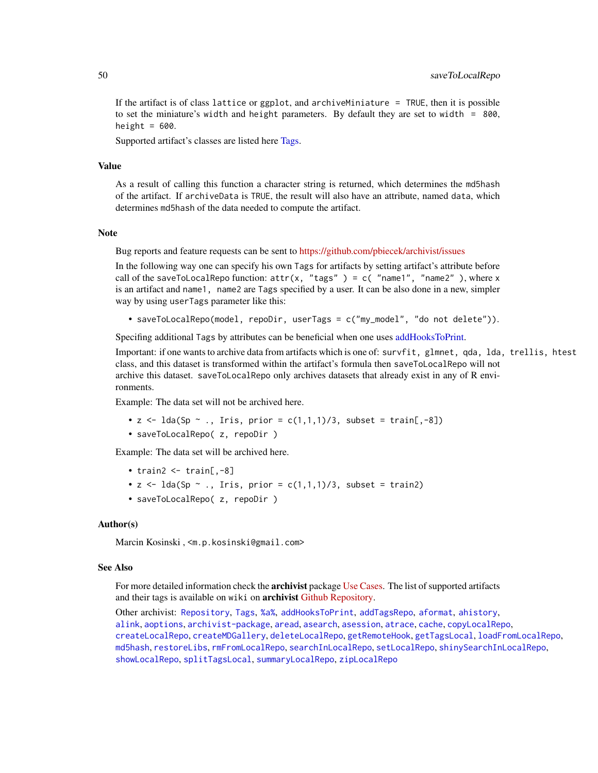If the artifact is of class lattice or ggplot, and archiveMiniature = TRUE, then it is possible to set the miniature's width and height parameters. By default they are set to width  $= 800$ , height  $= 600$ .

Supported artifact's classes are listed here [Tags.](#page-63-0)

## Value

As a result of calling this function a character string is returned, which determines the md5hash of the artifact. If archiveData is TRUE, the result will also have an attribute, named data, which determines md5hash of the data needed to compute the artifact.

#### Note

Bug reports and feature requests can be sent to <https://github.com/pbiecek/archivist/issues>

In the following way one can specify his own Tags for artifacts by setting artifact's attribute before call of the saveToLocalRepo function:  $attr(x, "tags") = c("name1", "name2")$ , where x is an artifact and name1, name2 are Tags specified by a user. It can be also done in a new, simpler way by using userTags parameter like this:

• saveToLocalRepo(model, repoDir, userTags = c("my\_model", "do not delete")).

Specifing additional Tags by attributes can be beneficial when one uses [addHooksToPrint.](#page-3-0)

Important: if one wants to archive data from artifacts which is one of: survfit, glmnet, qda, lda, trellis, htest class, and this dataset is transformed within the artifact's formula then saveToLocalRepo will not archive this dataset. saveToLocalRepo only archives datasets that already exist in any of R environments.

Example: The data set will not be archived here.

- $z \leq 1$ da(Sp  $\sim$  ., Iris, prior =  $c(1,1,1)/3$ , subset = train[,-8])
- saveToLocalRepo( z, repoDir )

Example: The data set will be archived here.

- train2  $\le$  train[, $-8$ ]
- $z \leq 1$ da(Sp  $\sim$  ., Iris, prior =  $c(1,1,1)/3$ , subset = train2)
- saveToLocalRepo( z, repoDir )

## Author(s)

Marcin Kosinski , <m.p.kosinski@gmail.com>

#### See Also

For more detailed information check the **archivist** package [Use Cases.](http://pbiecek.github.io/archivist/) The list of supported artifacts and their tags is available on wiki on **archivist [Github Repository.](https://github.com/pbiecek/archivist/wiki/archivist-package---Tags)** 

Other archivist: [Repository](#page-37-0), [Tags](#page-63-0), [%a%](#page-72-0), [addHooksToPrint](#page-3-0), [addTagsRepo](#page-4-0), [aformat](#page-6-0), [ahistory](#page-7-0), [alink](#page-9-0), [aoptions](#page-11-0), [archivist-package](#page-2-0), [aread](#page-13-0), [asearch](#page-14-0), [asession](#page-17-0), [atrace](#page-18-0), [cache](#page-19-0), [copyLocalRepo](#page-21-0), [createLocalRepo](#page-24-0), [createMDGallery](#page-25-0), [deleteLocalRepo](#page-27-0), [getRemoteHook](#page-28-0), [getTagsLocal](#page-29-1), [loadFromLocalRepo](#page-32-0), [md5hash](#page-36-0), [restoreLibs](#page-39-0), [rmFromLocalRepo](#page-40-0), [searchInLocalRepo](#page-50-0), [setLocalRepo](#page-53-0), [shinySearchInLocalRepo](#page-56-0), [showLocalRepo](#page-57-0), [splitTagsLocal](#page-60-0), [summaryLocalRepo](#page-61-0), [zipLocalRepo](#page-70-0)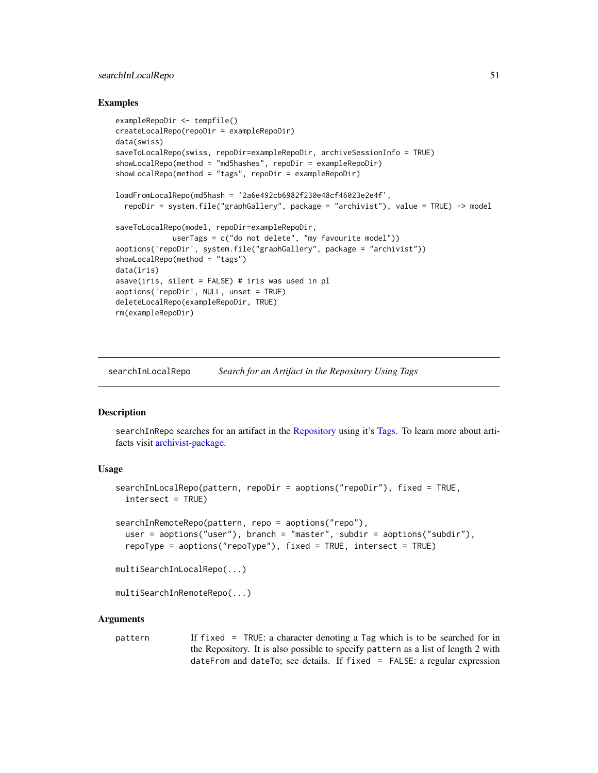# searchInLocalRepo 51

## Examples

```
exampleRepoDir <- tempfile()
createLocalRepo(repoDir = exampleRepoDir)
data(swiss)
saveToLocalRepo(swiss, repoDir=exampleRepoDir, archiveSessionInfo = TRUE)
showLocalRepo(method = "md5hashes", repoDir = exampleRepoDir)
showLocalRepo(method = "tags", repoDir = exampleRepoDir)
loadFromLocalRepo(md5hash = '2a6e492cb6982f230e48cf46023e2e4f',
 repoDir = system.file("graphGallery", package = "archivist"), value = TRUE) -> model
saveToLocalRepo(model, repoDir=exampleRepoDir,
             userTags = c("do not delete", "my favourite model"))
aoptions('repoDir', system.file("graphGallery", package = "archivist"))
showLocalRepo(method = "tags")
data(iris)
asave(iris, silent = FALSE) # iris was used in pl
aoptions('repoDir', NULL, unset = TRUE)
deleteLocalRepo(exampleRepoDir, TRUE)
rm(exampleRepoDir)
```
<span id="page-50-0"></span>searchInLocalRepo *Search for an Artifact in the Repository Using Tags*

# <span id="page-50-1"></span>**Description**

searchInRepo searches for an artifact in the [Repository](#page-37-0) using it's [Tags.](#page-63-0) To learn more about artifacts visit [archivist-package.](#page-2-0)

#### Usage

```
searchInLocalRepo(pattern, repoDir = aoptions("repoDir"), fixed = TRUE,
  intersect = TRUE)
searchInRemoteRepo(pattern, repo = aoptions("repo"),
  user = aoptions("user"), branch = "master", subdir = aoptions("subdir"),
  repoType = aoptions("repoType"), fixed = TRUE, intersect = TRUE)
multiSearchInLocalRepo(...)
```

```
multiSearchInRemoteRepo(...)
```
#### **Arguments**

pattern If fixed = TRUE: a character denoting a Tag which is to be searched for in the Repository. It is also possible to specify pattern as a list of length 2 with dateFrom and dateTo; see details. If fixed = FALSE: a regular expression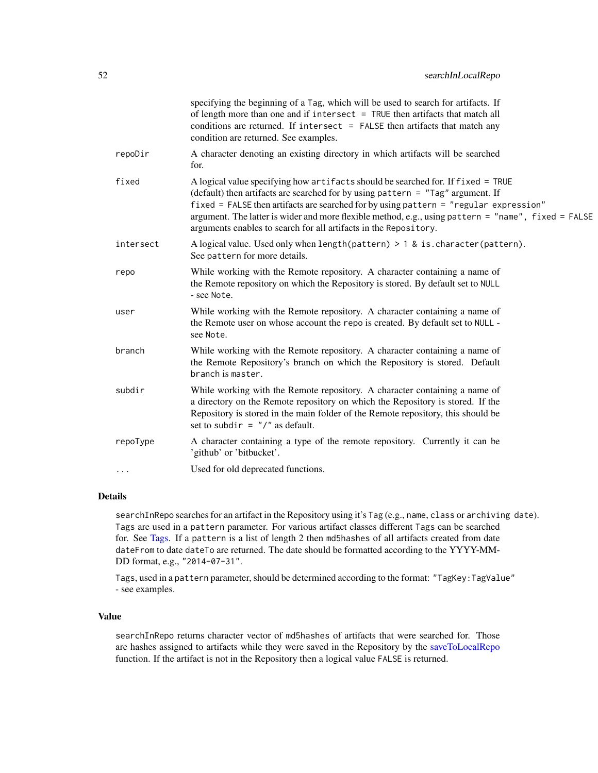|           | specifying the beginning of a Tag, which will be used to search for artifacts. If<br>of length more than one and if intersect $=$ TRUE then artifacts that match all<br>conditions are returned. If intersect $=$ FALSE then artifacts that match any<br>condition are returned. See examples.                                                                                                                                          |
|-----------|-----------------------------------------------------------------------------------------------------------------------------------------------------------------------------------------------------------------------------------------------------------------------------------------------------------------------------------------------------------------------------------------------------------------------------------------|
| repoDir   | A character denoting an existing directory in which artifacts will be searched<br>for.                                                                                                                                                                                                                                                                                                                                                  |
| fixed     | A logical value specifying how artifacts should be searched for. If fixed = TRUE<br>(default) then artifacts are searched for by using pattern = "Tag" argument. If<br>fixed = FALSE then artifacts are searched for by using pattern = "regular expression"<br>argument. The latter is wider and more flexible method, e.g., using pattern = "name", fixed = FALSE<br>arguments enables to search for all artifacts in the Repository. |
| intersect | A logical value. Used only when length (pattern) $> 1$ & is character (pattern).<br>See pattern for more details.                                                                                                                                                                                                                                                                                                                       |
| repo      | While working with the Remote repository. A character containing a name of<br>the Remote repository on which the Repository is stored. By default set to NULL<br>- see Note.                                                                                                                                                                                                                                                            |
| user      | While working with the Remote repository. A character containing a name of<br>the Remote user on whose account the repo is created. By default set to NULL -<br>see Note.                                                                                                                                                                                                                                                               |
| branch    | While working with the Remote repository. A character containing a name of<br>the Remote Repository's branch on which the Repository is stored. Default<br>branch is master.                                                                                                                                                                                                                                                            |
| subdir    | While working with the Remote repository. A character containing a name of<br>a directory on the Remote repository on which the Repository is stored. If the<br>Repository is stored in the main folder of the Remote repository, this should be<br>set to subdir = $''/''$ as default.                                                                                                                                                 |
| repoType  | A character containing a type of the remote repository. Currently it can be<br>'github' or 'bitbucket'.                                                                                                                                                                                                                                                                                                                                 |
| $\cdots$  | Used for old deprecated functions.                                                                                                                                                                                                                                                                                                                                                                                                      |
|           |                                                                                                                                                                                                                                                                                                                                                                                                                                         |

## Details

searchInRepo searches for an artifact in the Repository using it's Tag (e.g., name, class or archiving date). Tags are used in a pattern parameter. For various artifact classes different Tags can be searched for. See [Tags.](#page-63-0) If a pattern is a list of length 2 then md5hashes of all artifacts created from date dateFrom to date dateTo are returned. The date should be formatted according to the YYYY-MM-DD format, e.g., "2014-07-31".

Tags, used in a pattern parameter, should be determined according to the format: "TagKey:TagValue" - see examples.

## Value

searchInRepo returns character vector of md5hashes of artifacts that were searched for. Those are hashes assigned to artifacts while they were saved in the Repository by the [saveToLocalRepo](#page-47-0) function. If the artifact is not in the Repository then a logical value FALSE is returned.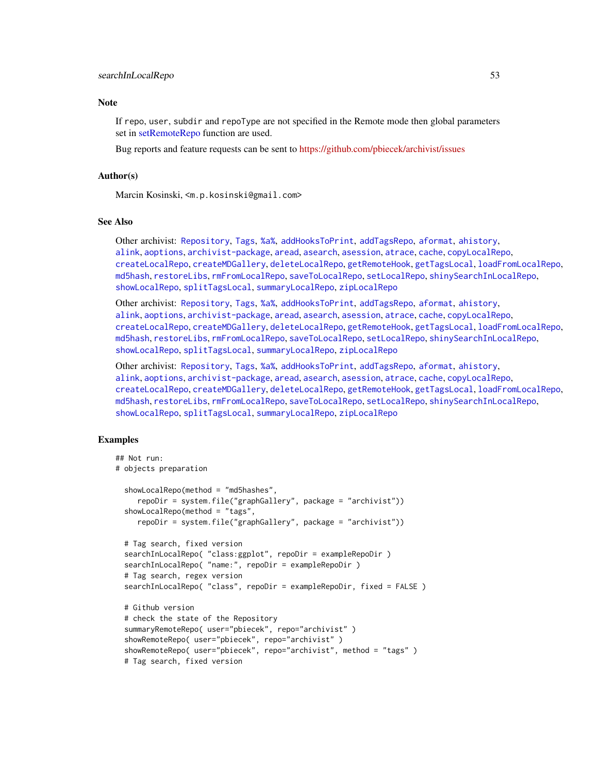#### **Note**

If repo, user, subdir and repoType are not specified in the Remote mode then global parameters set in [setRemoteRepo](#page-53-1) function are used.

Bug reports and feature requests can be sent to <https://github.com/pbiecek/archivist/issues>

# Author(s)

Marcin Kosinski, <m.p.kosinski@gmail.com>

## See Also

Other archivist: [Repository](#page-37-0), [Tags](#page-63-0), [%a%](#page-72-0), [addHooksToPrint](#page-3-0), [addTagsRepo](#page-4-0), [aformat](#page-6-0), [ahistory](#page-7-0), [alink](#page-9-0), [aoptions](#page-11-0), [archivist-package](#page-2-0), [aread](#page-13-0), [asearch](#page-14-0), [asession](#page-17-0), [atrace](#page-18-0), [cache](#page-19-0), [copyLocalRepo](#page-21-0), [createLocalRepo](#page-24-0), [createMDGallery](#page-25-0), [deleteLocalRepo](#page-27-0), [getRemoteHook](#page-28-0), [getTagsLocal](#page-29-1), [loadFromLocalRepo](#page-32-0), [md5hash](#page-36-0), [restoreLibs](#page-39-0), [rmFromLocalRepo](#page-40-0), [saveToLocalRepo](#page-47-0), [setLocalRepo](#page-53-0), [shinySearchInLocalRepo](#page-56-0), [showLocalRepo](#page-57-0), [splitTagsLocal](#page-60-0), [summaryLocalRepo](#page-61-0), [zipLocalRepo](#page-70-0)

Other archivist: [Repository](#page-37-0), [Tags](#page-63-0), [%a%](#page-72-0), [addHooksToPrint](#page-3-0), [addTagsRepo](#page-4-0), [aformat](#page-6-0), [ahistory](#page-7-0), [alink](#page-9-0), [aoptions](#page-11-0), [archivist-package](#page-2-0), [aread](#page-13-0), [asearch](#page-14-0), [asession](#page-17-0), [atrace](#page-18-0), [cache](#page-19-0), [copyLocalRepo](#page-21-0), [createLocalRepo](#page-24-0), [createMDGallery](#page-25-0), [deleteLocalRepo](#page-27-0), [getRemoteHook](#page-28-0), [getTagsLocal](#page-29-1), [loadFromLocalRepo](#page-32-0), [md5hash](#page-36-0), [restoreLibs](#page-39-0), [rmFromLocalRepo](#page-40-0), [saveToLocalRepo](#page-47-0), [setLocalRepo](#page-53-0), [shinySearchInLocalRepo](#page-56-0), [showLocalRepo](#page-57-0), [splitTagsLocal](#page-60-0), [summaryLocalRepo](#page-61-0), [zipLocalRepo](#page-70-0)

Other archivist: [Repository](#page-37-0), [Tags](#page-63-0), [%a%](#page-72-0), [addHooksToPrint](#page-3-0), [addTagsRepo](#page-4-0), [aformat](#page-6-0), [ahistory](#page-7-0), [alink](#page-9-0), [aoptions](#page-11-0), [archivist-package](#page-2-0), [aread](#page-13-0), [asearch](#page-14-0), [asession](#page-17-0), [atrace](#page-18-0), [cache](#page-19-0), [copyLocalRepo](#page-21-0), [createLocalRepo](#page-24-0), [createMDGallery](#page-25-0), [deleteLocalRepo](#page-27-0), [getRemoteHook](#page-28-0), [getTagsLocal](#page-29-1), [loadFromLocalRepo](#page-32-0), [md5hash](#page-36-0), [restoreLibs](#page-39-0), [rmFromLocalRepo](#page-40-0), [saveToLocalRepo](#page-47-0), [setLocalRepo](#page-53-0), [shinySearchInLocalRepo](#page-56-0), [showLocalRepo](#page-57-0), [splitTagsLocal](#page-60-0), [summaryLocalRepo](#page-61-0), [zipLocalRepo](#page-70-0)

## Examples

```
## Not run:
# objects preparation
 showLocalRepo(method = "md5hashes",
     repoDir = system.file("graphGallery", package = "archivist"))
 showLocalRepo(method = "tags",
    repoDir = system.file("graphGallery", package = "archivist"))
 # Tag search, fixed version
 searchInLocalRepo( "class:ggplot", repoDir = exampleRepoDir )
 searchInLocalRepo( "name:", repoDir = exampleRepoDir )
 # Tag search, regex version
 searchInLocalRepo( "class", repoDir = exampleRepoDir, fixed = FALSE )
 # Github version
 # check the state of the Repository
 summaryRemoteRepo( user="pbiecek", repo="archivist" )
 showRemoteRepo( user="pbiecek", repo="archivist" )
 showRemoteRepo( user="pbiecek", repo="archivist", method = "tags" )
 # Tag search, fixed version
```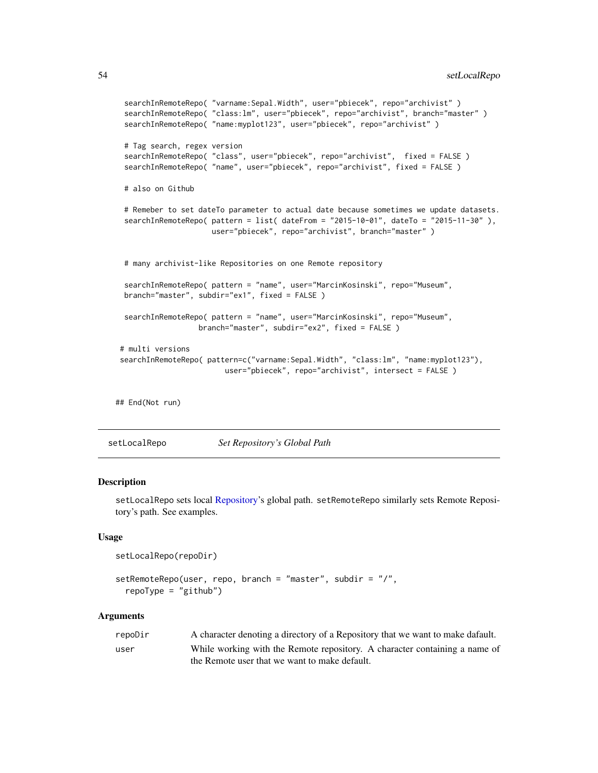```
searchInRemoteRepo( "varname:Sepal.Width", user="pbiecek", repo="archivist")
searchInRemoteRepo( "class:lm", user="pbiecek", repo="archivist", branch="master" )
searchInRemoteRepo( "name:myplot123", user="pbiecek", repo="archivist" )
# Tag search, regex version
searchInRemoteRepo( "class", user="pbiecek", repo="archivist", fixed = FALSE )
searchInRemoteRepo( "name", user="pbiecek", repo="archivist", fixed = FALSE )
# also on Github
# Remeber to set dateTo parameter to actual date because sometimes we update datasets.
searchInRemoteRepo( pattern = list( dateFrom = "2015-10-01", dateTo = "2015-11-30" ),
                    user="pbiecek", repo="archivist", branch="master")
# many archivist-like Repositories on one Remote repository
searchInRemoteRepo( pattern = "name", user="MarcinKosinski", repo="Museum",
branch="master", subdir="ex1", fixed = FALSE )
searchInRemoteRepo( pattern = "name", user="MarcinKosinski", repo="Museum",
                 branch="master", subdir="ex2", fixed = FALSE )
# multi versions
searchInRemoteRepo( pattern=c("varname:Sepal.Width", "class:lm", "name:myplot123"),
                       user="pbiecek", repo="archivist", intersect = FALSE )
```
## End(Not run)

<span id="page-53-0"></span>setLocalRepo *Set Repository's Global Path*

## <span id="page-53-1"></span>Description

setLocalRepo sets local [Repository'](#page-37-0)s global path. setRemoteRepo similarly sets Remote Repository's path. See examples.

## Usage

```
setLocalRepo(repoDir)
```

```
setRemoteRepo(user, repo, branch = "master", subdir = "/",
  repoType = "github")
```
## Arguments

| repoDir | A character denoting a directory of a Repository that we want to make dafault. |
|---------|--------------------------------------------------------------------------------|
| user    | While working with the Remote repository. A character containing a name of     |
|         | the Remote user that we want to make default.                                  |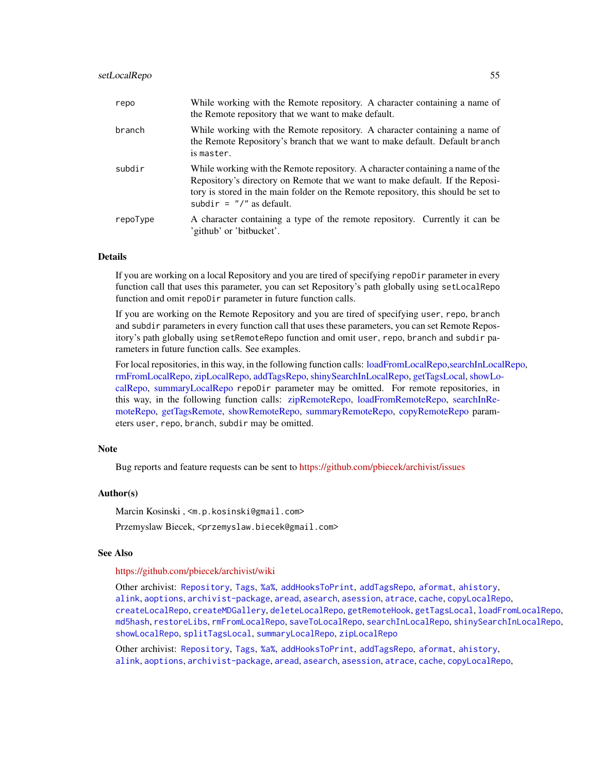## setLocalRepo 55

| repo     | While working with the Remote repository. A character containing a name of<br>the Remote repository that we want to make default.                                                                                                                                                    |
|----------|--------------------------------------------------------------------------------------------------------------------------------------------------------------------------------------------------------------------------------------------------------------------------------------|
| branch   | While working with the Remote repository. A character containing a name of<br>the Remote Repository's branch that we want to make default. Default branch<br>is master.                                                                                                              |
| subdir   | While working with the Remote repository. A character containing a name of the<br>Repository's directory on Remote that we want to make default. If the Reposi-<br>tory is stored in the main folder on the Remote repository, this should be set to<br>subdir = $''/''$ as default. |
| repoType | A character containing a type of the remote repository. Currently it can be<br>'github' or 'bitbucket'.                                                                                                                                                                              |

# **Details**

If you are working on a local Repository and you are tired of specifying repoDir parameter in every function call that uses this parameter, you can set Repository's path globally using setLocalRepo function and omit repoDir parameter in future function calls.

If you are working on the Remote Repository and you are tired of specifying user, repo, branch and subdir parameters in every function call that uses these parameters, you can set Remote Repository's path globally using setRemoteRepo function and omit user, repo, branch and subdir parameters in future function calls. See examples.

For local repositories, in this way, in the following function calls: [loadFromLocalRepo](#page-32-0)[,searchInLocalRepo,](#page-50-0) [rmFromLocalRepo,](#page-40-0) [zipLocalRepo,](#page-70-0) [addTagsRepo,](#page-4-0) [shinySearchInLocalRepo,](#page-56-0) [getTagsLocal,](#page-29-1) [showLo](#page-57-0)[calRepo,](#page-57-0) [summaryLocalRepo](#page-61-0) repoDir parameter may be omitted. For remote repositories, in this way, in the following function calls: [zipRemoteRepo,](#page-70-1) [loadFromRemoteRepo,](#page-32-1) [searchInRe](#page-50-1)[moteRepo,](#page-50-1) [getTagsRemote,](#page-29-0) [showRemoteRepo,](#page-57-1) [summaryRemoteRepo,](#page-61-1) [copyRemoteRepo](#page-21-1) parameters user, repo, branch, subdir may be omitted.

#### **Note**

Bug reports and feature requests can be sent to <https://github.com/pbiecek/archivist/issues>

# Author(s)

Marcin Kosinski , <m.p.kosinski@gmail.com>

Przemyslaw Biecek, <przemyslaw.biecek@gmail.com>

#### See Also

## <https://github.com/pbiecek/archivist/wiki>

Other archivist: [Repository](#page-37-0), [Tags](#page-63-0), [%a%](#page-72-0), [addHooksToPrint](#page-3-0), [addTagsRepo](#page-4-0), [aformat](#page-6-0), [ahistory](#page-7-0), [alink](#page-9-0), [aoptions](#page-11-0), [archivist-package](#page-2-0), [aread](#page-13-0), [asearch](#page-14-0), [asession](#page-17-0), [atrace](#page-18-0), [cache](#page-19-0), [copyLocalRepo](#page-21-0), [createLocalRepo](#page-24-0), [createMDGallery](#page-25-0), [deleteLocalRepo](#page-27-0), [getRemoteHook](#page-28-0), [getTagsLocal](#page-29-1), [loadFromLocalRepo](#page-32-0), [md5hash](#page-36-0), [restoreLibs](#page-39-0), [rmFromLocalRepo](#page-40-0), [saveToLocalRepo](#page-47-0), [searchInLocalRepo](#page-50-0), [shinySearchInLocalRepo](#page-56-0), [showLocalRepo](#page-57-0), [splitTagsLocal](#page-60-0), [summaryLocalRepo](#page-61-0), [zipLocalRepo](#page-70-0)

Other archivist: [Repository](#page-37-0), [Tags](#page-63-0), [%a%](#page-72-0), [addHooksToPrint](#page-3-0), [addTagsRepo](#page-4-0), [aformat](#page-6-0), [ahistory](#page-7-0), [alink](#page-9-0), [aoptions](#page-11-0), [archivist-package](#page-2-0), [aread](#page-13-0), [asearch](#page-14-0), [asession](#page-17-0), [atrace](#page-18-0), [cache](#page-19-0), [copyLocalRepo](#page-21-0),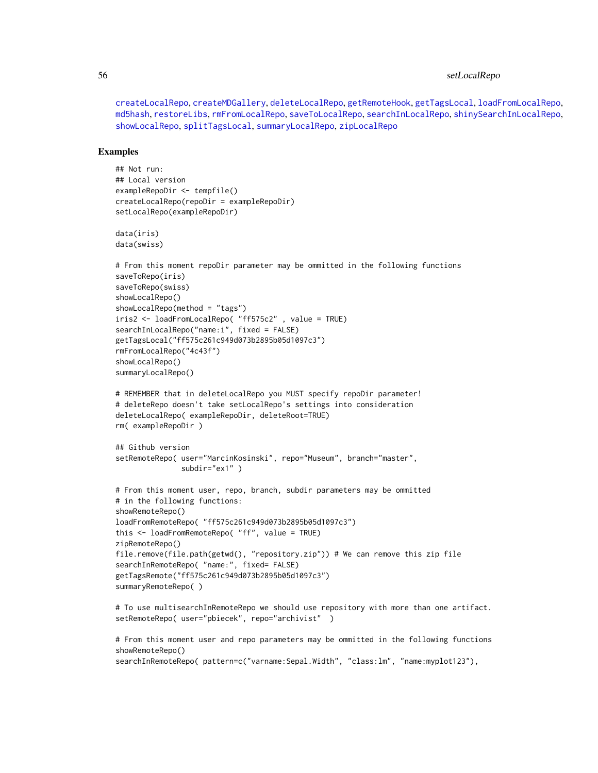# 56 setLocalRepo

[createLocalRepo](#page-24-0), [createMDGallery](#page-25-0), [deleteLocalRepo](#page-27-0), [getRemoteHook](#page-28-0), [getTagsLocal](#page-29-1), [loadFromLocalRepo](#page-32-0), [md5hash](#page-36-0), [restoreLibs](#page-39-0), [rmFromLocalRepo](#page-40-0), [saveToLocalRepo](#page-47-0), [searchInLocalRepo](#page-50-0), [shinySearchInLocalRepo](#page-56-0), [showLocalRepo](#page-57-0), [splitTagsLocal](#page-60-0), [summaryLocalRepo](#page-61-0), [zipLocalRepo](#page-70-0)

#### Examples

```
## Not run:
## Local version
exampleRepoDir <- tempfile()
createLocalRepo(repoDir = exampleRepoDir)
setLocalRepo(exampleRepoDir)
data(iris)
data(swiss)
# From this moment repoDir parameter may be ommitted in the following functions
saveToRepo(iris)
saveToRepo(swiss)
showLocalRepo()
showLocalRepo(method = "tags")
iris2 <- loadFromLocalRepo( "ff575c2" , value = TRUE)
searchInLocalRepo("name:i", fixed = FALSE)
getTagsLocal("ff575c261c949d073b2895b05d1097c3")
rmFromLocalRepo("4c43f")
showLocalRepo()
summaryLocalRepo()
# REMEMBER that in deleteLocalRepo you MUST specify repoDir parameter!
# deleteRepo doesn't take setLocalRepo's settings into consideration
deleteLocalRepo( exampleRepoDir, deleteRoot=TRUE)
rm( exampleRepoDir )
## Github version
setRemoteRepo( user="MarcinKosinski", repo="Museum", branch="master",
               subdir="ex1" )
# From this moment user, repo, branch, subdir parameters may be ommitted
# in the following functions:
showRemoteRepo()
loadFromRemoteRepo( "ff575c261c949d073b2895b05d1097c3")
this <- loadFromRemoteRepo( "ff", value = TRUE)
zipRemoteRepo()
file.remove(file.path(getwd(), "repository.zip")) # We can remove this zip file
searchInRemoteRepo( "name:", fixed= FALSE)
getTagsRemote("ff575c261c949d073b2895b05d1097c3")
summaryRemoteRepo( )
```
# To use multisearchInRemoteRepo we should use repository with more than one artifact. setRemoteRepo( user="pbiecek", repo="archivist")

# From this moment user and repo parameters may be ommitted in the following functions showRemoteRepo() searchInRemoteRepo( pattern=c("varname:Sepal.Width", "class:lm", "name:myplot123"),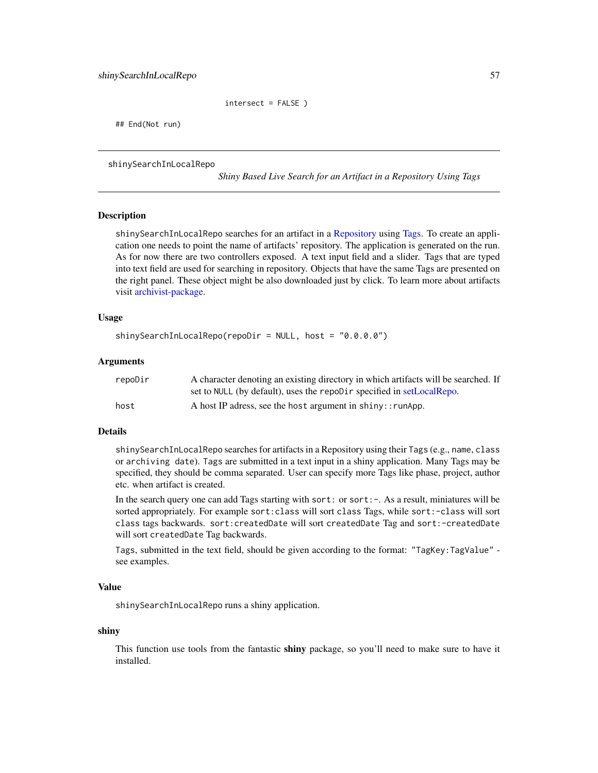```
intersect = FALSE )
```
## End(Not run)

<span id="page-56-0"></span>shinySearchInLocalRepo

*Shiny Based Live Search for an Artifact in a Repository Using Tags*

## Description

shinySearchInLocalRepo searches for an artifact in a [Repository](#page-37-0) using [Tags.](#page-63-0) To create an application one needs to point the name of artifacts' repository. The application is generated on the run. As for now there are two controllers exposed. A text input field and a slider. Tags that are typed into text field are used for searching in repository. Objects that have the same Tags are presented on the right panel. These object might be also downloaded just by click. To learn more about artifacts visit [archivist-package.](#page-2-0)

## Usage

```
shinySearchInLocalRepo(repoDir = NULL, host = "0.0.0.0")
```
#### **Arguments**

| repoDir | A character denoting an existing directory in which artifacts will be searched. If |
|---------|------------------------------------------------------------------------------------|
|         | set to NULL (by default), uses the repoDir specified in setLocalRepo.              |
| host    | A host IP adress, see the host argument in shiny:: runApp.                         |

# Details

shinySearchInLocalRepo searches for artifacts in a Repository using their Tags (e.g., name, class or archiving date). Tags are submitted in a text input in a shiny application. Many Tags may be specified, they should be comma separated. User can specify more Tags like phase, project, author etc. when artifact is created.

In the search query one can add Tags starting with sort: or sort: -. As a result, miniatures will be sorted appropriately. For example sort:class will sort class Tags, while sort:-class will sort class tags backwards. sort:createdDate will sort createdDate Tag and sort:-createdDate will sort createdDate Tag backwards.

Tags, submitted in the text field, should be given according to the format: "TagKey:TagValue" see examples.

#### Value

shinySearchInLocalRepo runs a shiny application.

#### shiny

This function use tools from the fantastic **shiny** package, so you'll need to make sure to have it installed.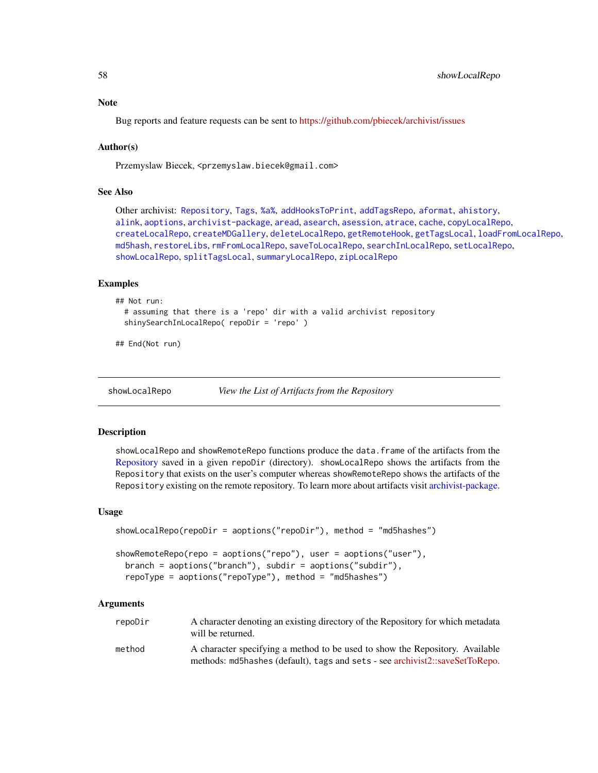## **Note**

Bug reports and feature requests can be sent to <https://github.com/pbiecek/archivist/issues>

## Author(s)

Przemyslaw Biecek, <przemyslaw.biecek@gmail.com>

# See Also

Other archivist: [Repository](#page-37-0), [Tags](#page-63-0), [%a%](#page-72-0), [addHooksToPrint](#page-3-0), [addTagsRepo](#page-4-0), [aformat](#page-6-0), [ahistory](#page-7-0), [alink](#page-9-0), [aoptions](#page-11-0), [archivist-package](#page-2-0), [aread](#page-13-0), [asearch](#page-14-0), [asession](#page-17-0), [atrace](#page-18-0), [cache](#page-19-0), [copyLocalRepo](#page-21-0), [createLocalRepo](#page-24-0), [createMDGallery](#page-25-0), [deleteLocalRepo](#page-27-0), [getRemoteHook](#page-28-0), [getTagsLocal](#page-29-1), [loadFromLocalRepo](#page-32-0), [md5hash](#page-36-0), [restoreLibs](#page-39-0), [rmFromLocalRepo](#page-40-0), [saveToLocalRepo](#page-47-0), [searchInLocalRepo](#page-50-0), [setLocalRepo](#page-53-0), [showLocalRepo](#page-57-0), [splitTagsLocal](#page-60-0), [summaryLocalRepo](#page-61-0), [zipLocalRepo](#page-70-0)

## Examples

```
## Not run:
 # assuming that there is a 'repo' dir with a valid archivist repository
 shinySearchInLocalRepo( repoDir = 'repo')
```
## End(Not run)

<span id="page-57-0"></span>showLocalRepo *View the List of Artifacts from the Repository*

#### <span id="page-57-1"></span>Description

showLocalRepo and showRemoteRepo functions produce the data.frame of the artifacts from the [Repository](#page-37-0) saved in a given repoDir (directory). showLocalRepo shows the artifacts from the Repository that exists on the user's computer whereas showRemoteRepo shows the artifacts of the Repository existing on the remote repository. To learn more about artifacts visit [archivist-package.](#page-2-0)

#### Usage

```
showLocalRepo(repoDir = aoptions("repoDir"), method = "md5hashes")
showRemoteRepo(repo = aoptions("repo"), user = aoptions("user"),
 branch = aoptions("branch"), subdir = aoptions("subdir"),
 repoType = aoptions("repoType"), method = "md5hashes")
```
## Arguments

| repoDir | A character denoting an existing directory of the Repository for which metadata<br>will be returned.                                                         |
|---------|--------------------------------------------------------------------------------------------------------------------------------------------------------------|
| method  | A character specifying a method to be used to show the Repository. Available<br>methods: md5hashes (default), tags and sets - see archivist2::saveSetToRepo. |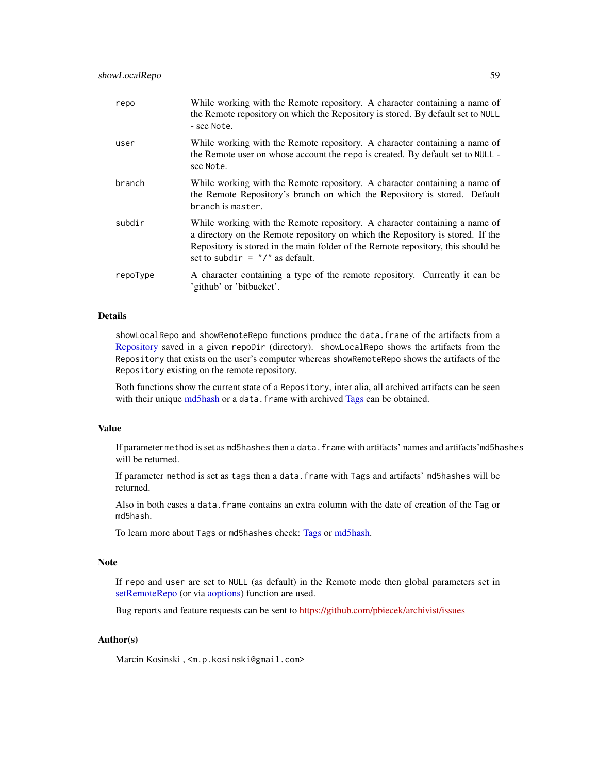| repo     | While working with the Remote repository. A character containing a name of<br>the Remote repository on which the Repository is stored. By default set to NULL<br>- see Note.                                                                                                            |
|----------|-----------------------------------------------------------------------------------------------------------------------------------------------------------------------------------------------------------------------------------------------------------------------------------------|
| user     | While working with the Remote repository. A character containing a name of<br>the Remote user on whose account the repo is created. By default set to NULL -<br>see Note.                                                                                                               |
| branch   | While working with the Remote repository. A character containing a name of<br>the Remote Repository's branch on which the Repository is stored. Default<br>branch is master.                                                                                                            |
| subdir   | While working with the Remote repository. A character containing a name of<br>a directory on the Remote repository on which the Repository is stored. If the<br>Repository is stored in the main folder of the Remote repository, this should be<br>set to subdir = $''/''$ as default. |
| repoType | A character containing a type of the remote repository. Currently it can be<br>'github' or 'bitbucket'.                                                                                                                                                                                 |

## Details

showLocalRepo and showRemoteRepo functions produce the data.frame of the artifacts from a [Repository](#page-37-0) saved in a given repoDir (directory). showLocalRepo shows the artifacts from the Repository that exists on the user's computer whereas showRemoteRepo shows the artifacts of the Repository existing on the remote repository.

Both functions show the current state of a Repository, inter alia, all archived artifacts can be seen with their unique [md5hash](#page-36-0) or a data.frame with archived [Tags](#page-63-0) can be obtained.

#### Value

If parameter method is set as md5hashes then a data.frame with artifacts' names and artifacts' md5hashes will be returned.

If parameter method is set as tags then a data.frame with Tags and artifacts' md5hashes will be returned.

Also in both cases a data.frame contains an extra column with the date of creation of the Tag or md5hash.

To learn more about Tags or md5hashes check: [Tags](#page-63-0) or [md5hash.](#page-36-0)

## Note

If repo and user are set to NULL (as default) in the Remote mode then global parameters set in [setRemoteRepo](#page-53-1) (or via [aoptions\)](#page-11-0) function are used.

Bug reports and feature requests can be sent to <https://github.com/pbiecek/archivist/issues>

# Author(s)

Marcin Kosinski , <m.p.kosinski@gmail.com>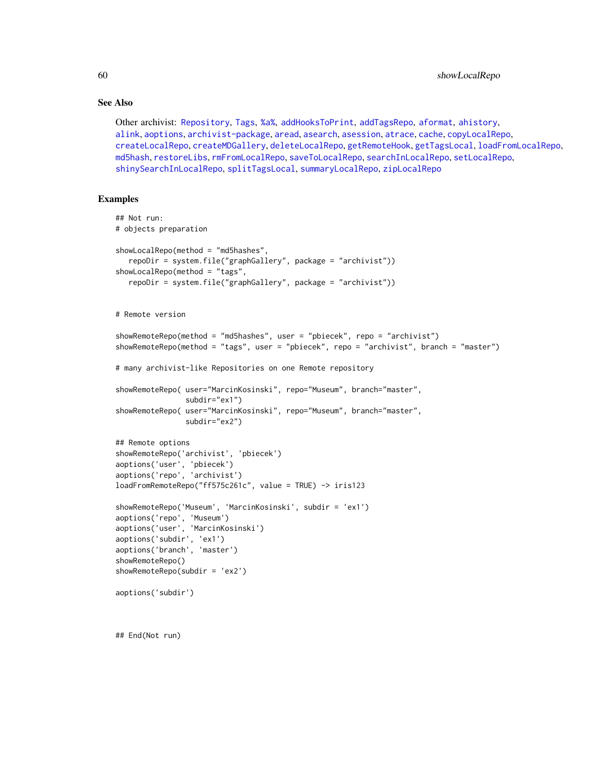60 showLocalRepo

## See Also

Other archivist: [Repository](#page-37-0), [Tags](#page-63-0), [%a%](#page-72-0), [addHooksToPrint](#page-3-0), [addTagsRepo](#page-4-0), [aformat](#page-6-0), [ahistory](#page-7-0), [alink](#page-9-0), [aoptions](#page-11-0), [archivist-package](#page-2-0), [aread](#page-13-0), [asearch](#page-14-0), [asession](#page-17-0), [atrace](#page-18-0), [cache](#page-19-0), [copyLocalRepo](#page-21-0), [createLocalRepo](#page-24-0), [createMDGallery](#page-25-0), [deleteLocalRepo](#page-27-0), [getRemoteHook](#page-28-0), [getTagsLocal](#page-29-1), [loadFromLocalRepo](#page-32-0), [md5hash](#page-36-0), [restoreLibs](#page-39-0), [rmFromLocalRepo](#page-40-0), [saveToLocalRepo](#page-47-0), [searchInLocalRepo](#page-50-0), [setLocalRepo](#page-53-0), [shinySearchInLocalRepo](#page-56-0), [splitTagsLocal](#page-60-0), [summaryLocalRepo](#page-61-0), [zipLocalRepo](#page-70-0)

# Examples

## End(Not run)

```
## Not run:
# objects preparation
showLocalRepo(method = "md5hashes",
   repoDir = system.file("graphGallery", package = "archivist"))
showLocalRepo(method = "tags",
  repoDir = system.file("graphGallery", package = "archivist"))
# Remote version
showRemoteRepo(method = "md5hashes", user = "pbiecek", repo = "archivist")
showRemoteRepo(method = "tags", user = "pbiecek", repo = "archivist", branch = "master")
# many archivist-like Repositories on one Remote repository
showRemoteRepo( user="MarcinKosinski", repo="Museum", branch="master",
                subdir="ex1")
showRemoteRepo( user="MarcinKosinski", repo="Museum", branch="master",
                subdir="ex2")
## Remote options
showRemoteRepo('archivist', 'pbiecek')
aoptions('user', 'pbiecek')
aoptions('repo', 'archivist')
loadFromRemoteRepo("ff575c261c", value = TRUE) -> iris123
showRemoteRepo('Museum', 'MarcinKosinski', subdir = 'ex1')
aoptions('repo', 'Museum')
aoptions('user', 'MarcinKosinski')
aoptions('subdir', 'ex1')
aoptions('branch', 'master')
showRemoteRepo()
showRemoteRepo(subdir = 'ex2')
aoptions('subdir')
```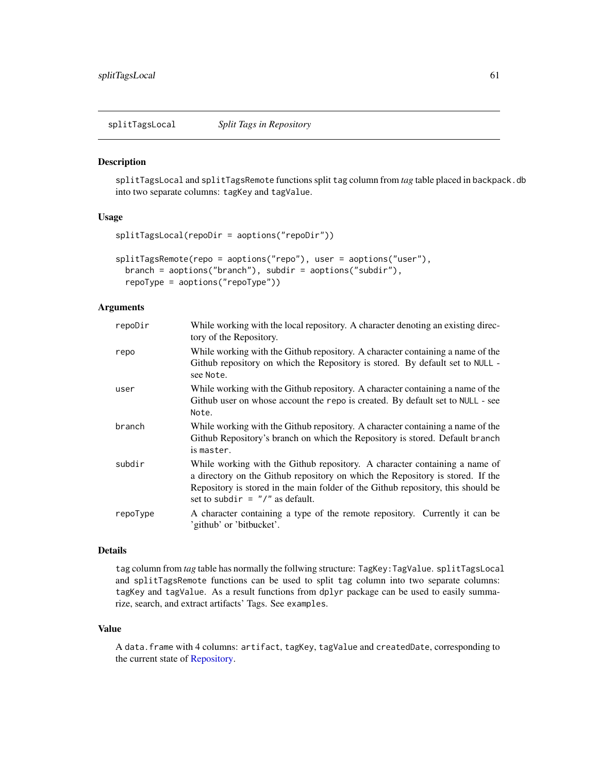<span id="page-60-0"></span>splitTagsLocal *Split Tags in Repository*

#### <span id="page-60-1"></span>Description

splitTagsLocal and splitTagsRemote functions split tag column from *tag* table placed in backpack.db into two separate columns: tagKey and tagValue.

#### Usage

```
splitTagsLocal(repoDir = aoptions("repoDir"))
```

```
splitTagsRemote(repo = aoptions("repo"), user = aoptions("user"),
 branch = aoptions("branch"), subdir = aoptions("subdir"),
  repoType = aoptions("repoType"))
```
# Arguments

| repoDir  | While working with the local repository. A character denoting an existing direc-<br>tory of the Repository.                                                                                                                                                                             |
|----------|-----------------------------------------------------------------------------------------------------------------------------------------------------------------------------------------------------------------------------------------------------------------------------------------|
| repo     | While working with the Github repository. A character containing a name of the<br>Github repository on which the Repository is stored. By default set to NULL -<br>see Note.                                                                                                            |
| user     | While working with the Github repository. A character containing a name of the<br>Github user on whose account the repo is created. By default set to NULL - see<br>Note.                                                                                                               |
| branch   | While working with the Github repository. A character containing a name of the<br>Github Repository's branch on which the Repository is stored. Default branch<br>is master.                                                                                                            |
| subdir   | While working with the Github repository. A character containing a name of<br>a directory on the Github repository on which the Repository is stored. If the<br>Repository is stored in the main folder of the Github repository, this should be<br>set to subdir = $''/''$ as default. |
| repoType | A character containing a type of the remote repository. Currently it can be<br>'github' or 'bitbucket'.                                                                                                                                                                                 |

#### Details

tag column from *tag* table has normally the follwing structure: TagKey: TagValue. splitTagsLocal and splitTagsRemote functions can be used to split tag column into two separate columns: tagKey and tagValue. As a result functions from dplyr package can be used to easily summarize, search, and extract artifacts' Tags. See examples.

# Value

A data.frame with 4 columns: artifact, tagKey, tagValue and createdDate, corresponding to the current state of [Repository.](#page-37-0)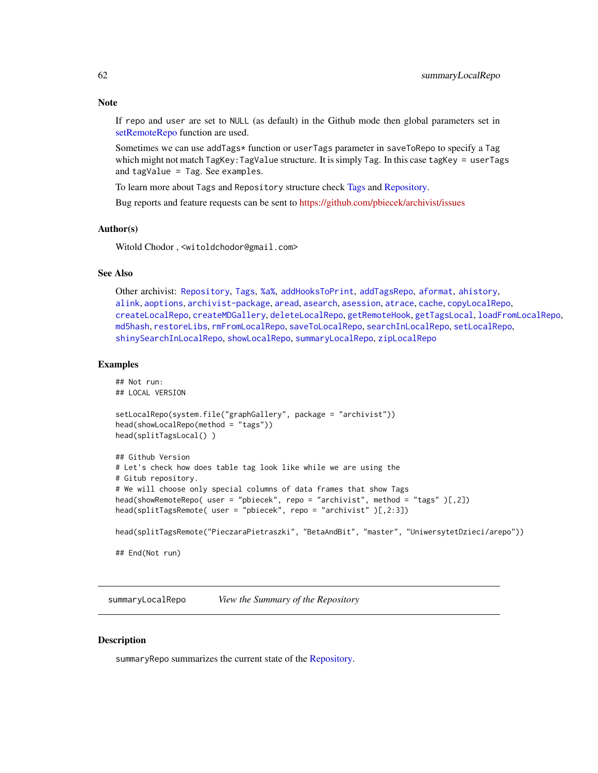# Note

If repo and user are set to NULL (as default) in the Github mode then global parameters set in [setRemoteRepo](#page-53-1) function are used.

Sometimes we can use addTags\* function or userTags parameter in saveToRepo to specify a Tag which might not match TagKey: TagValue structure. It is simply Tag. In this case tagKey = userTags and tagValue = Tag. See examples.

To learn more about Tags and Repository structure check [Tags](#page-63-0) and [Repository.](#page-37-0)

Bug reports and feature requests can be sent to <https://github.com/pbiecek/archivist/issues>

#### Author(s)

Witold Chodor , <witoldchodor@gmail.com>

# See Also

Other archivist: [Repository](#page-37-0), [Tags](#page-63-0), [%a%](#page-72-0), [addHooksToPrint](#page-3-0), [addTagsRepo](#page-4-0), [aformat](#page-6-0), [ahistory](#page-7-0), [alink](#page-9-0), [aoptions](#page-11-0), [archivist-package](#page-2-0), [aread](#page-13-0), [asearch](#page-14-0), [asession](#page-17-0), [atrace](#page-18-0), [cache](#page-19-0), [copyLocalRepo](#page-21-0), [createLocalRepo](#page-24-0), [createMDGallery](#page-25-0), [deleteLocalRepo](#page-27-0), [getRemoteHook](#page-28-0), [getTagsLocal](#page-29-1), [loadFromLocalRepo](#page-32-0), [md5hash](#page-36-0), [restoreLibs](#page-39-0), [rmFromLocalRepo](#page-40-0), [saveToLocalRepo](#page-47-0), [searchInLocalRepo](#page-50-0), [setLocalRepo](#page-53-0), [shinySearchInLocalRepo](#page-56-0), [showLocalRepo](#page-57-0), [summaryLocalRepo](#page-61-0), [zipLocalRepo](#page-70-0)

#### Examples

```
## Not run:
## LOCAL VERSION
setLocalRepo(system.file("graphGallery", package = "archivist"))
head(showLocalRepo(method = "tags"))
head(splitTagsLocal() )
## Github Version
# Let's check how does table tag look like while we are using the
# Gitub repository.
# We will choose only special columns of data frames that show Tags
head(showRemoteRepo( user = "pbiecek", repo = "archivist", method = "tags" )[,2])
head(splitTagsRemote( user = "pbiecek", repo = "archivist" )[,2:3])
head(splitTagsRemote("PieczaraPietraszki", "BetaAndBit", "master", "UniwersytetDzieci/arepo"))
```
## End(Not run)

<span id="page-61-0"></span>summaryLocalRepo *View the Summary of the Repository*

#### <span id="page-61-1"></span>**Description**

summaryRepo summarizes the current state of the [Repository.](#page-37-0)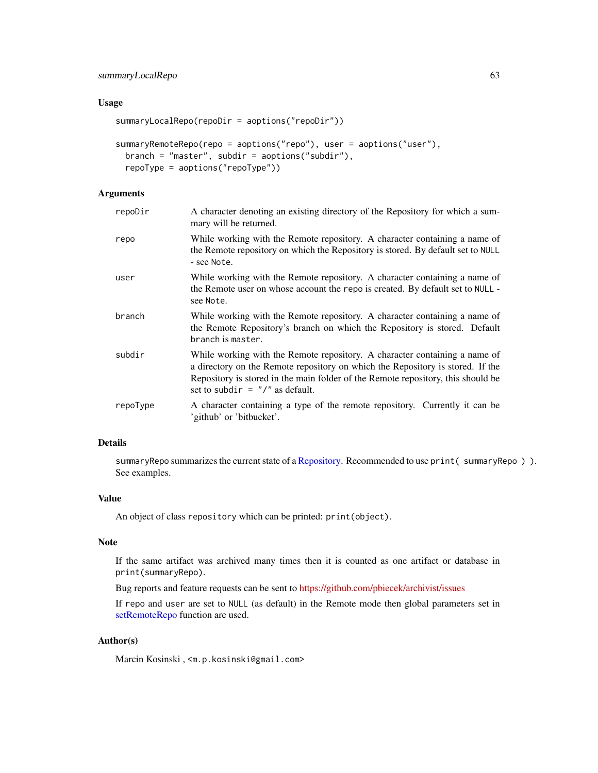# summaryLocalRepo 63

## Usage

```
summaryLocalRepo(repoDir = aoptions("repoDir"))
```

```
summaryRemoteRepo(repo = aoptions("repo"), user = aoptions("user"),
 branch = "master", subdir = aoptions("subdir"),
 repoType = aoptions("repoType"))
```
# Arguments

| repoDir  | A character denoting an existing directory of the Repository for which a sum-<br>mary will be returned.                                                                                                                                                                                 |
|----------|-----------------------------------------------------------------------------------------------------------------------------------------------------------------------------------------------------------------------------------------------------------------------------------------|
| repo     | While working with the Remote repository. A character containing a name of<br>the Remote repository on which the Repository is stored. By default set to NULL<br>- see Note.                                                                                                            |
| user     | While working with the Remote repository. A character containing a name of<br>the Remote user on whose account the repo is created. By default set to NULL -<br>see Note.                                                                                                               |
| branch   | While working with the Remote repository. A character containing a name of<br>the Remote Repository's branch on which the Repository is stored. Default<br>branch is master.                                                                                                            |
| subdir   | While working with the Remote repository. A character containing a name of<br>a directory on the Remote repository on which the Repository is stored. If the<br>Repository is stored in the main folder of the Remote repository, this should be<br>set to subdir = $''/''$ as default. |
| repoType | A character containing a type of the remote repository. Currently it can be<br>'github' or 'bitbucket'.                                                                                                                                                                                 |

# Details

summaryRepo summarizes the current state of a [Repository.](#page-37-0) Recommended to use print (summaryRepo)). See examples.

# Value

An object of class repository which can be printed: print(object).

# Note

If the same artifact was archived many times then it is counted as one artifact or database in print(summaryRepo).

Bug reports and feature requests can be sent to <https://github.com/pbiecek/archivist/issues>

If repo and user are set to NULL (as default) in the Remote mode then global parameters set in [setRemoteRepo](#page-53-1) function are used.

#### Author(s)

Marcin Kosinski , <m.p.kosinski@gmail.com>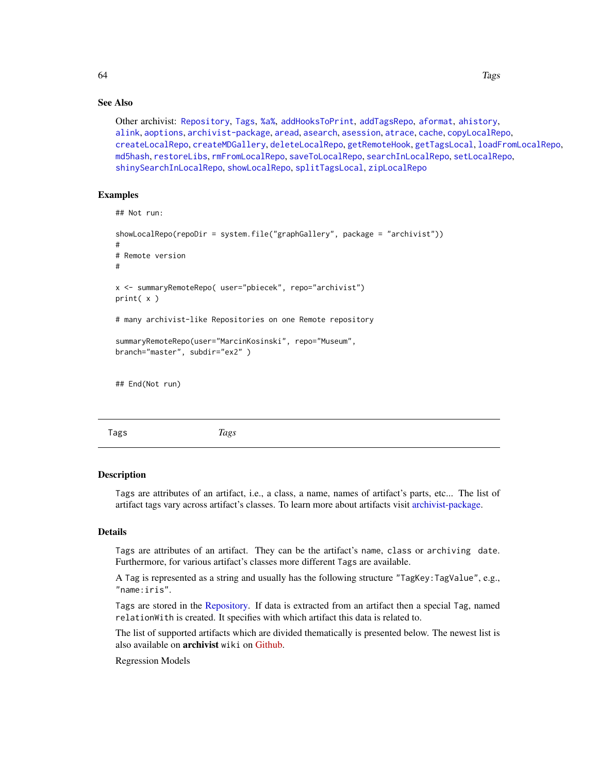# See Also

Other archivist: [Repository](#page-37-0), [Tags](#page-63-0), [%a%](#page-72-0), [addHooksToPrint](#page-3-0), [addTagsRepo](#page-4-0), [aformat](#page-6-0), [ahistory](#page-7-0), [alink](#page-9-0), [aoptions](#page-11-0), [archivist-package](#page-2-0), [aread](#page-13-0), [asearch](#page-14-0), [asession](#page-17-0), [atrace](#page-18-0), [cache](#page-19-0), [copyLocalRepo](#page-21-0), [createLocalRepo](#page-24-0), [createMDGallery](#page-25-0), [deleteLocalRepo](#page-27-0), [getRemoteHook](#page-28-0), [getTagsLocal](#page-29-1), [loadFromLocalRepo](#page-32-0), [md5hash](#page-36-0), [restoreLibs](#page-39-0), [rmFromLocalRepo](#page-40-0), [saveToLocalRepo](#page-47-0), [searchInLocalRepo](#page-50-0), [setLocalRepo](#page-53-0), [shinySearchInLocalRepo](#page-56-0), [showLocalRepo](#page-57-0), [splitTagsLocal](#page-60-0), [zipLocalRepo](#page-70-0)

# Examples

```
## Not run:
showLocalRepo(repoDir = system.file("graphGallery", package = "archivist"))
#
# Remote version
#
x <- summaryRemoteRepo( user="pbiecek", repo="archivist")
print( x )
# many archivist-like Repositories on one Remote repository
summaryRemoteRepo(user="MarcinKosinski", repo="Museum",
branch="master", subdir="ex2" )
## End(Not run)
```
<span id="page-63-0"></span>Tags *Tags*

#### Description

Tags are attributes of an artifact, i.e., a class, a name, names of artifact's parts, etc... The list of artifact tags vary across artifact's classes. To learn more about artifacts visit [archivist-package.](#page-2-0)

## Details

Tags are attributes of an artifact. They can be the artifact's name, class or archiving date. Furthermore, for various artifact's classes more different Tags are available.

A Tag is represented as a string and usually has the following structure "TagKey:TagValue", e.g., "name:iris".

Tags are stored in the [Repository.](#page-37-0) If data is extracted from an artifact then a special Tag, named relationWith is created. It specifies with which artifact this data is related to.

The list of supported artifacts which are divided thematically is presented below. The newest list is also available on **archivist** wiki on [Github.](https://github.com/pbiecek/archivist/wiki/archivist-package---Tags)

Regression Models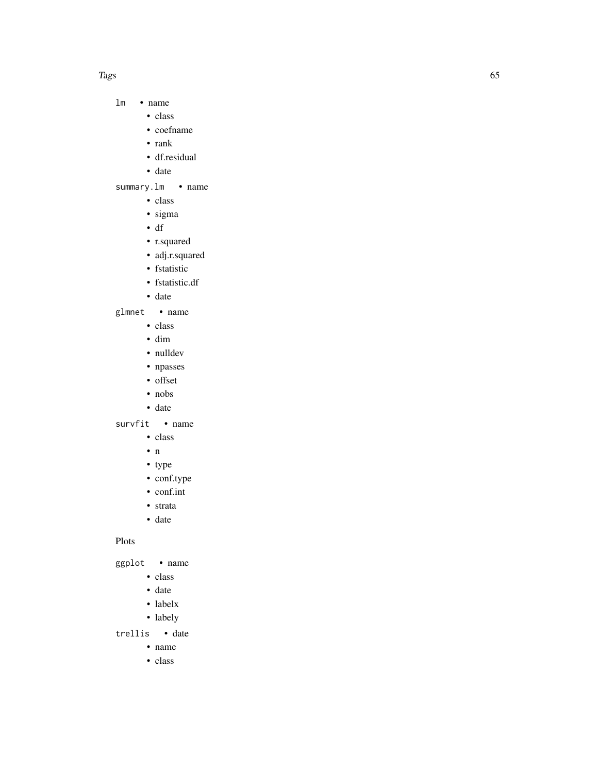#### Tags 65

#### lm • name

- class
	- coefname
	- rank
	- df.residual
- date

#### summary.lm • name

- class
- sigma
- df
- r.squared
- adj.r.squared
- fstatistic
- fstatistic.df
- date

## glmnet • name

- class
- dim
- nulldev
- npasses
- offset
- nobs
- date

#### survfit • name

- class
- n
- type
- conf.type
- conf.int
- strata
- date

# Plots

ggplot • name

- class
- date
- labelx
- labely

#### trellis • date

- name
- class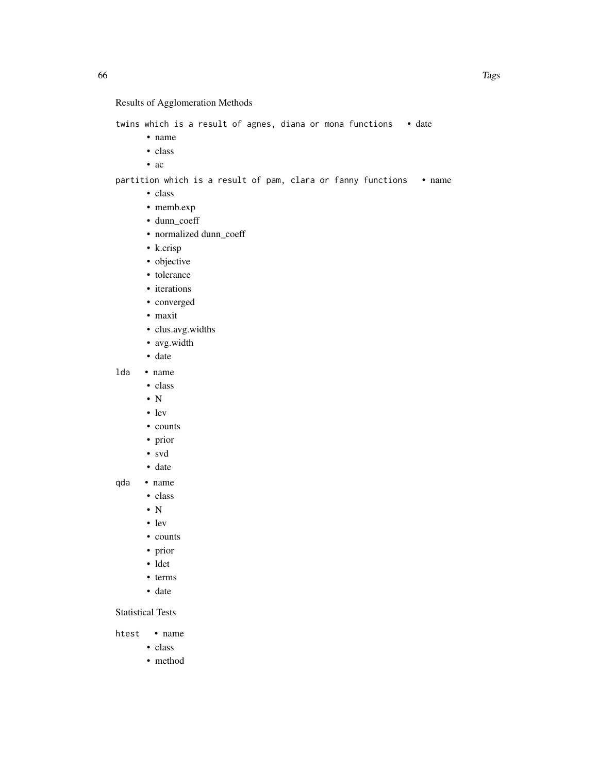# Results of Agglomeration Methods

twins which is a result of agnes, diana or mona functions • date

- name
- class
- ac

partition which is a result of pam, clara or fanny functions • name

- class
- memb.exp
- dunn\_coeff
- normalized dunn\_coeff
- k.crisp
- objective
- tolerance
- iterations
- converged
- maxit
- clus.avg.widths
- avg.width
- date

# lda • name

- class
- N
- lev
- counts
- prior
- svd
- date
- qda name
	- class
	- $\bullet$  N
	- lev
	- counts
	- prior
	- ldet
	- terms
	- date

Statistical Tests

htest • name

- class
- method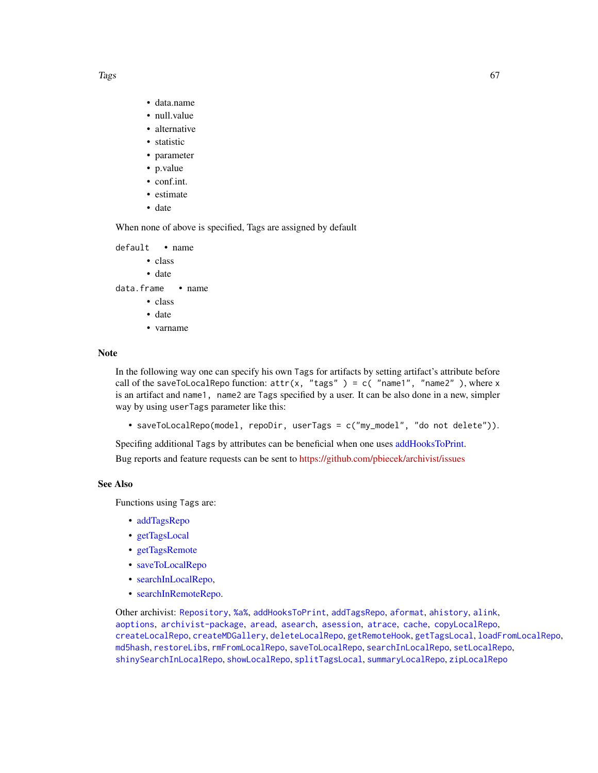- data.name
- null.value
- alternative
- statistic
- parameter
- p.value
- conf.int.
- estimate
- date

When none of above is specified, Tags are assigned by default

default • name

- class
- date

data.frame • name

- class
- date
- varname

# Note

In the following way one can specify his own Tags for artifacts by setting artifact's attribute before call of the saveToLocalRepo function:  $attr(x, "tags") = c('name1", "name2")$ , where x is an artifact and name1, name2 are Tags specified by a user. It can be also done in a new, simpler way by using userTags parameter like this:

• saveToLocalRepo(model, repoDir, userTags = c("my\_model", "do not delete")).

Specifing additional Tags by attributes can be beneficial when one uses [addHooksToPrint.](#page-3-0)

Bug reports and feature requests can be sent to <https://github.com/pbiecek/archivist/issues>

## See Also

Functions using Tags are:

- [addTagsRepo](#page-4-0)
- [getTagsLocal](#page-29-1)
- [getTagsRemote](#page-29-0)
- [saveToLocalRepo](#page-47-0)
- [searchInLocalRepo,](#page-50-0)
- [searchInRemoteRepo.](#page-50-1)

Other archivist: [Repository](#page-37-0), [%a%](#page-72-0), [addHooksToPrint](#page-3-0), [addTagsRepo](#page-4-0), [aformat](#page-6-0), [ahistory](#page-7-0), [alink](#page-9-0), [aoptions](#page-11-0), [archivist-package](#page-2-0), [aread](#page-13-0), [asearch](#page-14-0), [asession](#page-17-0), [atrace](#page-18-0), [cache](#page-19-0), [copyLocalRepo](#page-21-0), [createLocalRepo](#page-24-0), [createMDGallery](#page-25-0), [deleteLocalRepo](#page-27-0), [getRemoteHook](#page-28-0), [getTagsLocal](#page-29-1), [loadFromLocalRepo](#page-32-0), [md5hash](#page-36-0), [restoreLibs](#page-39-0), [rmFromLocalRepo](#page-40-0), [saveToLocalRepo](#page-47-0), [searchInLocalRepo](#page-50-0), [setLocalRepo](#page-53-0), [shinySearchInLocalRepo](#page-56-0), [showLocalRepo](#page-57-0), [splitTagsLocal](#page-60-0), [summaryLocalRepo](#page-61-0), [zipLocalRepo](#page-70-0)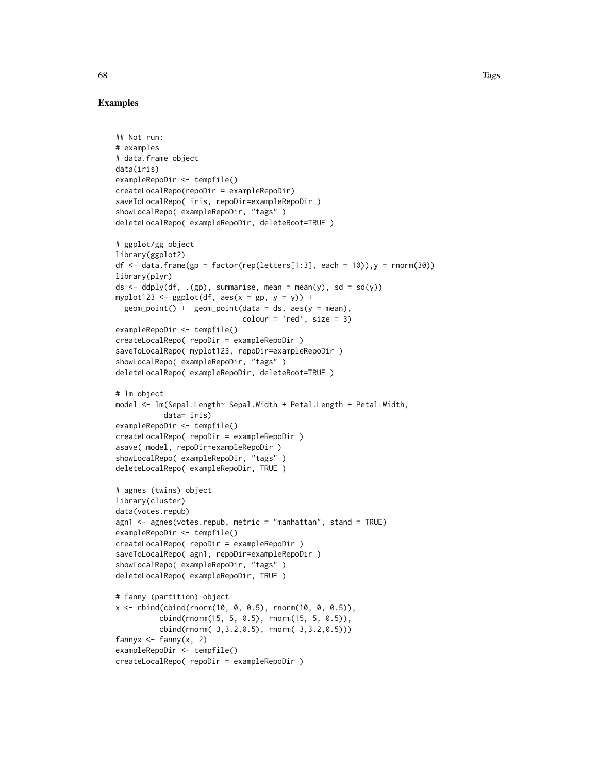```
## Not run:
# examples
# data.frame object
data(iris)
exampleRepoDir <- tempfile()
createLocalRepo(repoDir = exampleRepoDir)
saveToLocalRepo( iris, repoDir=exampleRepoDir )
showLocalRepo( exampleRepoDir, "tags" )
deleteLocalRepo( exampleRepoDir, deleteRoot=TRUE )
# ggplot/gg object
library(ggplot2)
df \leq data.frame(gp = factor(rep(letters[1:3], each = 10)),y = rnorm(30))
library(plyr)
ds \leq ddply(df, .(gp), summarise, mean = mean(y), sd = sd(y))
myplot123 <- gplot(df, aes(x = gp, y = y)) +
  geom\_point() + geom\_point(data = ds, aes(y = mean),color = 'red', size = 3)exampleRepoDir <- tempfile()
createLocalRepo( repoDir = exampleRepoDir )
saveToLocalRepo( myplot123, repoDir=exampleRepoDir )
showLocalRepo( exampleRepoDir, "tags" )
deleteLocalRepo( exampleRepoDir, deleteRoot=TRUE )
# lm object
model <- lm(Sepal.Length~ Sepal.Width + Petal.Length + Petal.Width,
           data= iris)
exampleRepoDir <- tempfile()
createLocalRepo( repoDir = exampleRepoDir )
asave( model, repoDir=exampleRepoDir )
showLocalRepo( exampleRepoDir, "tags" )
deleteLocalRepo( exampleRepoDir, TRUE )
# agnes (twins) object
library(cluster)
data(votes.repub)
agn1 \leq agnes(votes.repub, metric = "manhattan", stand = TRUE)
exampleRepoDir <- tempfile()
createLocalRepo( repoDir = exampleRepoDir )
saveToLocalRepo( agn1, repoDir=exampleRepoDir )
showLocalRepo( exampleRepoDir, "tags" )
deleteLocalRepo( exampleRepoDir, TRUE )
# fanny (partition) object
x \le rbind(cbind(rnorm(10, 0, 0.5), rnorm(10, 0, 0.5)),
          cbind(rnorm(15, 5, 0.5), rnorm(15, 5, 0.5)),
          cbind(rnorm( 3,3.2,0.5), rnorm( 3,3.2,0.5)))
fannyx \leq fanny(x, 2)
exampleRepoDir <- tempfile()
createLocalRepo( repoDir = exampleRepoDir )
```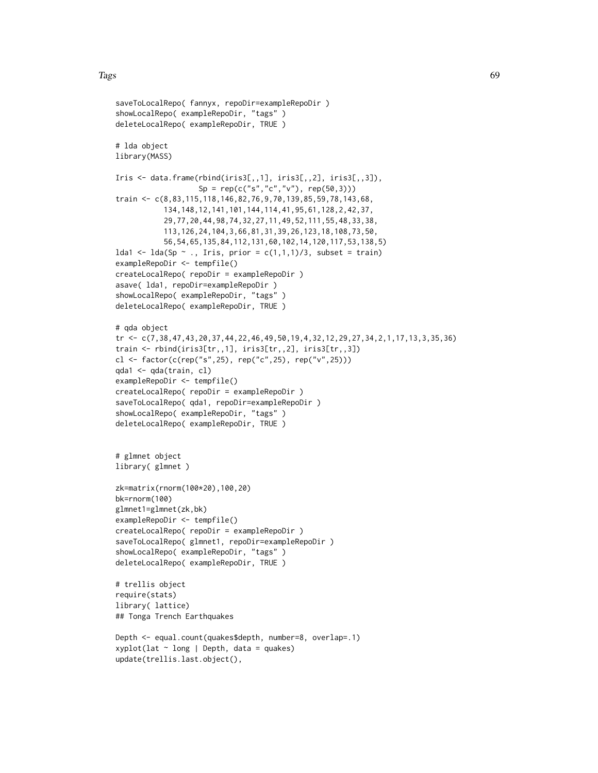```
saveToLocalRepo( fannyx, repoDir=exampleRepoDir )
showLocalRepo( exampleRepoDir, "tags" )
deleteLocalRepo( exampleRepoDir, TRUE )
# lda object
library(MASS)
Iris \leq data.frame(rbind(iris3[,,1], iris3[,,2], iris3[,,3]),
                   Sp = rep(c("s", "c", "v"), rep(50,3)))train <- c(8,83,115,118,146,82,76,9,70,139,85,59,78,143,68,
           134,148,12,141,101,144,114,41,95,61,128,2,42,37,
           29,77,20,44,98,74,32,27,11,49,52,111,55,48,33,38,
           113,126,24,104,3,66,81,31,39,26,123,18,108,73,50,
           56,54,65,135,84,112,131,60,102,14,120,117,53,138,5)
lda1 <- lda(Sp ~ ., Iris, prior = c(1,1,1)/3, subset = train)
exampleRepoDir <- tempfile()
createLocalRepo( repoDir = exampleRepoDir )
asave( lda1, repoDir=exampleRepoDir )
showLocalRepo( exampleRepoDir, "tags" )
deleteLocalRepo( exampleRepoDir, TRUE )
# qda object
tr <- c(7,38,47,43,20,37,44,22,46,49,50,19,4,32,12,29,27,34,2,1,17,13,3,35,36)
train <- rbind(iris3[tr,,1], iris3[tr,,2], iris3[tr,,3])
cl <- factor(c(rep("s",25), rep("c",25), rep("v",25)))
qda1 <- qda(train, cl)
exampleRepoDir <- tempfile()
createLocalRepo( repoDir = exampleRepoDir )
saveToLocalRepo( qda1, repoDir=exampleRepoDir )
showLocalRepo( exampleRepoDir, "tags" )
deleteLocalRepo( exampleRepoDir, TRUE )
# glmnet object
library( glmnet )
zk=matrix(rnorm(100*20),100,20)
bk=rnorm(100)
glmnet1=glmnet(zk,bk)
exampleRepoDir <- tempfile()
createLocalRepo( repoDir = exampleRepoDir )
saveToLocalRepo( glmnet1, repoDir=exampleRepoDir )
showLocalRepo( exampleRepoDir, "tags" )
deleteLocalRepo( exampleRepoDir, TRUE )
# trellis object
require(stats)
library( lattice)
## Tonga Trench Earthquakes
Depth <- equal.count(quakes$depth, number=8, overlap=.1)
xyplot(lat \sim long \mid Depth, data = quakes)update(trellis.last.object(),
```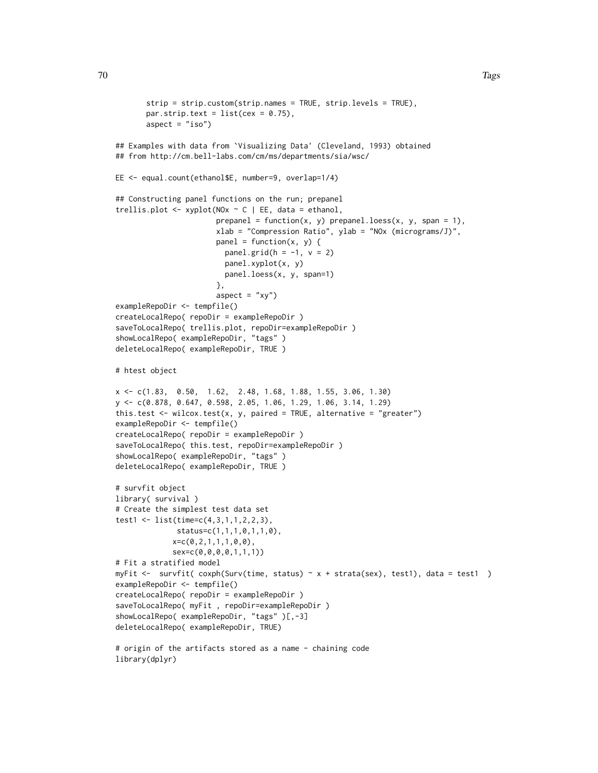```
strip = strip.custom(strip.names = TRUE, strip.levels = TRUE),
       par.strip.text = list(cex = 0.75),
       aspect = "iso")## Examples with data from `Visualizing Data' (Cleveland, 1993) obtained
## from http://cm.bell-labs.com/cm/ms/departments/sia/wsc/
EE <- equal.count(ethanol$E, number=9, overlap=1/4)
## Constructing panel functions on the run; prepanel
trellis.plot <- xyplot(NOx \sim C | EE, data = ethanol,
                       prepanel = function(x, y) prepanel.loess(x, y, span = 1),
                       xlab = "Compression Ratio", ylab = "NOx (micrograms/J)",
                       panel = function(x, y) {
                         panel.grid(h = -1, v = 2)
                         panel.xyplot(x, y)
                        panel.loess(x, y, span=1)
                       },
                       aspect = "xy")
exampleRepoDir <- tempfile()
createLocalRepo( repoDir = exampleRepoDir )
saveToLocalRepo( trellis.plot, repoDir=exampleRepoDir )
showLocalRepo( exampleRepoDir, "tags" )
deleteLocalRepo( exampleRepoDir, TRUE )
# htest object
x <- c(1.83, 0.50, 1.62, 2.48, 1.68, 1.88, 1.55, 3.06, 1.30)
y <- c(0.878, 0.647, 0.598, 2.05, 1.06, 1.29, 1.06, 3.14, 1.29)
this.test \le wilcox.test(x, y, paired = TRUE, alternative = "greater")
exampleRepoDir <- tempfile()
createLocalRepo( repoDir = exampleRepoDir )
saveToLocalRepo( this.test, repoDir=exampleRepoDir )
showLocalRepo( exampleRepoDir, "tags" )
deleteLocalRepo( exampleRepoDir, TRUE )
# survfit object
library( survival )
# Create the simplest test data set
test1 <- list(time=c(4,3,1,1,2,2,3),
              status=c(1,1,1,0,1,1,0),
             x=c(0,2,1,1,1,0,0),
             sex=c(0,0,0,0,1,1,1))
# Fit a stratified model
myFit <- survfit( coxph(Surv(time, status) ~ x + strata(sex), test1), data = test1 )
exampleRepoDir <- tempfile()
createLocalRepo( repoDir = exampleRepoDir )
saveToLocalRepo( myFit , repoDir=exampleRepoDir )
showLocalRepo( exampleRepoDir, "tags" )[,-3]
deleteLocalRepo( exampleRepoDir, TRUE)
# origin of the artifacts stored as a name - chaining code
```
library(dplyr)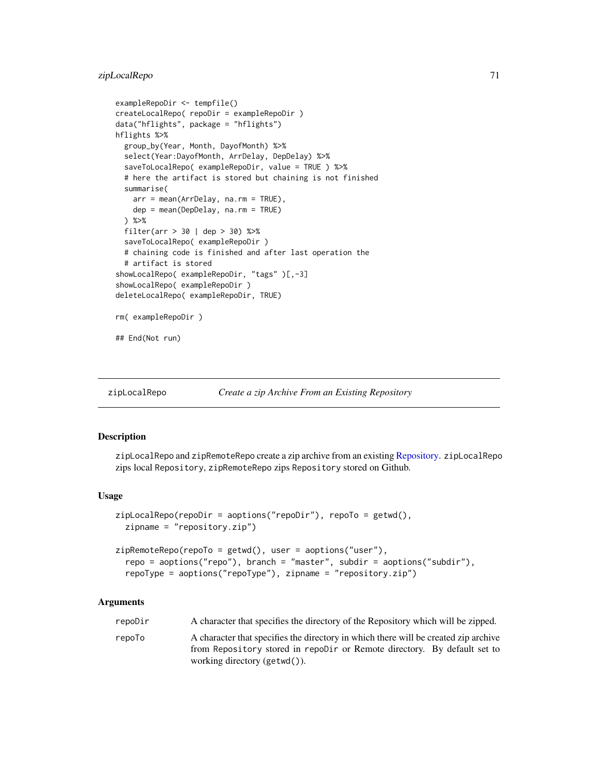# zipLocalRepo 71

```
exampleRepoDir <- tempfile()
createLocalRepo( repoDir = exampleRepoDir )
data("hflights", package = "hflights")
hflights %>%
  group_by(Year, Month, DayofMonth) %>%
  select(Year:DayofMonth, ArrDelay, DepDelay) %>%
  saveToLocalRepo( exampleRepoDir, value = TRUE ) %>%
  # here the artifact is stored but chaining is not finished
  summarise(
   arr = mean(ArrDelay, na.rm = TRUE),
   dep = mean(DepDelay, na.rm = TRUE)
  ) %>%
  filter(arr > 30 | dep > 30) %>%
  saveToLocalRepo( exampleRepoDir )
  # chaining code is finished and after last operation the
  # artifact is stored
showLocalRepo( exampleRepoDir, "tags" )[,-3]
showLocalRepo( exampleRepoDir )
deleteLocalRepo( exampleRepoDir, TRUE)
rm( exampleRepoDir )
## End(Not run)
```
<span id="page-70-0"></span>zipLocalRepo *Create a zip Archive From an Existing Repository*

## <span id="page-70-1"></span>**Description**

zipLocalRepo and zipRemoteRepo create a zip archive from an existing [Repository.](#page-37-0) zipLocalRepo zips local Repository, zipRemoteRepo zips Repository stored on Github.

#### Usage

```
zipLocalRepo(repoDir = aoptions("repoDir"), repoTo = getwd(),
  zipname = "repository.zip")
```

```
zipRemoteRepo(repoTo = getwd(), user = aoptions("user"),
  repo = aoptions("repo"), branch = "master", subdir = aoptions("subdir"),
  repoType = aoptions("repoType"), zipname = "repository.zip")
```
## Arguments

| repoDir | A character that specifies the directory of the Repository which will be zipped.    |
|---------|-------------------------------------------------------------------------------------|
| repoTo  | A character that specifies the directory in which there will be created zip archive |
|         | from Repository stored in repolir or Remote directory. By default set to            |
|         | working directory $(\text{getwd}()).$                                               |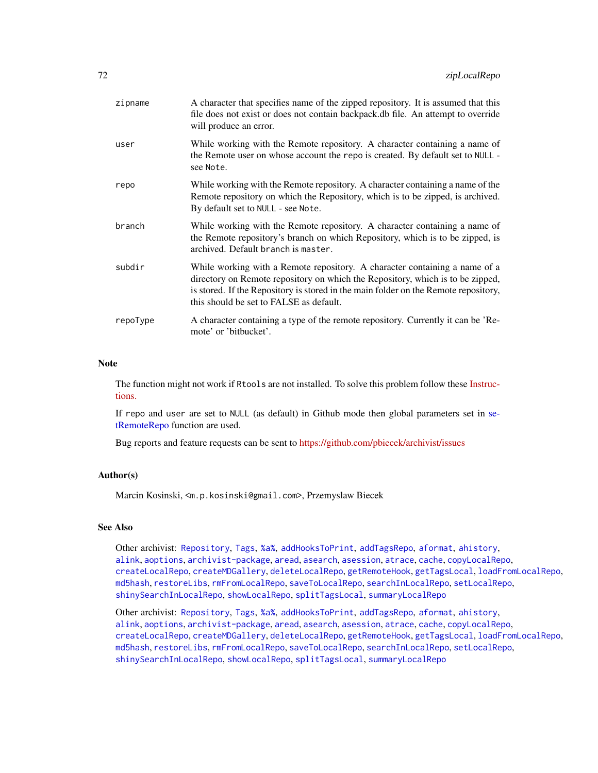| zipname  | A character that specifies name of the zipped repository. It is assumed that this<br>file does not exist or does not contain backpack.db file. An attempt to override<br>will produce an error.                                                                                                |
|----------|------------------------------------------------------------------------------------------------------------------------------------------------------------------------------------------------------------------------------------------------------------------------------------------------|
| user     | While working with the Remote repository. A character containing a name of<br>the Remote user on whose account the repo is created. By default set to NULL -<br>see Note.                                                                                                                      |
| repo     | While working with the Remote repository. A character containing a name of the<br>Remote repository on which the Repository, which is to be zipped, is archived.<br>By default set to NULL - see Note.                                                                                         |
| branch   | While working with the Remote repository. A character containing a name of<br>the Remote repository's branch on which Repository, which is to be zipped, is<br>archived. Default branch is master.                                                                                             |
| subdir   | While working with a Remote repository. A character containing a name of a<br>directory on Remote repository on which the Repository, which is to be zipped,<br>is stored. If the Repository is stored in the main folder on the Remote repository,<br>this should be set to FALSE as default. |
| repoType | A character containing a type of the remote repository. Currently it can be 'Re-<br>mote' or 'bitbucket'.                                                                                                                                                                                      |

#### Note

The function might not work if Rtools are not installed. To solve this problem follow these [Instruc](https://CRAN.R-project.org/package=openxlsx/vignettes/Introduction.pdf)[tions.](https://CRAN.R-project.org/package=openxlsx/vignettes/Introduction.pdf)

If repo and user are set to NULL (as default) in Github mode then global parameters set in [se](#page-53-1)[tRemoteRepo](#page-53-1) function are used.

Bug reports and feature requests can be sent to <https://github.com/pbiecek/archivist/issues>

## Author(s)

Marcin Kosinski, <m.p.kosinski@gmail.com>, Przemyslaw Biecek

#### See Also

Other archivist: [Repository](#page-37-0), [Tags](#page-63-0), [%a%](#page-72-0), [addHooksToPrint](#page-3-0), [addTagsRepo](#page-4-0), [aformat](#page-6-0), [ahistory](#page-7-0), [alink](#page-9-0), [aoptions](#page-11-0), [archivist-package](#page-2-0), [aread](#page-13-0), [asearch](#page-14-0), [asession](#page-17-0), [atrace](#page-18-0), [cache](#page-19-0), [copyLocalRepo](#page-21-0), [createLocalRepo](#page-24-0), [createMDGallery](#page-25-0), [deleteLocalRepo](#page-27-0), [getRemoteHook](#page-28-0), [getTagsLocal](#page-29-1), [loadFromLocalRepo](#page-32-0), [md5hash](#page-36-0), [restoreLibs](#page-39-0), [rmFromLocalRepo](#page-40-0), [saveToLocalRepo](#page-47-0), [searchInLocalRepo](#page-50-0), [setLocalRepo](#page-53-0), [shinySearchInLocalRepo](#page-56-0), [showLocalRepo](#page-57-0), [splitTagsLocal](#page-60-0), [summaryLocalRepo](#page-61-0)

Other archivist: [Repository](#page-37-0), [Tags](#page-63-0), [%a%](#page-72-0), [addHooksToPrint](#page-3-0), [addTagsRepo](#page-4-0), [aformat](#page-6-0), [ahistory](#page-7-0), [alink](#page-9-0), [aoptions](#page-11-0), [archivist-package](#page-2-0), [aread](#page-13-0), [asearch](#page-14-0), [asession](#page-17-0), [atrace](#page-18-0), [cache](#page-19-0), [copyLocalRepo](#page-21-0), [createLocalRepo](#page-24-0), [createMDGallery](#page-25-0), [deleteLocalRepo](#page-27-0), [getRemoteHook](#page-28-0), [getTagsLocal](#page-29-1), [loadFromLocalRepo](#page-32-0), [md5hash](#page-36-0), [restoreLibs](#page-39-0), [rmFromLocalRepo](#page-40-0), [saveToLocalRepo](#page-47-0), [searchInLocalRepo](#page-50-0), [setLocalRepo](#page-53-0), [shinySearchInLocalRepo](#page-56-0), [showLocalRepo](#page-57-0), [splitTagsLocal](#page-60-0), [summaryLocalRepo](#page-61-0)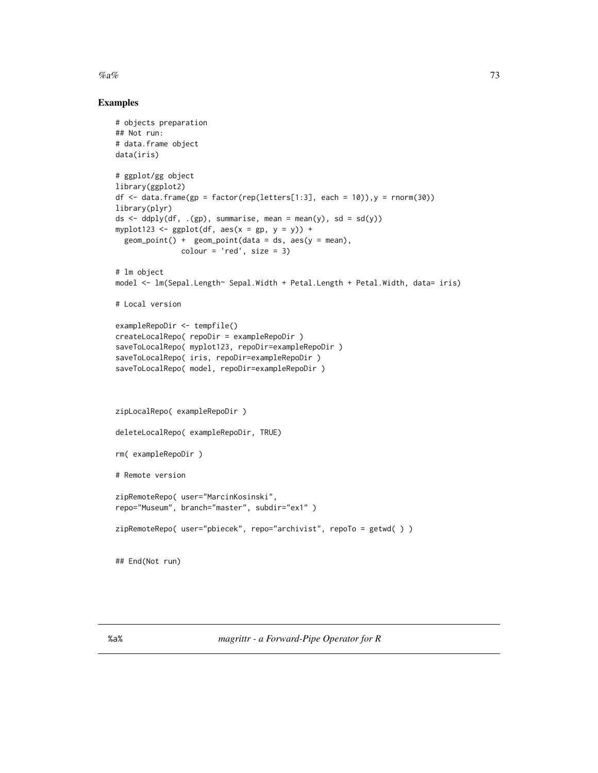<span id="page-72-0"></span> $\%a\%$  73

## Examples

```
# objects preparation
## Not run:
# data.frame object
data(iris)
# ggplot/gg object
library(ggplot2)
df \le data.frame(gp = factor(rep(letters[1:3], each = 10)), y = rnorm(30))
library(plyr)
ds \leq ddply(df, .(gp), summarise, mean = mean(y), sd = sd(y))
myplot123 <- gplot(df, aes(x = gp, y = y)) +
  geom\_point() + geom\_point(data = ds, aes(y = mean),color = 'red', size = 3)# lm object
model <- lm(Sepal.Length~ Sepal.Width + Petal.Length + Petal.Width, data= iris)
# Local version
exampleRepoDir <- tempfile()
createLocalRepo( repoDir = exampleRepoDir )
saveToLocalRepo( myplot123, repoDir=exampleRepoDir )
saveToLocalRepo( iris, repoDir=exampleRepoDir )
saveToLocalRepo( model, repoDir=exampleRepoDir )
zipLocalRepo( exampleRepoDir )
deleteLocalRepo( exampleRepoDir, TRUE)
rm( exampleRepoDir )
# Remote version
zipRemoteRepo( user="MarcinKosinski",
repo="Museum", branch="master", subdir="ex1" )
zipRemoteRepo( user="pbiecek", repo="archivist", repoTo = getwd( ) )
## End(Not run)
```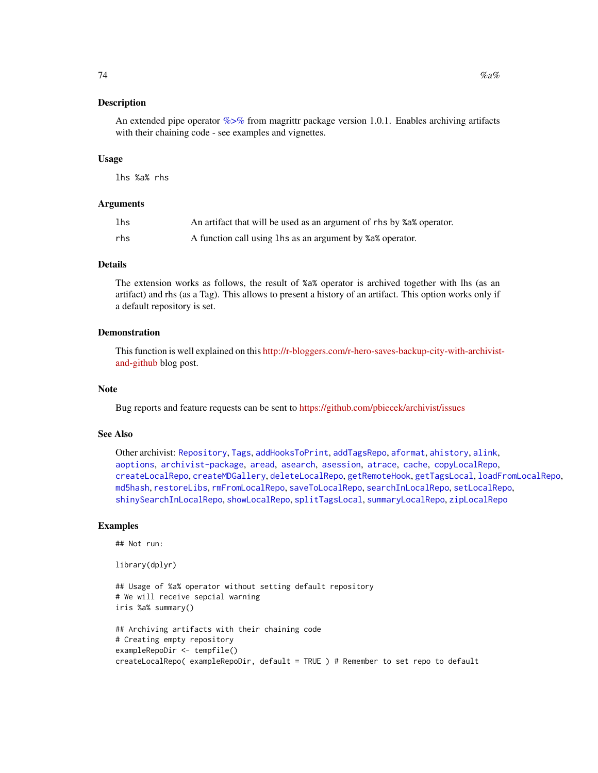#### <span id="page-73-0"></span>Description

An extended pipe operator  $\%$  >% from magrittr package version 1.0.1. Enables archiving artifacts with their chaining code - see examples and vignettes.

## Usage

lhs %a% rhs

# **Arguments**

| lhs | An artifact that will be used as an argument of rhs by %a% operator. |
|-----|----------------------------------------------------------------------|
| rhs | A function call using lhs as an argument by %a% operator.            |

## Details

The extension works as follows, the result of %a% operator is archived together with lhs (as an artifact) and rhs (as a Tag). This allows to present a history of an artifact. This option works only if a default repository is set.

# Demonstration

This function is well explained on this [http://r-bloggers.com/r-hero-saves-backup-city-with-archivist](http://r-bloggers.com/r-hero-saves-backup-city-with-archivist-and-github)[and-github](http://r-bloggers.com/r-hero-saves-backup-city-with-archivist-and-github) blog post.

#### Note

Bug reports and feature requests can be sent to <https://github.com/pbiecek/archivist/issues>

# See Also

Other archivist: [Repository](#page-37-0), [Tags](#page-63-0), [addHooksToPrint](#page-3-0), [addTagsRepo](#page-4-0), [aformat](#page-6-0), [ahistory](#page-7-0), [alink](#page-9-0), [aoptions](#page-11-0), [archivist-package](#page-2-0), [aread](#page-13-0), [asearch](#page-14-0), [asession](#page-17-0), [atrace](#page-18-0), [cache](#page-19-0), [copyLocalRepo](#page-21-0), [createLocalRepo](#page-24-0), [createMDGallery](#page-25-0), [deleteLocalRepo](#page-27-0), [getRemoteHook](#page-28-0), [getTagsLocal](#page-29-0), [loadFromLocalRepo](#page-32-0), [md5hash](#page-36-0), [restoreLibs](#page-39-0), [rmFromLocalRepo](#page-40-0), [saveToLocalRepo](#page-47-0), [searchInLocalRepo](#page-50-0), [setLocalRepo](#page-53-0), [shinySearchInLocalRepo](#page-56-0), [showLocalRepo](#page-57-0), [splitTagsLocal](#page-60-0), [summaryLocalRepo](#page-61-0), [zipLocalRepo](#page-70-0)

## Examples

## Not run:

library(dplyr)

```
## Usage of %a% operator without setting default repository
# We will receive sepcial warning
iris %a% summary()
## Archiving artifacts with their chaining code
# Creating empty repository
exampleRepoDir <- tempfile()
createLocalRepo( exampleRepoDir, default = TRUE ) # Remember to set repo to default
```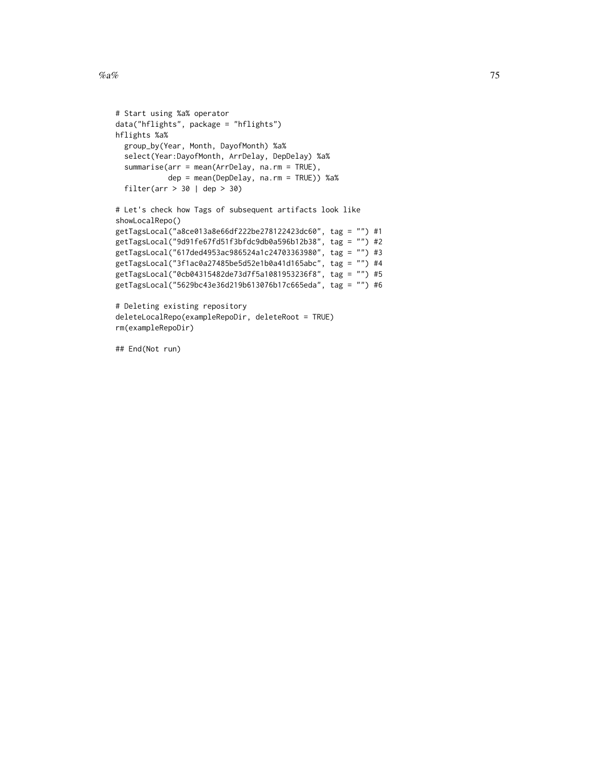```
# Start using %a% operator
data("hflights", package = "hflights")
hflights %a%
  group_by(Year, Month, DayofMonth) %a%
  select(Year:DayofMonth, ArrDelay, DepDelay) %a%
  summarise(arr = mean(ArrDelay, na.rm = TRUE),
           dep = mean(DepDelay, na.rm = TRUE)) %a%
  filter(arr > 30 | dep > 30)
# Let's check how Tags of subsequent artifacts look like
showLocalRepo()
getTagsLocal("a8ce013a8e66df222be278122423dc60", tag = "") #1
getTagsLocal("9d91fe67fd51f3bfdc9db0a596b12b38", tag = "") #2
getTagsLocal("617ded4953ac986524a1c24703363980", tag = "") #3
getTagsLocal("3f1ac0a27485be5d52e1b0a41d165abc", tag = "") #4
getTagsLocal("0cb04315482de73d7f5a1081953236f8", tag = "") #5
getTagsLocal("5629bc43e36d219b613076b17c665eda", tag = "") #6
# Deleting existing repository
deleteLocalRepo(exampleRepoDir, deleteRoot = TRUE)
rm(exampleRepoDir)
```
## End(Not run)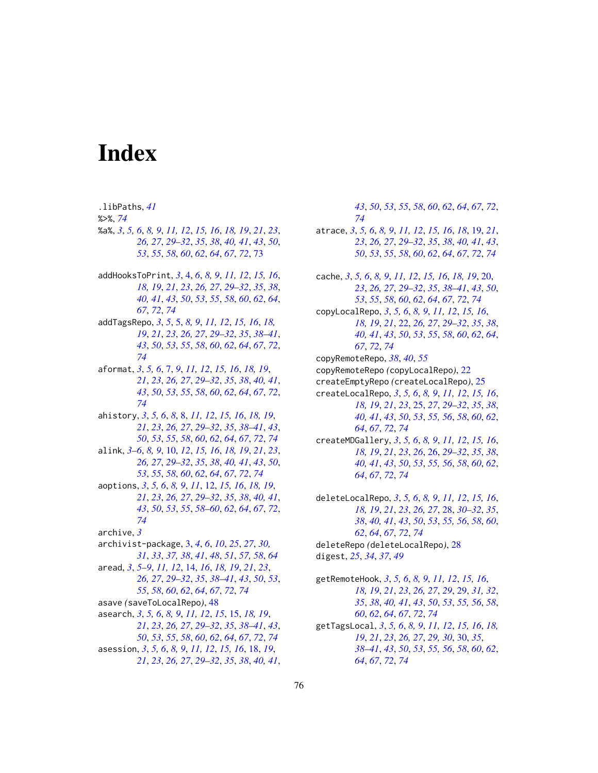# **Index**

.libPaths, 41

 $% >$ %, 74 %a%, 3, 5, 6, 8, 9, 11, 12, 15, 16, 18, 19, 21, 23, 26, 27, 29–32, 35, 38, 40, 41, 43, 50, 53, 55, 58, 60, 62, 64, 67, 72, 73 addHooksToPrint, 3, 4, 6, 8, 9, 11, 12, 15, 16, 18, 19, 21, 23, 26, 27, 29–32, 35, 38, 40, 41, 43, 50, 53, 55, 58, 60, 62, 64, 67, 72, 74 addTagsRepo, 3, 5, 5, 8, 9, 11, 12, 15, 16, 18, 19, 21, 23, 26, 27, 29-32, 35, 38-41, 43, 50, 53, 55, 58, 60, 62, 64, 67, 72, 74 aformat, 3, 5, 6, 7, 9, 11, 12, 15, 16, 18, 19, 21, 23, 26, 27, 29–32, 35, 38, 40, 41, 43, 50, 53, 55, 58, 60, 62, 64, 67, 72, 74 ahistory, 3, 5, 6, 8, 8, 11, 12, 15, 16, 18, 19, 21, 23, 26, 27, 29–32, 35, 38–41, 43, 50, 53, 55, 58, 60, 62, 64, 67, 72, 74 alink, 3-6, 8, 9, 10, 12, 15, 16, 18, 19, 21, 23, 26, 27, 29–32, 35, 38, 40, 41, 43, 50, 53, 55, 58, 60, 62, 64, 67, 72, 74 aoptions, 3, 5, 6, 8, 9, 11, 12, 15, 16, 18, 19, 21, 23, 26, 27, 29–32, 35, 38, 40, 41, 43, 50, 53, 55, 58-60, 62, 64, 67, 72, 74 archive,  $3$ archivist-package, 3, 4, 6, 10, 25, 27, 30, 31, 33, 37, 38, 41, 48, 51, 57, 58, 64 aread, 3, 5-9, 11, 12, 14, 16, 18, 19, 21, 23, 26, 27, 29–32, 35, 38–41, 43, 50, 53, 55, 58, 60, 62, 64, 67, 72, 74 asave (saveToLocalRepo), 48 asearch, 3, 5, 6, 8, 9, 11, 12, 15, 15, 18, 19, 21, 23, 26, 27, 29–32, 35, 38–41, 43, 50, 53, 55, 58, 60, 62, 64, 67, 72, 74 asession, 3, 5, 6, 8, 9, 11, 12, 15, 16, 18, 19, 21, 23, 26, 27, 29-32, 35, 38, 40, 41,

43, 50, 53, 55, 58, 60, 62, 64, 67, 72, 74 atrace, 3, 5, 6, 8, 9, 11, 12, 15, 16, 18, 19, 21, 23, 26, 27, 29–32, 35, 38, 40, 41, 43, 50, 53, 55, 58, 60, 62, 64, 67, 72, 74 cache, 3, 5, 6, 8, 9, 11, 12, 15, 16, 18, 19, 20, 23, 26, 27, 29–32, 35, 38–41, 43, 50, 53, 55, 58, 60, 62, 64, 67, 72, 74 copyLocalRepo, 3, 5, 6, 8, 9, 11, 12, 15, 16, 18, 19, 21, 22, 26, 27, 29–32, 35, 38, 40, 41, 43, 50, 53, 55, 58, 60, 62, 64, 67, 72, 74 copyRemoteRepo, 38, 40, 55 copyRemoteRepo (copyLocalRepo), 22 createEmptyRepo (createLocalRepo), 25 createLocalRepo, 3, 5, 6, 8, 9, 11, 12, 15, 16, 18, 19, 21, 23, 25, 27, 29-32, 35, 38, 40, 41, 43, 50, 53, 55, 56, 58, 60, 62, 64, 67, 72, 74 createMDGallery, 3, 5, 6, 8, 9, 11, 12, 15, 16, 18, 19, 21, 23, 26, 26, 29-32, 35, 38, 40, 41, 43, 50, 53, 55, 56, 58, 60, 62, 64, 67, 72, 74 deleteLocalRepo, 3, 5, 6, 8, 9, 11, 12, 15, 16, 18, 19, 21, 23, 26, 27, 28, 30-32, 35, 38, 40, 41, 43, 50, 53, 55, 56, 58, 60, 62, 64, 67, 72, 74 deleteRepo (deleteLocalRepo), 28 digest, 25, 34, 37, 49 getRemoteHook, 3, 5, 6, 8, 9, 11, 12, 15, 16, 18, 19, 21, 23, 26, 27, 29, 29, 31, 32, 35, 38, 40, 41, 43, 50, 53, 55, 56, 58, 60, 62, 64, 67, 72, 74

getTagsLocal, 3, 5, 6, 8, 9, 11, 12, 15, 16, 18, 19, 21, 23, 26, 27, 29, 30, 30, 35, 38-41, 43, 50, 53, 55, 56, 58, 60, 62, 64, 67, 72, 74